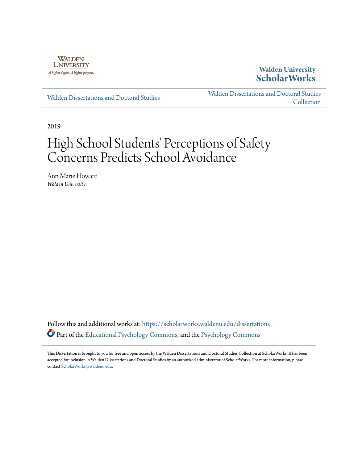

## **Walden University [ScholarWorks](https://scholarworks.waldenu.edu?utm_source=scholarworks.waldenu.edu%2Fdissertations%2F6793&utm_medium=PDF&utm_campaign=PDFCoverPages)**

[Walden Dissertations and Doctoral Studies](https://scholarworks.waldenu.edu/dissertations?utm_source=scholarworks.waldenu.edu%2Fdissertations%2F6793&utm_medium=PDF&utm_campaign=PDFCoverPages)

[Walden Dissertations and Doctoral Studies](https://scholarworks.waldenu.edu/dissanddoc?utm_source=scholarworks.waldenu.edu%2Fdissertations%2F6793&utm_medium=PDF&utm_campaign=PDFCoverPages) **[Collection](https://scholarworks.waldenu.edu/dissanddoc?utm_source=scholarworks.waldenu.edu%2Fdissertations%2F6793&utm_medium=PDF&utm_campaign=PDFCoverPages)** 

2019

# High School Students' Perceptions of Safety Concerns Predicts School Avoidance

Ann Marie Howard *Walden University*

Follow this and additional works at: [https://scholarworks.waldenu.edu/dissertations](https://scholarworks.waldenu.edu/dissertations?utm_source=scholarworks.waldenu.edu%2Fdissertations%2F6793&utm_medium=PDF&utm_campaign=PDFCoverPages) Part of the [Educational Psychology Commons,](http://network.bepress.com/hgg/discipline/798?utm_source=scholarworks.waldenu.edu%2Fdissertations%2F6793&utm_medium=PDF&utm_campaign=PDFCoverPages) and the [Psychology Commons](http://network.bepress.com/hgg/discipline/404?utm_source=scholarworks.waldenu.edu%2Fdissertations%2F6793&utm_medium=PDF&utm_campaign=PDFCoverPages)

This Dissertation is brought to you for free and open access by the Walden Dissertations and Doctoral Studies Collection at ScholarWorks. It has been accepted for inclusion in Walden Dissertations and Doctoral Studies by an authorized administrator of ScholarWorks. For more information, please contact [ScholarWorks@waldenu.edu](mailto:ScholarWorks@waldenu.edu).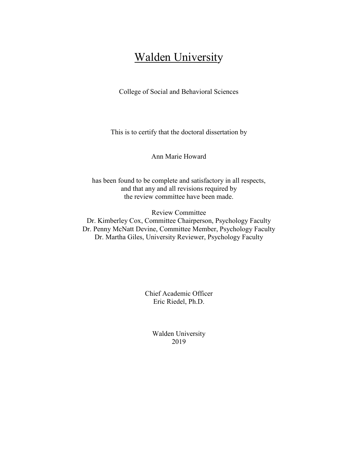## Walden University

College of Social and Behavioral Sciences

This is to certify that the doctoral dissertation by

Ann Marie Howard

has been found to be complete and satisfactory in all respects, and that any and all revisions required by the review committee have been made.

Review Committee Dr. Kimberley Cox, Committee Chairperson, Psychology Faculty Dr. Penny McNatt Devine, Committee Member, Psychology Faculty Dr. Martha Giles, University Reviewer, Psychology Faculty

> Chief Academic Officer Eric Riedel, Ph.D.

> > Walden University 2019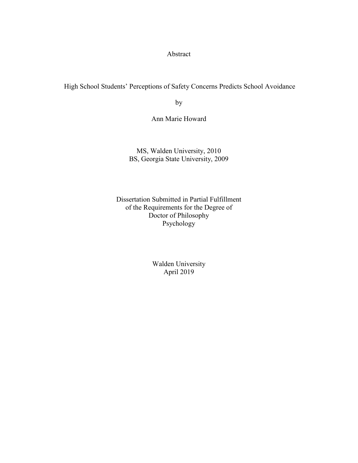Abstract

High School Students' Perceptions of Safety Concerns Predicts School Avoidance

by

Ann Marie Howard

MS, Walden University, 2010 BS, Georgia State University, 2009

Dissertation Submitted in Partial Fulfillment of the Requirements for the Degree of Doctor of Philosophy Psychology

> Walden University April 2019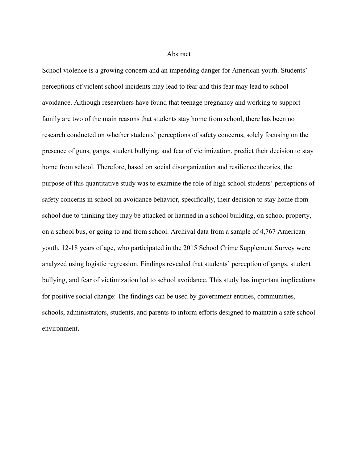#### Abstract

School violence is a growing concern and an impending danger for American youth. Students' perceptions of violent school incidents may lead to fear and this fear may lead to school avoidance. Although researchers have found that teenage pregnancy and working to support family are two of the main reasons that students stay home from school, there has been no research conducted on whether students' perceptions of safety concerns, solely focusing on the presence of guns, gangs, student bullying, and fear of victimization, predict their decision to stay home from school. Therefore, based on social disorganization and resilience theories, the purpose of this quantitative study was to examine the role of high school students' perceptions of safety concerns in school on avoidance behavior, specifically, their decision to stay home from school due to thinking they may be attacked or harmed in a school building, on school property, on a school bus, or going to and from school. Archival data from a sample of 4,767 American youth, 12-18 years of age, who participated in the 2015 School Crime Supplement Survey were analyzed using logistic regression. Findings revealed that students' perception of gangs, student bullying, and fear of victimization led to school avoidance. This study has important implications for positive social change: The findings can be used by government entities, communities, schools, administrators, students, and parents to inform efforts designed to maintain a safe school environment.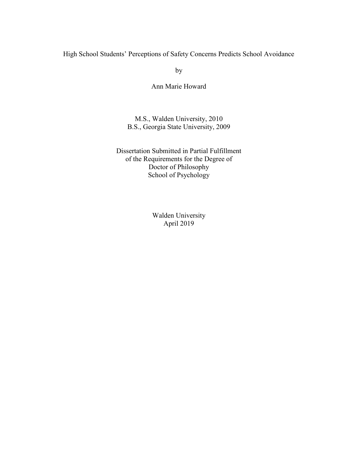High School Students' Perceptions of Safety Concerns Predicts School Avoidance

by

Ann Marie Howard

M.S., Walden University, 2010 B.S., Georgia State University, 2009

Dissertation Submitted in Partial Fulfillment of the Requirements for the Degree of Doctor of Philosophy School of Psychology

> Walden University April 2019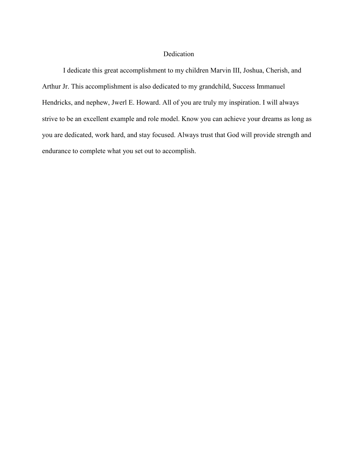#### Dedication

I dedicate this great accomplishment to my children Marvin III, Joshua, Cherish, and Arthur Jr. This accomplishment is also dedicated to my grandchild, Success Immanuel Hendricks, and nephew, Jwerl E. Howard. All of you are truly my inspiration. I will always strive to be an excellent example and role model. Know you can achieve your dreams as long as you are dedicated, work hard, and stay focused. Always trust that God will provide strength and endurance to complete what you set out to accomplish.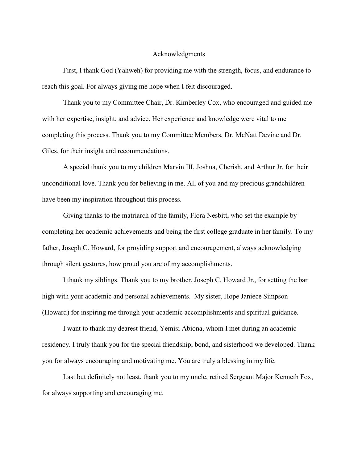#### Acknowledgments

First, I thank God (Yahweh) for providing me with the strength, focus, and endurance to reach this goal. For always giving me hope when I felt discouraged.

Thank you to my Committee Chair, Dr. Kimberley Cox, who encouraged and guided me with her expertise, insight, and advice. Her experience and knowledge were vital to me completing this process. Thank you to my Committee Members, Dr. McNatt Devine and Dr. Giles, for their insight and recommendations.

A special thank you to my children Marvin III, Joshua, Cherish, and Arthur Jr. for their unconditional love. Thank you for believing in me. All of you and my precious grandchildren have been my inspiration throughout this process.

Giving thanks to the matriarch of the family, Flora Nesbitt, who set the example by completing her academic achievements and being the first college graduate in her family. To my father, Joseph C. Howard, for providing support and encouragement, always acknowledging through silent gestures, how proud you are of my accomplishments.

I thank my siblings. Thank you to my brother, Joseph C. Howard Jr., for setting the bar high with your academic and personal achievements. My sister, Hope Janiece Simpson (Howard) for inspiring me through your academic accomplishments and spiritual guidance.

I want to thank my dearest friend, Yemisi Abiona, whom I met during an academic residency. I truly thank you for the special friendship, bond, and sisterhood we developed. Thank you for always encouraging and motivating me. You are truly a blessing in my life.

Last but definitely not least, thank you to my uncle, retired Sergeant Major Kenneth Fox, for always supporting and encouraging me.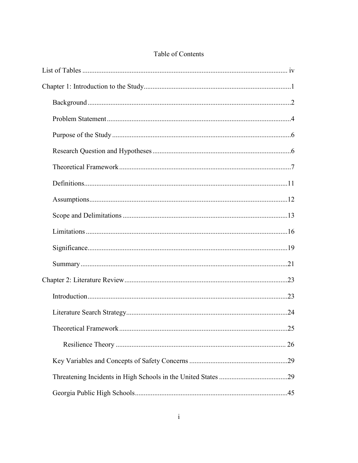| .25 |
|-----|
| 26  |
|     |
|     |
|     |

## Table of Contents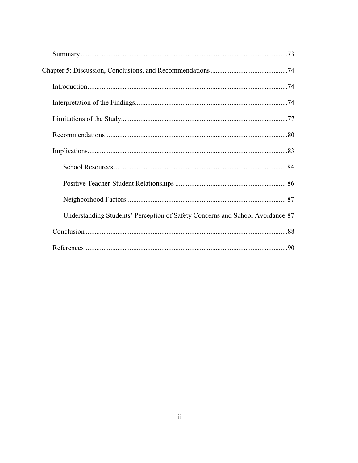| Understanding Students' Perception of Safety Concerns and School Avoidance 87 |  |
|-------------------------------------------------------------------------------|--|
|                                                                               |  |
|                                                                               |  |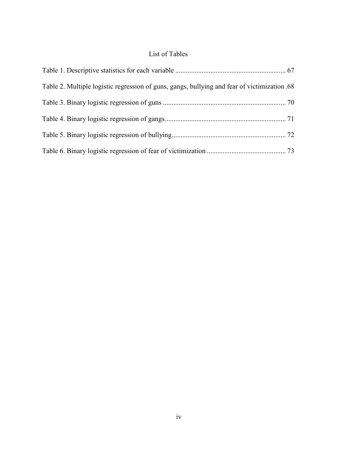### List of Tables

| Table 2. Multiple logistic regression of guns, gangs, bullying and fear of victimization 68 |  |
|---------------------------------------------------------------------------------------------|--|
|                                                                                             |  |
|                                                                                             |  |
|                                                                                             |  |
|                                                                                             |  |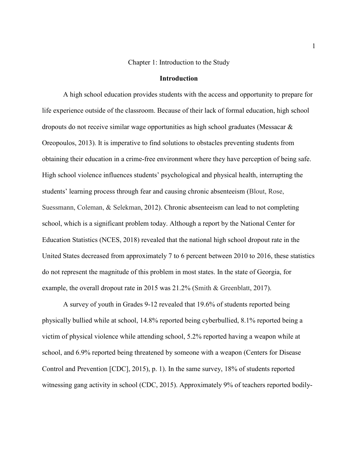#### Chapter 1: Introduction to the Study

#### **Introduction**

A high school education provides students with the access and opportunity to prepare for life experience outside of the classroom. Because of their lack of formal education, high school dropouts do not receive similar wage opportunities as high school graduates (Messacar & Oreopoulos, 2013). It is imperative to find solutions to obstacles preventing students from obtaining their education in a crime-free environment where they have perception of being safe. High school violence influences students' psychological and physical health, interrupting the students' learning process through fear and causing chronic absenteeism (Blout, Rose, Suessmann, Coleman, & Selekman, 2012). Chronic absenteeism can lead to not completing school, which is a significant problem today. Although a report by the National Center for Education Statistics (NCES, 2018) revealed that the national high school dropout rate in the United States decreased from approximately 7 to 6 percent between 2010 to 2016, these statistics do not represent the magnitude of this problem in most states. In the state of Georgia, for example, the overall dropout rate in 2015 was 21.2% (Smith & Greenblatt, 2017).

A survey of youth in Grades 9-12 revealed that 19.6% of students reported being physically bullied while at school, 14.8% reported being cyberbullied, 8.1% reported being a victim of physical violence while attending school, 5.2% reported having a weapon while at school, and 6.9% reported being threatened by someone with a weapon (Centers for Disease Control and Prevention [CDC], 2015), p. 1). In the same survey, 18% of students reported witnessing gang activity in school (CDC, 2015). Approximately 9% of teachers reported bodily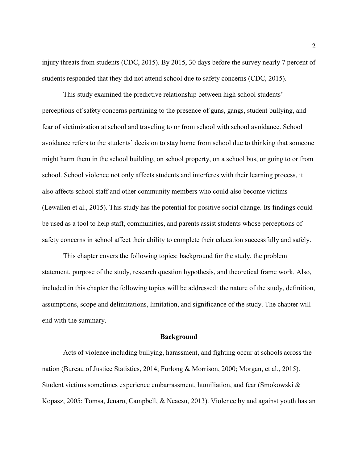injury threats from students (CDC, 2015). By 2015, 30 days before the survey nearly 7 percent of students responded that they did not attend school due to safety concerns (CDC, 2015).

This study examined the predictive relationship between high school students' perceptions of safety concerns pertaining to the presence of guns, gangs, student bullying, and fear of victimization at school and traveling to or from school with school avoidance. School avoidance refers to the students' decision to stay home from school due to thinking that someone might harm them in the school building, on school property, on a school bus, or going to or from school. School violence not only affects students and interferes with their learning process, it also affects school staff and other community members who could also become victims (Lewallen et al., 2015). This study has the potential for positive social change. Its findings could be used as a tool to help staff, communities, and parents assist students whose perceptions of safety concerns in school affect their ability to complete their education successfully and safely.

This chapter covers the following topics: background for the study, the problem statement, purpose of the study, research question hypothesis, and theoretical frame work. Also, included in this chapter the following topics will be addressed: the nature of the study, definition, assumptions, scope and delimitations, limitation, and significance of the study. The chapter will end with the summary.

#### **Background**

Acts of violence including bullying, harassment, and fighting occur at schools across the nation (Bureau of Justice Statistics, 2014; Furlong & Morrison, 2000; Morgan, et al., 2015). Student victims sometimes experience embarrassment, humiliation, and fear (Smokowski & Kopasz, 2005; Tomsa, Jenaro, Campbell, & Neacsu, 2013). Violence by and against youth has an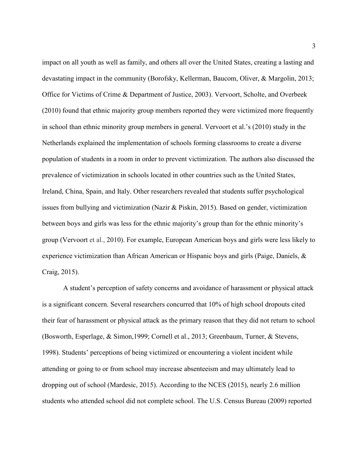impact on all youth as well as family, and others all over the United States, creating a lasting and devastating impact in the community (Borofsky, Kellerman, Baucom, Oliver, & Margolin, 2013; Office for Victims of Crime & Department of Justice, 2003). Vervoort, Scholte, and Overbeek (2010) found that ethnic majority group members reported they were victimized more frequently in school than ethnic minority group members in general. Vervoort et al.'s (2010) study in the Netherlands explained the implementation of schools forming classrooms to create a diverse population of students in a room in order to prevent victimization. The authors also discussed the prevalence of victimization in schools located in other countries such as the United States, Ireland, China, Spain, and Italy. Other researchers revealed that students suffer psychological issues from bullying and victimization (Nazir & Piskin, 2015). Based on gender, victimization between boys and girls was less for the ethnic majority's group than for the ethnic minority's group (Vervoort et al., 2010). For example, European American boys and girls were less likely to experience victimization than African American or Hispanic boys and girls (Paige, Daniels, & Craig, 2015).

A student's perception of safety concerns and avoidance of harassment or physical attack is a significant concern. Several researchers concurred that 10% of high school dropouts cited their fear of harassment or physical attack as the primary reason that they did not return to school (Bosworth, Esperlage, & Simon,1999; Cornell et al., 2013; Greenbaum, Turner, & Stevens, 1998). Students' perceptions of being victimized or encountering a violent incident while attending or going to or from school may increase absenteeism and may ultimately lead to dropping out of school (Mardesic, 2015). According to the NCES (2015), nearly 2.6 million students who attended school did not complete school. The U.S. Census Bureau (2009) reported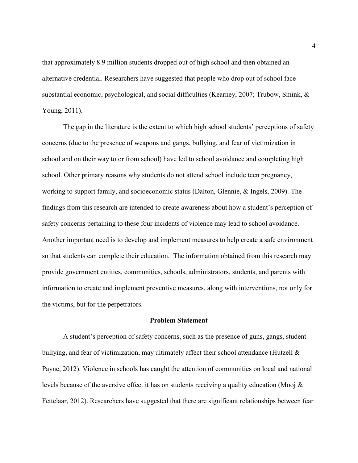that approximately 8.9 million students dropped out of high school and then obtained an alternative credential. Researchers have suggested that people who drop out of school face substantial economic, psychological, and social difficulties (Kearney, 2007; Trubow, Smink, & Young, 2011).

The gap in the literature is the extent to which high school students' perceptions of safety concerns (due to the presence of weapons and gangs, bullying, and fear of victimization in school and on their way to or from school) have led to school avoidance and completing high school. Other primary reasons why students do not attend school include teen pregnancy, working to support family, and socioeconomic status (Dalton, Glennie, & Ingels, 2009). The findings from this research are intended to create awareness about how a student's perception of safety concerns pertaining to these four incidents of violence may lead to school avoidance. Another important need is to develop and implement measures to help create a safe environment so that students can complete their education. The information obtained from this research may provide government entities, communities, schools, administrators, students, and parents with information to create and implement preventive measures, along with interventions, not only for the victims, but for the perpetrators.

#### **Problem Statement**

A student's perception of safety concerns, such as the presence of guns, gangs, student bullying, and fear of victimization, may ultimately affect their school attendance (Hutzell  $\&$ Payne, 2012). Violence in schools has caught the attention of communities on local and national levels because of the aversive effect it has on students receiving a quality education (Mooj & Fettelaar, 2012). Researchers have suggested that there are significant relationships between fear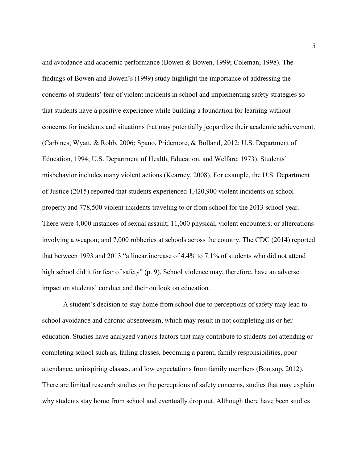and avoidance and academic performance (Bowen & Bowen, 1999; Coleman, 1998). The findings of Bowen and Bowen's (1999) study highlight the importance of addressing the concerns of students' fear of violent incidents in school and implementing safety strategies so that students have a positive experience while building a foundation for learning without concerns for incidents and situations that may potentially jeopardize their academic achievement. (Carbines, Wyatt, & Robb, 2006; Spano, Pridemore, & Bolland, 2012; U.S. Department of Education, 1994; U.S. Department of Health, Education, and Welfare, 1973). Students' misbehavior includes many violent actions (Kearney, 2008). For example, the U.S. Department of Justice (2015) reported that students experienced 1,420,900 violent incidents on school property and 778,500 violent incidents traveling to or from school for the 2013 school year. There were 4,000 instances of sexual assault; 11,000 physical, violent encounters; or altercations involving a weapon; and 7,000 robberies at schools across the country. The CDC (2014) reported that between 1993 and 2013 "a linear increase of 4.4% to 7.1% of students who did not attend high school did it for fear of safety" (p. 9). School violence may, therefore, have an adverse impact on students' conduct and their outlook on education.

A student's decision to stay home from school due to perceptions of safety may lead to school avoidance and chronic absenteeism, which may result in not completing his or her education. Studies have analyzed various factors that may contribute to students not attending or completing school such as, failing classes, becoming a parent, family responsibilities, poor attendance, uninspiring classes, and low expectations from family members (Bootsup, 2012). There are limited research studies on the perceptions of safety concerns, studies that may explain why students stay home from school and eventually drop out. Although there have been studies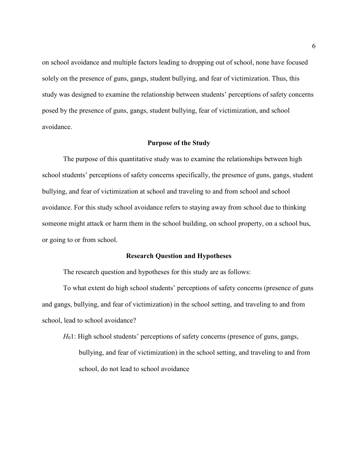on school avoidance and multiple factors leading to dropping out of school, none have focused solely on the presence of guns, gangs, student bullying, and fear of victimization. Thus, this study was designed to examine the relationship between students' perceptions of safety concerns posed by the presence of guns, gangs, student bullying, fear of victimization, and school avoidance.

#### **Purpose of the Study**

The purpose of this quantitative study was to examine the relationships between high school students' perceptions of safety concerns specifically, the presence of guns, gangs, student bullying, and fear of victimization at school and traveling to and from school and school avoidance. For this study school avoidance refers to staying away from school due to thinking someone might attack or harm them in the school building, on school property, on a school bus, or going to or from school.

#### **Research Question and Hypotheses**

The research question and hypotheses for this study are as follows:

To what extent do high school students' perceptions of safety concerns (presence of guns and gangs, bullying, and fear of victimization) in the school setting, and traveling to and from school, lead to school avoidance?

*H*<sub>0</sub>1: High school students' perceptions of safety concerns (presence of guns, gangs, bullying, and fear of victimization) in the school setting, and traveling to and from school, do not lead to school avoidance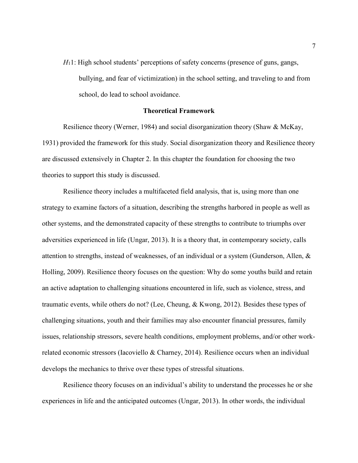*H*<sub>1</sub>1: High school students' perceptions of safety concerns (presence of guns, gangs, bullying, and fear of victimization) in the school setting, and traveling to and from school, do lead to school avoidance.

#### **Theoretical Framework**

Resilience theory (Werner, 1984) and social disorganization theory (Shaw & McKay, 1931) provided the framework for this study. Social disorganization theory and Resilience theory are discussed extensively in Chapter 2. In this chapter the foundation for choosing the two theories to support this study is discussed.

Resilience theory includes a multifaceted field analysis, that is, using more than one strategy to examine factors of a situation, describing the strengths harbored in people as well as other systems, and the demonstrated capacity of these strengths to contribute to triumphs over adversities experienced in life (Ungar, 2013). It is a theory that, in contemporary society, calls attention to strengths, instead of weaknesses, of an individual or a system (Gunderson, Allen, & Holling, 2009). Resilience theory focuses on the question: Why do some youths build and retain an active adaptation to challenging situations encountered in life, such as violence, stress, and traumatic events, while others do not? (Lee, Cheung, & Kwong, 2012). Besides these types of challenging situations, youth and their families may also encounter financial pressures, family issues, relationship stressors, severe health conditions, employment problems, and/or other workrelated economic stressors (Iacoviello & Charney, 2014). Resilience occurs when an individual develops the mechanics to thrive over these types of stressful situations.

Resilience theory focuses on an individual's ability to understand the processes he or she experiences in life and the anticipated outcomes (Ungar, 2013). In other words, the individual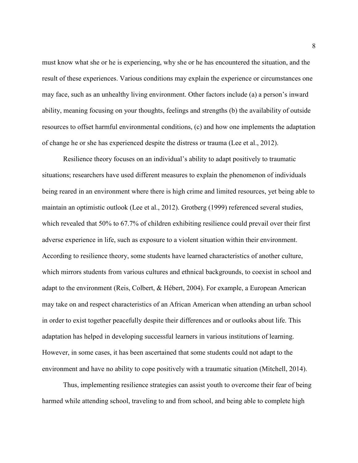must know what she or he is experiencing, why she or he has encountered the situation, and the result of these experiences. Various conditions may explain the experience or circumstances one may face, such as an unhealthy living environment. Other factors include (a) a person's inward ability, meaning focusing on your thoughts, feelings and strengths (b) the availability of outside resources to offset harmful environmental conditions, (c) and how one implements the adaptation of change he or she has experienced despite the distress or trauma (Lee et al., 2012).

Resilience theory focuses on an individual's ability to adapt positively to traumatic situations; researchers have used different measures to explain the phenomenon of individuals being reared in an environment where there is high crime and limited resources, yet being able to maintain an optimistic outlook (Lee et al., 2012). Grotberg (1999) referenced several studies, which revealed that 50% to 67.7% of children exhibiting resilience could prevail over their first adverse experience in life, such as exposure to a violent situation within their environment. According to resilience theory, some students have learned characteristics of another culture, which mirrors students from various cultures and ethnical backgrounds, to coexist in school and adapt to the environment (Reis, Colbert, & Hébert, 2004). For example, a European American may take on and respect characteristics of an African American when attending an urban school in order to exist together peacefully despite their differences and or outlooks about life. This adaptation has helped in developing successful learners in various institutions of learning. However, in some cases, it has been ascertained that some students could not adapt to the environment and have no ability to cope positively with a traumatic situation (Mitchell, 2014).

Thus, implementing resilience strategies can assist youth to overcome their fear of being harmed while attending school, traveling to and from school, and being able to complete high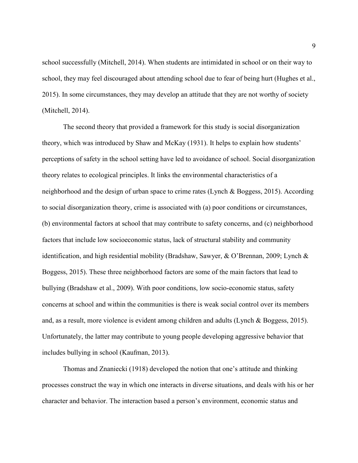school successfully (Mitchell, 2014). When students are intimidated in school or on their way to school, they may feel discouraged about attending school due to fear of being hurt (Hughes et al., 2015). In some circumstances, they may develop an attitude that they are not worthy of society (Mitchell, 2014).

The second theory that provided a framework for this study is social disorganization theory, which was introduced by Shaw and McKay (1931). It helps to explain how students' perceptions of safety in the school setting have led to avoidance of school. Social disorganization theory relates to ecological principles. It links the environmental characteristics of a neighborhood and the design of urban space to crime rates (Lynch & Boggess, 2015). According to social disorganization theory, crime is associated with (a) poor conditions or circumstances, (b) environmental factors at school that may contribute to safety concerns, and (c) neighborhood factors that include low socioeconomic status, lack of structural stability and community identification, and high residential mobility (Bradshaw, Sawyer, & O'Brennan, 2009; Lynch & Boggess, 2015). These three neighborhood factors are some of the main factors that lead to bullying (Bradshaw et al., 2009). With poor conditions, low socio-economic status, safety concerns at school and within the communities is there is weak social control over its members and, as a result, more violence is evident among children and adults (Lynch & Boggess, 2015). Unfortunately, the latter may contribute to young people developing aggressive behavior that includes bullying in school (Kaufman, 2013).

Thomas and Znaniecki (1918) developed the notion that one's attitude and thinking processes construct the way in which one interacts in diverse situations, and deals with his or her character and behavior. The interaction based a person's environment, economic status and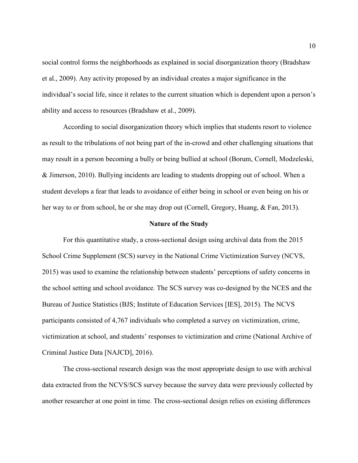social control forms the neighborhoods as explained in social disorganization theory (Bradshaw et al., 2009). Any activity proposed by an individual creates a major significance in the individual's social life, since it relates to the current situation which is dependent upon a person's ability and access to resources (Bradshaw et al., 2009).

According to social disorganization theory which implies that students resort to violence as result to the tribulations of not being part of the in-crowd and other challenging situations that may result in a person becoming a bully or being bullied at school (Borum, Cornell, Modzeleski, & Jimerson, 2010). Bullying incidents are leading to students dropping out of school. When a student develops a fear that leads to avoidance of either being in school or even being on his or her way to or from school, he or she may drop out (Cornell, Gregory, Huang, & Fan, 2013).

#### **Nature of the Study**

For this quantitative study, a cross-sectional design using archival data from the 2015 School Crime Supplement (SCS) survey in the National Crime Victimization Survey (NCVS, 2015) was used to examine the relationship between students' perceptions of safety concerns in the school setting and school avoidance. The SCS survey was co-designed by the NCES and the Bureau of Justice Statistics (BJS; Institute of Education Services [IES], 2015). The NCVS participants consisted of 4,767 individuals who completed a survey on victimization, crime, victimization at school, and students' responses to victimization and crime (National Archive of Criminal Justice Data [NAJCD], 2016).

The cross-sectional research design was the most appropriate design to use with archival data extracted from the NCVS/SCS survey because the survey data were previously collected by another researcher at one point in time. The cross-sectional design relies on existing differences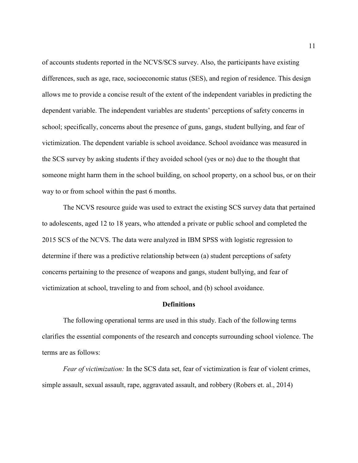of accounts students reported in the NCVS/SCS survey. Also, the participants have existing differences, such as age, race, socioeconomic status (SES), and region of residence. This design allows me to provide a concise result of the extent of the independent variables in predicting the dependent variable. The independent variables are students' perceptions of safety concerns in school; specifically, concerns about the presence of guns, gangs, student bullying, and fear of victimization. The dependent variable is school avoidance. School avoidance was measured in the SCS survey by asking students if they avoided school (yes or no) due to the thought that someone might harm them in the school building, on school property, on a school bus, or on their way to or from school within the past 6 months.

The NCVS resource guide was used to extract the existing SCS survey data that pertained to adolescents, aged 12 to 18 years, who attended a private or public school and completed the 2015 SCS of the NCVS. The data were analyzed in IBM SPSS with logistic regression to determine if there was a predictive relationship between (a) student perceptions of safety concerns pertaining to the presence of weapons and gangs, student bullying, and fear of victimization at school, traveling to and from school, and (b) school avoidance.

#### **Definitions**

The following operational terms are used in this study. Each of the following terms clarifies the essential components of the research and concepts surrounding school violence. The terms are as follows:

*Fear of victimization:* In the SCS data set, fear of victimization is fear of violent crimes, simple assault, sexual assault, rape, aggravated assault, and robbery (Robers et. al., 2014)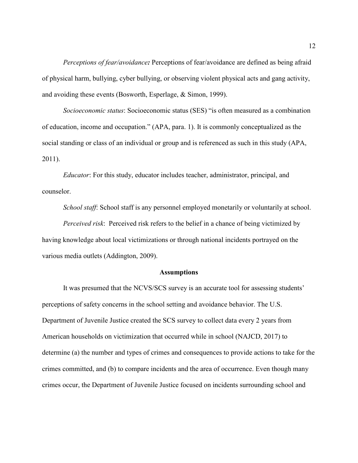*Perceptions of fear/avoidance:* Perceptions of fear/avoidance are defined as being afraid of physical harm, bullying, cyber bullying, or observing violent physical acts and gang activity, and avoiding these events (Bosworth, Esperlage, & Simon, 1999).

*Socioeconomic status*: Socioeconomic status (SES) "is often measured as a combination of education, income and occupation." (APA, para. 1). It is commonly conceptualized as the social standing or class of an individual or group and is referenced as such in this study (APA, 2011).

*Educator*: For this study, educator includes teacher, administrator, principal, and counselor.

*School staff*: School staff is any personnel employed monetarily or voluntarily at school.

*Perceived risk*: Perceived risk refers to the belief in a chance of being victimized by having knowledge about local victimizations or through national incidents portrayed on the various media outlets (Addington, 2009).

#### **Assumptions**

 It was presumed that the NCVS/SCS survey is an accurate tool for assessing students' perceptions of safety concerns in the school setting and avoidance behavior. The U.S. Department of Juvenile Justice created the SCS survey to collect data every 2 years from American households on victimization that occurred while in school (NAJCD, 2017) to determine (a) the number and types of crimes and consequences to provide actions to take for the crimes committed, and (b) to compare incidents and the area of occurrence. Even though many crimes occur, the Department of Juvenile Justice focused on incidents surrounding school and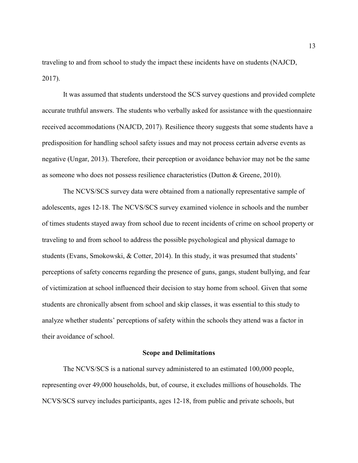traveling to and from school to study the impact these incidents have on students (NAJCD, 2017).

It was assumed that students understood the SCS survey questions and provided complete accurate truthful answers. The students who verbally asked for assistance with the questionnaire received accommodations (NAJCD, 2017). Resilience theory suggests that some students have a predisposition for handling school safety issues and may not process certain adverse events as negative (Ungar, 2013). Therefore, their perception or avoidance behavior may not be the same as someone who does not possess resilience characteristics (Dutton & Greene, 2010).

The NCVS/SCS survey data were obtained from a nationally representative sample of adolescents, ages 12-18. The NCVS/SCS survey examined violence in schools and the number of times students stayed away from school due to recent incidents of crime on school property or traveling to and from school to address the possible psychological and physical damage to students (Evans, Smokowski, & Cotter, 2014). In this study, it was presumed that students' perceptions of safety concerns regarding the presence of guns, gangs, student bullying, and fear of victimization at school influenced their decision to stay home from school. Given that some students are chronically absent from school and skip classes, it was essential to this study to analyze whether students' perceptions of safety within the schools they attend was a factor in their avoidance of school.

#### **Scope and Delimitations**

The NCVS/SCS is a national survey administered to an estimated 100,000 people, representing over 49,000 households, but, of course, it excludes millions of households. The NCVS/SCS survey includes participants, ages 12-18, from public and private schools, but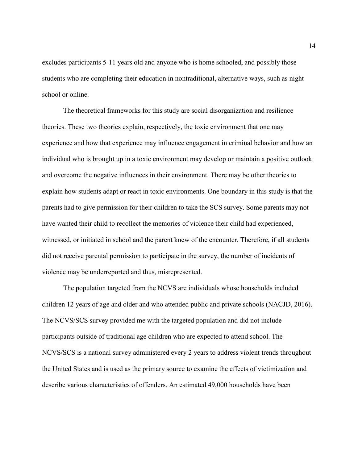excludes participants 5-11 years old and anyone who is home schooled, and possibly those students who are completing their education in nontraditional, alternative ways, such as night school or online.

The theoretical frameworks for this study are social disorganization and resilience theories. These two theories explain, respectively, the toxic environment that one may experience and how that experience may influence engagement in criminal behavior and how an individual who is brought up in a toxic environment may develop or maintain a positive outlook and overcome the negative influences in their environment. There may be other theories to explain how students adapt or react in toxic environments. One boundary in this study is that the parents had to give permission for their children to take the SCS survey. Some parents may not have wanted their child to recollect the memories of violence their child had experienced, witnessed, or initiated in school and the parent knew of the encounter. Therefore, if all students did not receive parental permission to participate in the survey, the number of incidents of violence may be underreported and thus, misrepresented.

The population targeted from the NCVS are individuals whose households included children 12 years of age and older and who attended public and private schools (NACJD, 2016). The NCVS/SCS survey provided me with the targeted population and did not include participants outside of traditional age children who are expected to attend school. The NCVS/SCS is a national survey administered every 2 years to address violent trends throughout the United States and is used as the primary source to examine the effects of victimization and describe various characteristics of offenders. An estimated 49,000 households have been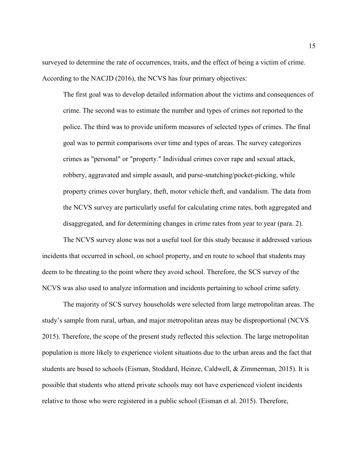surveyed to determine the rate of occurrences, traits, and the effect of being a victim of crime. According to the NACJD (2016), the NCVS has four primary objectives:

The first goal was to develop detailed information about the victims and consequences of crime. The second was to estimate the number and types of crimes not reported to the police. The third was to provide uniform measures of selected types of crimes. The final goal was to permit comparisons over time and types of areas. The survey categorizes crimes as "personal" or "property." Individual crimes cover rape and sexual attack, robbery, aggravated and simple assault, and purse-snatching/pocket-picking, while property crimes cover burglary, theft, motor vehicle theft, and vandalism. The data from the NCVS survey are particularly useful for calculating crime rates, both aggregated and disaggregated, and for determining changes in crime rates from year to year (para. 2).

 The NCVS survey alone was not a useful tool for this study because it addressed various incidents that occurred in school, on school property, and en route to school that students may deem to be threating to the point where they avoid school. Therefore, the SCS survey of the NCVS was also used to analyze information and incidents pertaining to school crime safety.

 The majority of SCS survey households were selected from large metropolitan areas. The study's sample from rural, urban, and major metropolitan areas may be disproportional (NCVS 2015). Therefore, the scope of the present study reflected this selection. The large metropolitan population is more likely to experience violent situations due to the urban areas and the fact that students are bused to schools (Eisman, Stoddard, Heinze, Caldwell, & Zimmerman, 2015). It is possible that students who attend private schools may not have experienced violent incidents relative to those who were registered in a public school (Eisman et al. 2015). Therefore,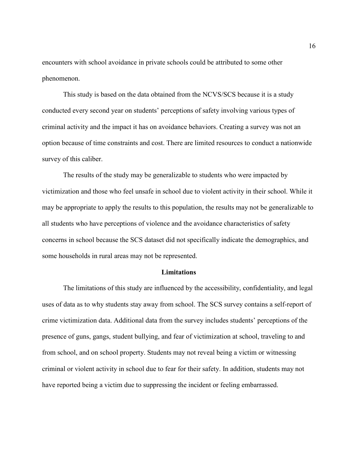encounters with school avoidance in private schools could be attributed to some other phenomenon.

 This study is based on the data obtained from the NCVS/SCS because it is a study conducted every second year on students' perceptions of safety involving various types of criminal activity and the impact it has on avoidance behaviors. Creating a survey was not an option because of time constraints and cost. There are limited resources to conduct a nationwide survey of this caliber.

 The results of the study may be generalizable to students who were impacted by victimization and those who feel unsafe in school due to violent activity in their school. While it may be appropriate to apply the results to this population, the results may not be generalizable to all students who have perceptions of violence and the avoidance characteristics of safety concerns in school because the SCS dataset did not specifically indicate the demographics, and some households in rural areas may not be represented.

#### **Limitations**

The limitations of this study are influenced by the accessibility, confidentiality, and legal uses of data as to why students stay away from school. The SCS survey contains a self-report of crime victimization data. Additional data from the survey includes students' perceptions of the presence of guns, gangs, student bullying, and fear of victimization at school, traveling to and from school, and on school property. Students may not reveal being a victim or witnessing criminal or violent activity in school due to fear for their safety. In addition, students may not have reported being a victim due to suppressing the incident or feeling embarrassed.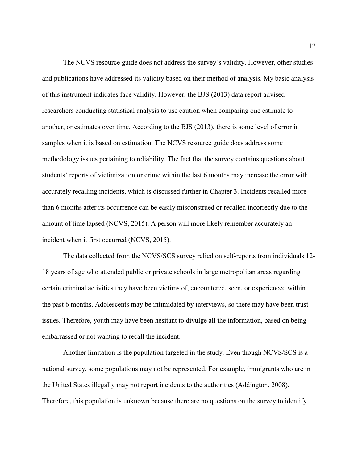The NCVS resource guide does not address the survey's validity. However, other studies and publications have addressed its validity based on their method of analysis. My basic analysis of this instrument indicates face validity. However, the BJS (2013) data report advised researchers conducting statistical analysis to use caution when comparing one estimate to another, or estimates over time. According to the BJS (2013), there is some level of error in samples when it is based on estimation. The NCVS resource guide does address some methodology issues pertaining to reliability. The fact that the survey contains questions about students' reports of victimization or crime within the last 6 months may increase the error with accurately recalling incidents, which is discussed further in Chapter 3. Incidents recalled more than 6 months after its occurrence can be easily misconstrued or recalled incorrectly due to the amount of time lapsed (NCVS, 2015). A person will more likely remember accurately an incident when it first occurred (NCVS, 2015).

The data collected from the NCVS/SCS survey relied on self-reports from individuals 12- 18 years of age who attended public or private schools in large metropolitan areas regarding certain criminal activities they have been victims of, encountered, seen, or experienced within the past 6 months. Adolescents may be intimidated by interviews, so there may have been trust issues. Therefore, youth may have been hesitant to divulge all the information, based on being embarrassed or not wanting to recall the incident.

Another limitation is the population targeted in the study. Even though NCVS/SCS is a national survey, some populations may not be represented. For example, immigrants who are in the United States illegally may not report incidents to the authorities (Addington, 2008). Therefore, this population is unknown because there are no questions on the survey to identify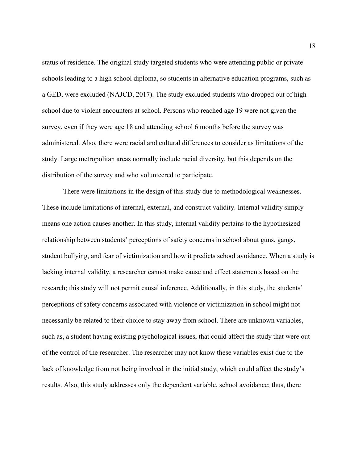status of residence. The original study targeted students who were attending public or private schools leading to a high school diploma, so students in alternative education programs, such as a GED, were excluded (NAJCD, 2017). The study excluded students who dropped out of high school due to violent encounters at school. Persons who reached age 19 were not given the survey, even if they were age 18 and attending school 6 months before the survey was administered. Also, there were racial and cultural differences to consider as limitations of the study. Large metropolitan areas normally include racial diversity, but this depends on the distribution of the survey and who volunteered to participate.

There were limitations in the design of this study due to methodological weaknesses. These include limitations of internal, external, and construct validity. Internal validity simply means one action causes another. In this study, internal validity pertains to the hypothesized relationship between students' perceptions of safety concerns in school about guns, gangs, student bullying, and fear of victimization and how it predicts school avoidance. When a study is lacking internal validity, a researcher cannot make cause and effect statements based on the research; this study will not permit causal inference. Additionally, in this study, the students' perceptions of safety concerns associated with violence or victimization in school might not necessarily be related to their choice to stay away from school. There are unknown variables, such as, a student having existing psychological issues, that could affect the study that were out of the control of the researcher. The researcher may not know these variables exist due to the lack of knowledge from not being involved in the initial study, which could affect the study's results. Also, this study addresses only the dependent variable, school avoidance; thus, there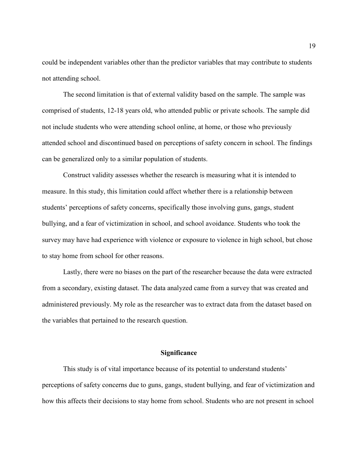could be independent variables other than the predictor variables that may contribute to students not attending school.

The second limitation is that of external validity based on the sample. The sample was comprised of students, 12-18 years old, who attended public or private schools. The sample did not include students who were attending school online, at home, or those who previously attended school and discontinued based on perceptions of safety concern in school. The findings can be generalized only to a similar population of students.

Construct validity assesses whether the research is measuring what it is intended to measure. In this study, this limitation could affect whether there is a relationship between students' perceptions of safety concerns, specifically those involving guns, gangs, student bullying, and a fear of victimization in school, and school avoidance. Students who took the survey may have had experience with violence or exposure to violence in high school, but chose to stay home from school for other reasons.

Lastly, there were no biases on the part of the researcher because the data were extracted from a secondary, existing dataset. The data analyzed came from a survey that was created and administered previously. My role as the researcher was to extract data from the dataset based on the variables that pertained to the research question.

#### **Significance**

This study is of vital importance because of its potential to understand students' perceptions of safety concerns due to guns, gangs, student bullying, and fear of victimization and how this affects their decisions to stay home from school. Students who are not present in school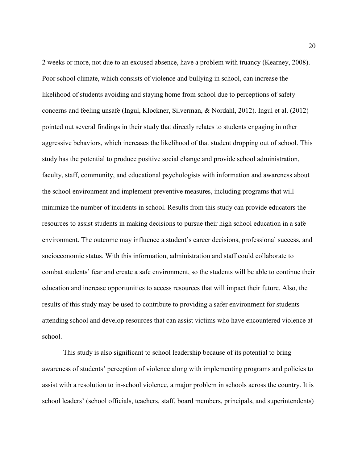2 weeks or more, not due to an excused absence, have a problem with truancy (Kearney, 2008). Poor school climate, which consists of violence and bullying in school, can increase the likelihood of students avoiding and staying home from school due to perceptions of safety concerns and feeling unsafe (Ingul, Klockner, Silverman, & Nordahl, 2012). Ingul et al. (2012) pointed out several findings in their study that directly relates to students engaging in other aggressive behaviors, which increases the likelihood of that student dropping out of school. This study has the potential to produce positive social change and provide school administration, faculty, staff, community, and educational psychologists with information and awareness about the school environment and implement preventive measures, including programs that will minimize the number of incidents in school. Results from this study can provide educators the resources to assist students in making decisions to pursue their high school education in a safe environment. The outcome may influence a student's career decisions, professional success, and socioeconomic status. With this information, administration and staff could collaborate to combat students' fear and create a safe environment, so the students will be able to continue their education and increase opportunities to access resources that will impact their future. Also, the results of this study may be used to contribute to providing a safer environment for students attending school and develop resources that can assist victims who have encountered violence at school.

This study is also significant to school leadership because of its potential to bring awareness of students' perception of violence along with implementing programs and policies to assist with a resolution to in-school violence, a major problem in schools across the country. It is school leaders' (school officials, teachers, staff, board members, principals, and superintendents)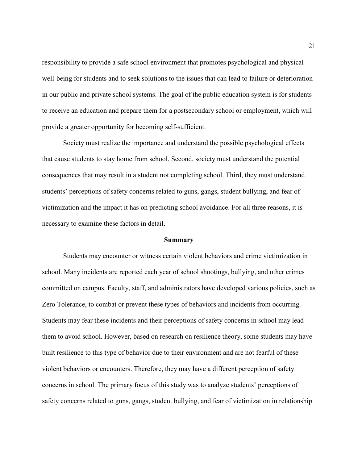responsibility to provide a safe school environment that promotes psychological and physical well-being for students and to seek solutions to the issues that can lead to failure or deterioration in our public and private school systems. The goal of the public education system is for students to receive an education and prepare them for a postsecondary school or employment, which will provide a greater opportunity for becoming self-sufficient.

Society must realize the importance and understand the possible psychological effects that cause students to stay home from school. Second, society must understand the potential consequences that may result in a student not completing school. Third, they must understand students' perceptions of safety concerns related to guns, gangs, student bullying, and fear of victimization and the impact it has on predicting school avoidance. For all three reasons, it is necessary to examine these factors in detail.

#### **Summary**

Students may encounter or witness certain violent behaviors and crime victimization in school. Many incidents are reported each year of school shootings, bullying, and other crimes committed on campus. Faculty, staff, and administrators have developed various policies, such as Zero Tolerance, to combat or prevent these types of behaviors and incidents from occurring. Students may fear these incidents and their perceptions of safety concerns in school may lead them to avoid school. However, based on research on resilience theory, some students may have built resilience to this type of behavior due to their environment and are not fearful of these violent behaviors or encounters. Therefore, they may have a different perception of safety concerns in school. The primary focus of this study was to analyze students' perceptions of safety concerns related to guns, gangs, student bullying, and fear of victimization in relationship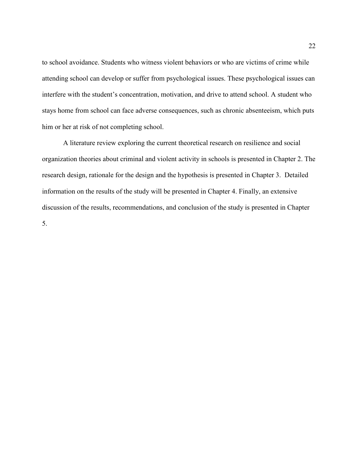to school avoidance. Students who witness violent behaviors or who are victims of crime while attending school can develop or suffer from psychological issues. These psychological issues can interfere with the student's concentration, motivation, and drive to attend school. A student who stays home from school can face adverse consequences, such as chronic absenteeism, which puts him or her at risk of not completing school.

A literature review exploring the current theoretical research on resilience and social organization theories about criminal and violent activity in schools is presented in Chapter 2. The research design, rationale for the design and the hypothesis is presented in Chapter 3. Detailed information on the results of the study will be presented in Chapter 4. Finally, an extensive discussion of the results, recommendations, and conclusion of the study is presented in Chapter 5.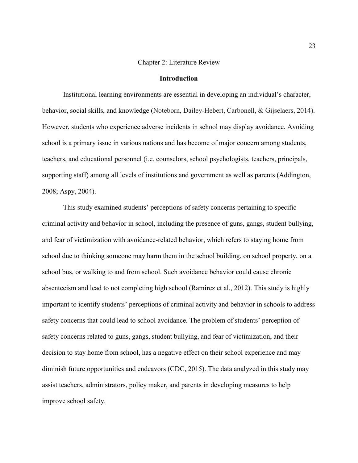#### Chapter 2: Literature Review

#### **Introduction**

Institutional learning environments are essential in developing an individual's character, behavior, social skills, and knowledge (Noteborn, Dailey-Hebert, Carbonell, & Gijselaers, 2014). However, students who experience adverse incidents in school may display avoidance. Avoiding school is a primary issue in various nations and has become of major concern among students, teachers, and educational personnel (i.e. counselors, school psychologists, teachers, principals, supporting staff) among all levels of institutions and government as well as parents (Addington, 2008; Aspy, 2004).

This study examined students' perceptions of safety concerns pertaining to specific criminal activity and behavior in school, including the presence of guns, gangs, student bullying, and fear of victimization with avoidance-related behavior, which refers to staying home from school due to thinking someone may harm them in the school building, on school property, on a school bus, or walking to and from school. Such avoidance behavior could cause chronic absenteeism and lead to not completing high school (Ramirez et al., 2012). This study is highly important to identify students' perceptions of criminal activity and behavior in schools to address safety concerns that could lead to school avoidance. The problem of students' perception of safety concerns related to guns, gangs, student bullying, and fear of victimization, and their decision to stay home from school, has a negative effect on their school experience and may diminish future opportunities and endeavors (CDC, 2015). The data analyzed in this study may assist teachers, administrators, policy maker, and parents in developing measures to help improve school safety.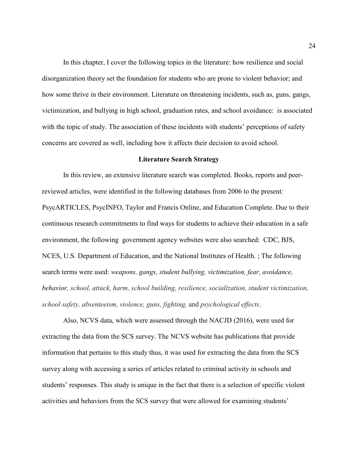In this chapter, I cover the following topics in the literature: how resilience and social disorganization theory set the foundation for students who are prone to violent behavior; and how some thrive in their environment. Literature on threatening incidents, such as, guns, gangs, victimization, and bullying in high school, graduation rates, and school avoidance: is associated with the topic of study. The association of these incidents with students' perceptions of safety concerns are covered as well, including how it affects their decision to avoid school.

#### **Literature Search Strategy**

In this review, an extensive literature search was completed. Books, reports and peerreviewed articles, were identified in the following databases from 2006 to the present: PsycARTICLES, PsycINFO, Taylor and Francis Online, and Education Complete. Due to their continuous research commitments to find ways for students to achieve their education in a safe environment, the following government agency websites were also searched: CDC, BJS, NCES, U.S. Department of Education, and the National Institutes of Health. ; The following search terms were used: *weapons, gangs, student bullying, victimization, fear, avoidance, behavior, school, attack, harm, school building, resilience, socialization, student victimization, school safety, absenteeism, violence, guns, fighting,* and *psychological effects*.

Also, NCVS data, which were assessed through the NACJD (2016), were used for extracting the data from the SCS survey. The NCVS website has publications that provide information that pertains to this study thus, it was used for extracting the data from the SCS survey along with accessing a series of articles related to criminal activity in schools and students' responses. This study is unique in the fact that there is a selection of specific violent activities and behaviors from the SCS survey that were allowed for examining students'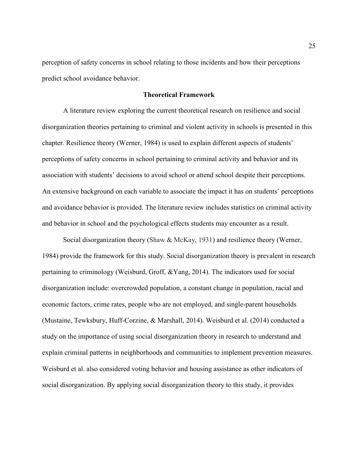perception of safety concerns in school relating to those incidents and how their perceptions predict school avoidance behavior.

#### **Theoretical Framework**

A literature review exploring the current theoretical research on resilience and social disorganization theories pertaining to criminal and violent activity in schools is presented in this chapter. Resilience theory (Werner, 1984) is used to explain different aspects of students' perceptions of safety concerns in school pertaining to criminal activity and behavior and its association with students' decisions to avoid school or attend school despite their perceptions. An extensive background on each variable to associate the impact it has on students' perceptions and avoidance behavior is provided. The literature review includes statistics on criminal activity and behavior in school and the psychological effects students may encounter as a result.

Social disorganization theory (Shaw & McKay, 1931) and resilience theory (Werner, 1984) provide the framework for this study. Social disorganization theory is prevalent in research pertaining to criminology (Weisburd, Groff, &Yang, 2014). The indicators used for social disorganization include: overcrowded population, a constant change in population, racial and economic factors, crime rates, people who are not employed, and single-parent households (Mustaine, Tewksbury, Huff-Corzine, & Marshall, 2014). Weisburd et al. (2014) conducted a study on the importance of using social disorganization theory in research to understand and explain criminal patterns in neighborhoods and communities to implement prevention measures. Weisburd et al. also considered voting behavior and housing assistance as other indicators of social disorganization. By applying social disorganization theory to this study, it provides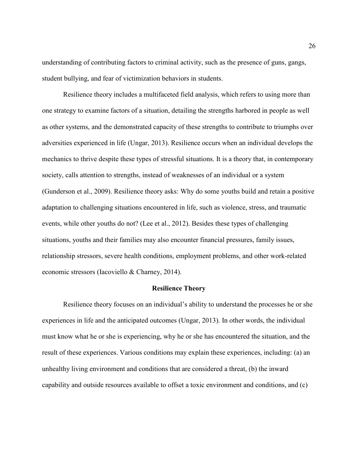understanding of contributing factors to criminal activity, such as the presence of guns, gangs, student bullying, and fear of victimization behaviors in students.

Resilience theory includes a multifaceted field analysis, which refers to using more than one strategy to examine factors of a situation, detailing the strengths harbored in people as well as other systems, and the demonstrated capacity of these strengths to contribute to triumphs over adversities experienced in life (Ungar, 2013). Resilience occurs when an individual develops the mechanics to thrive despite these types of stressful situations. It is a theory that, in contemporary society, calls attention to strengths, instead of weaknesses of an individual or a system (Gunderson et al., 2009). Resilience theory asks: Why do some youths build and retain a positive adaptation to challenging situations encountered in life, such as violence, stress, and traumatic events, while other youths do not? (Lee et al., 2012). Besides these types of challenging situations, youths and their families may also encounter financial pressures, family issues, relationship stressors, severe health conditions, employment problems, and other work-related economic stressors (Iacoviello & Charney, 2014).

## **Resilience Theory**

Resilience theory focuses on an individual's ability to understand the processes he or she experiences in life and the anticipated outcomes (Ungar, 2013). In other words, the individual must know what he or she is experiencing, why he or she has encountered the situation, and the result of these experiences. Various conditions may explain these experiences, including: (a) an unhealthy living environment and conditions that are considered a threat, (b) the inward capability and outside resources available to offset a toxic environment and conditions, and (c)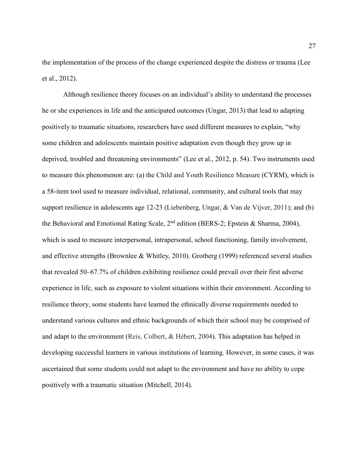the implementation of the process of the change experienced despite the distress or trauma (Lee et al., 2012).

Although resilience theory focuses on an individual's ability to understand the processes he or she experiences in life and the anticipated outcomes (Ungar, 2013) that lead to adapting positively to traumatic situations, researchers have used different measures to explain, "why some children and adolescents maintain positive adaptation even though they grow up in deprived, troubled and threatening environments" (Lee et al., 2012, p. 54). Two instruments used to measure this phenomenon are: (a) the Child and Youth Resilience Measure (CYRM), which is a 58-item tool used to measure individual, relational, community, and cultural tools that may support resilience in adolescents age 12-23 (Liebenberg, Ungar, & Van de Vijver, 2011); and (b) the Behavioral and Emotional Rating Scale,  $2<sup>nd</sup>$  edition (BERS-2; Epstein & Sharma, 2004), which is used to measure interpersonal, intrapersonal, school functioning, family involvement, and effective strengths (Brownlee & Whitley, 2010). Grotberg (1999) referenced several studies that revealed 50–67.7% of children exhibiting resilience could prevail over their first adverse experience in life, such as exposure to violent situations within their environment. According to resilience theory, some students have learned the ethnically diverse requirements needed to understand various cultures and ethnic backgrounds of which their school may be comprised of and adapt to the environment (Reis, Colbert, & Hébert, 2004). This adaptation has helped in developing successful learners in various institutions of learning. However, in some cases, it was ascertained that some students could not adapt to the environment and have no ability to cope positively with a traumatic situation (Mitchell, 2014).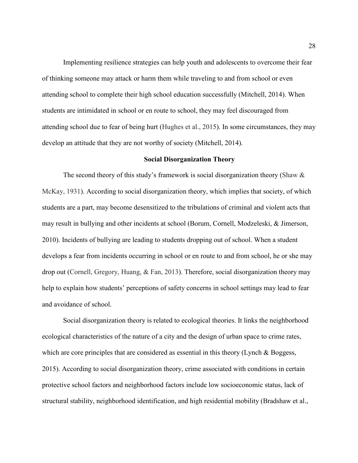Implementing resilience strategies can help youth and adolescents to overcome their fear of thinking someone may attack or harm them while traveling to and from school or even attending school to complete their high school education successfully (Mitchell, 2014). When students are intimidated in school or en route to school, they may feel discouraged from attending school due to fear of being hurt (Hughes et al., 2015). In some circumstances, they may develop an attitude that they are not worthy of society (Mitchell, 2014).

## **Social Disorganization Theory**

The second theory of this study's framework is social disorganization theory (Shaw  $\&$ McKay, 1931). According to social disorganization theory, which implies that society, of which students are a part, may become desensitized to the tribulations of criminal and violent acts that may result in bullying and other incidents at school (Borum, Cornell, Modzeleski, & Jimerson, 2010). Incidents of bullying are leading to students dropping out of school. When a student develops a fear from incidents occurring in school or en route to and from school, he or she may drop out (Cornell, Gregory, Huang, & Fan, 2013). Therefore, social disorganization theory may help to explain how students' perceptions of safety concerns in school settings may lead to fear and avoidance of school.

Social disorganization theory is related to ecological theories. It links the neighborhood ecological characteristics of the nature of a city and the design of urban space to crime rates, which are core principles that are considered as essential in this theory (Lynch  $\&$  Boggess, 2015). According to social disorganization theory, crime associated with conditions in certain protective school factors and neighborhood factors include low socioeconomic status, lack of structural stability, neighborhood identification, and high residential mobility (Bradshaw et al.,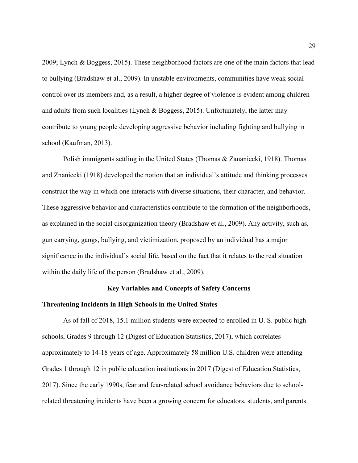2009; Lynch & Boggess, 2015). These neighborhood factors are one of the main factors that lead to bullying (Bradshaw et al., 2009). In unstable environments, communities have weak social control over its members and, as a result, a higher degree of violence is evident among children and adults from such localities (Lynch & Boggess, 2015). Unfortunately, the latter may contribute to young people developing aggressive behavior including fighting and bullying in school (Kaufman, 2013).

Polish immigrants settling in the United States (Thomas & Zananiecki, 1918). Thomas and Znaniecki (1918) developed the notion that an individual's attitude and thinking processes construct the way in which one interacts with diverse situations, their character, and behavior. These aggressive behavior and characteristics contribute to the formation of the neighborhoods, as explained in the social disorganization theory (Bradshaw et al., 2009). Any activity, such as, gun carrying, gangs, bullying, and victimization, proposed by an individual has a major significance in the individual's social life, based on the fact that it relates to the real situation within the daily life of the person (Bradshaw et al., 2009).

# **Key Variables and Concepts of Safety Concerns**

# **Threatening Incidents in High Schools in the United States**

As of fall of 2018, 15.1 million students were expected to enrolled in U. S. public high schools, Grades 9 through 12 (Digest of Education Statistics, 2017), which correlates approximately to 14-18 years of age. Approximately 58 million U.S. children were attending Grades 1 through 12 in public education institutions in 2017 (Digest of Education Statistics, 2017). Since the early 1990s, fear and fear-related school avoidance behaviors due to schoolrelated threatening incidents have been a growing concern for educators, students, and parents.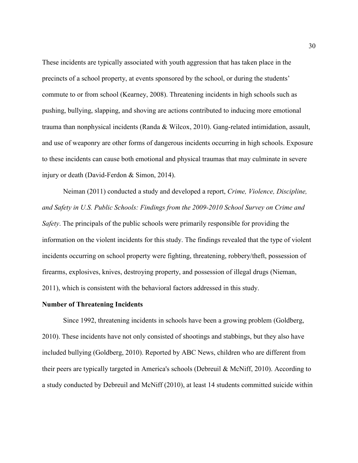These incidents are typically associated with youth aggression that has taken place in the precincts of a school property, at events sponsored by the school, or during the students' commute to or from school (Kearney, 2008). Threatening incidents in high schools such as pushing, bullying, slapping, and shoving are actions contributed to inducing more emotional trauma than nonphysical incidents (Randa & Wilcox, 2010). Gang-related intimidation, assault, and use of weaponry are other forms of dangerous incidents occurring in high schools. Exposure to these incidents can cause both emotional and physical traumas that may culminate in severe injury or death (David-Ferdon & Simon, 2014).

Neiman (2011) conducted a study and developed a report, *Crime, Violence, Discipline, and Safety in U.S. Public Schools: Findings from the 2009-2010 School Survey on Crime and Safety*. The principals of the public schools were primarily responsible for providing the information on the violent incidents for this study. The findings revealed that the type of violent incidents occurring on school property were fighting, threatening, robbery/theft, possession of firearms, explosives, knives, destroying property, and possession of illegal drugs (Nieman, 2011), which is consistent with the behavioral factors addressed in this study.

# **Number of Threatening Incidents**

Since 1992, threatening incidents in schools have been a growing problem (Goldberg, 2010). These incidents have not only consisted of shootings and stabbings, but they also have included bullying (Goldberg, 2010). Reported by ABC News, children who are different from their peers are typically targeted in America's schools (Debreuil & McNiff, 2010). According to a study conducted by Debreuil and McNiff (2010), at least 14 students committed suicide within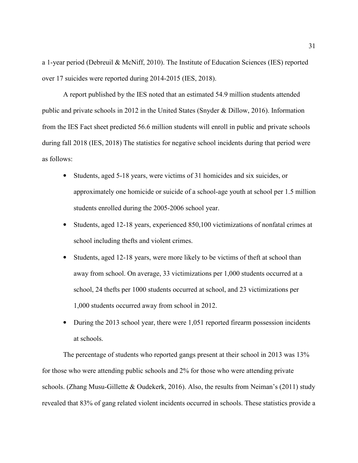a 1-year period (Debreuil & McNiff, 2010). The Institute of Education Sciences (IES) reported over 17 suicides were reported during 2014-2015 (IES, 2018).

A report published by the IES noted that an estimated 54.9 million students attended public and private schools in 2012 in the United States (Snyder & Dillow, 2016). Information from the IES Fact sheet predicted 56.6 million students will enroll in public and private schools during fall 2018 (IES, 2018) The statistics for negative school incidents during that period were as follows:

- Students, aged 5-18 years, were victims of 31 homicides and six suicides, or approximately one homicide or suicide of a school-age youth at school per 1.5 million students enrolled during the 2005-2006 school year.
- Students, aged 12-18 years, experienced 850,100 victimizations of nonfatal crimes at school including thefts and violent crimes.
- Students, aged 12-18 years, were more likely to be victims of theft at school than away from school. On average, 33 victimizations per 1,000 students occurred at a school, 24 thefts per 1000 students occurred at school, and 23 victimizations per 1,000 students occurred away from school in 2012.
- During the 2013 school year, there were 1,051 reported firearm possession incidents at schools.

The percentage of students who reported gangs present at their school in 2013 was 13% for those who were attending public schools and 2% for those who were attending private schools. (Zhang Musu-Gillette & Oudekerk, 2016). Also, the results from Neiman's (2011) study revealed that 83% of gang related violent incidents occurred in schools. These statistics provide a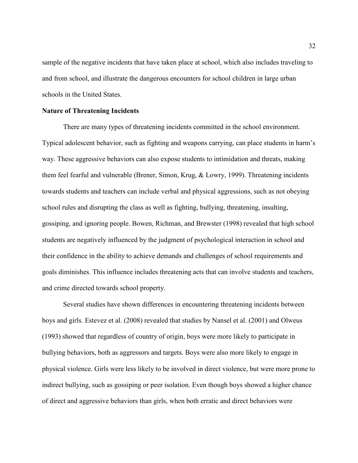sample of the negative incidents that have taken place at school, which also includes traveling to and from school, and illustrate the dangerous encounters for school children in large urban schools in the United States.

# **Nature of Threatening Incidents**

There are many types of threatening incidents committed in the school environment. Typical adolescent behavior, such as fighting and weapons carrying, can place students in harm's way. These aggressive behaviors can also expose students to intimidation and threats, making them feel fearful and vulnerable (Brener, Simon, Krug, & Lowry, 1999). Threatening incidents towards students and teachers can include verbal and physical aggressions, such as not obeying school rules and disrupting the class as well as fighting, bullying, threatening, insulting, gossiping, and ignoring people. Bowen, Richman, and Brewster (1998) revealed that high school students are negatively influenced by the judgment of psychological interaction in school and their confidence in the ability to achieve demands and challenges of school requirements and goals diminishes. This influence includes threatening acts that can involve students and teachers, and crime directed towards school property.

Several studies have shown differences in encountering threatening incidents between boys and girls. Estevez et al. (2008) revealed that studies by Nansel et al. (2001) and Olweus (1993) showed that regardless of country of origin, boys were more likely to participate in bullying behaviors, both as aggressors and targets. Boys were also more likely to engage in physical violence. Girls were less likely to be involved in direct violence, but were more prone to indirect bullying, such as gossiping or peer isolation. Even though boys showed a higher chance of direct and aggressive behaviors than girls, when both erratic and direct behaviors were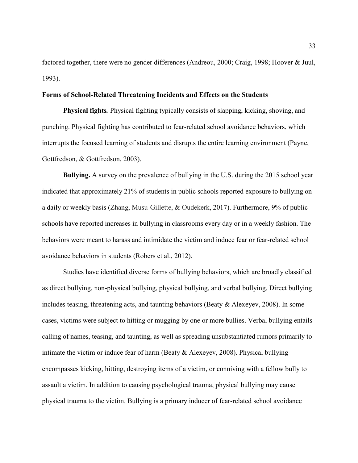factored together, there were no gender differences (Andreou, 2000; Craig, 1998; Hoover & Juul, 1993).

# **Forms of School-Related Threatening Incidents and Effects on the Students**

**Physical fights***.* Physical fighting typically consists of slapping, kicking, shoving, and punching. Physical fighting has contributed to fear-related school avoidance behaviors, which interrupts the focused learning of students and disrupts the entire learning environment (Payne, Gottfredson, & Gottfredson, 2003).

**Bullying.** A survey on the prevalence of bullying in the U.S. during the 2015 school year indicated that approximately 21% of students in public schools reported exposure to bullying on a daily or weekly basis (Zhang, Musu-Gillette, & Oudekerk, 2017). Furthermore, 9% of public schools have reported increases in bullying in classrooms every day or in a weekly fashion. The behaviors were meant to harass and intimidate the victim and induce fear or fear-related school avoidance behaviors in students (Robers et al., 2012).

Studies have identified diverse forms of bullying behaviors, which are broadly classified as direct bullying, non-physical bullying, physical bullying, and verbal bullying. Direct bullying includes teasing, threatening acts, and taunting behaviors (Beaty & Alexeyev, 2008). In some cases, victims were subject to hitting or mugging by one or more bullies. Verbal bullying entails calling of names, teasing, and taunting, as well as spreading unsubstantiated rumors primarily to intimate the victim or induce fear of harm (Beaty & Alexeyev, 2008). Physical bullying encompasses kicking, hitting, destroying items of a victim, or conniving with a fellow bully to assault a victim. In addition to causing psychological trauma, physical bullying may cause physical trauma to the victim. Bullying is a primary inducer of fear-related school avoidance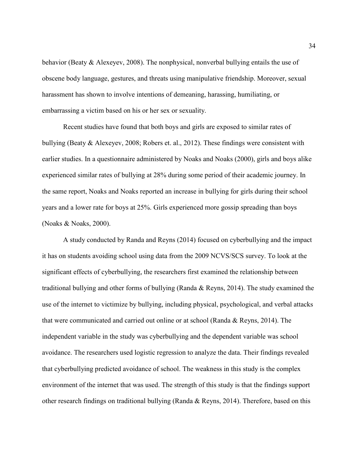behavior (Beaty & Alexeyev, 2008). The nonphysical, nonverbal bullying entails the use of obscene body language, gestures, and threats using manipulative friendship. Moreover, sexual harassment has shown to involve intentions of demeaning, harassing, humiliating, or embarrassing a victim based on his or her sex or sexuality.

Recent studies have found that both boys and girls are exposed to similar rates of bullying (Beaty & Alexeyev, 2008; Robers et. al., 2012). These findings were consistent with earlier studies. In a questionnaire administered by Noaks and Noaks (2000), girls and boys alike experienced similar rates of bullying at 28% during some period of their academic journey. In the same report, Noaks and Noaks reported an increase in bullying for girls during their school years and a lower rate for boys at 25%. Girls experienced more gossip spreading than boys (Noaks & Noaks, 2000).

A study conducted by Randa and Reyns (2014) focused on cyberbullying and the impact it has on students avoiding school using data from the 2009 NCVS/SCS survey. To look at the significant effects of cyberbullying, the researchers first examined the relationship between traditional bullying and other forms of bullying (Randa & Reyns, 2014). The study examined the use of the internet to victimize by bullying, including physical, psychological, and verbal attacks that were communicated and carried out online or at school (Randa & Reyns, 2014). The independent variable in the study was cyberbullying and the dependent variable was school avoidance. The researchers used logistic regression to analyze the data. Their findings revealed that cyberbullying predicted avoidance of school. The weakness in this study is the complex environment of the internet that was used. The strength of this study is that the findings support other research findings on traditional bullying (Randa & Reyns, 2014). Therefore, based on this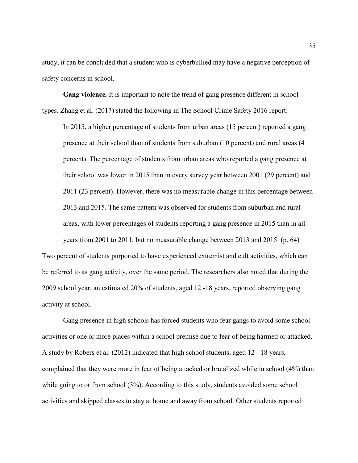study, it can be concluded that a student who is cyberbullied may have a negative perception of safety concerns in school.

**Gang violence***.* It is important to note the trend of gang presence different in school types. Zhang et al. (2017) stated the following in The School Crime Safety 2016 report:

In 2015, a higher percentage of students from urban areas (15 percent) reported a gang presence at their school than of students from suburban (10 percent) and rural areas (4 percent). The percentage of students from urban areas who reported a gang presence at their school was lower in 2015 than in every survey year between 2001 (29 percent) and 2011 (23 percent). However, there was no measurable change in this percentage between 2013 and 2015. The same pattern was observed for students from suburban and rural areas, with lower percentages of students reporting a gang presence in 2015 than in all years from 2001 to 2011, but no measurable change between 2013 and 2015. (p. 64)

Two percent of students purported to have experienced extremist and cult activities, which can be referred to as gang activity, over the same period. The researchers also noted that during the 2009 school year, an estimated 20% of students, aged 12 -18 years, reported observing gang activity at school.

Gang presence in high schools has forced students who fear gangs to avoid some school activities or one or more places within a school premise due to fear of being harmed or attacked. A study by Robers et al. (2012) indicated that high school students, aged 12 - 18 years, complained that they were more in fear of being attacked or brutalized while in school (4%) than while going to or from school (3%). According to this study, students avoided some school activities and skipped classes to stay at home and away from school. Other students reported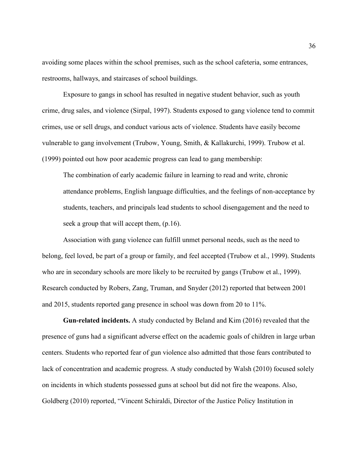avoiding some places within the school premises, such as the school cafeteria, some entrances, restrooms, hallways, and staircases of school buildings.

Exposure to gangs in school has resulted in negative student behavior, such as youth crime, drug sales, and violence (Sirpal, 1997). Students exposed to gang violence tend to commit crimes, use or sell drugs, and conduct various acts of violence. Students have easily become vulnerable to gang involvement (Trubow, Young, Smith, & Kallakurchi, 1999). Trubow et al. (1999) pointed out how poor academic progress can lead to gang membership:

The combination of early academic failure in learning to read and write, chronic attendance problems, English language difficulties, and the feelings of non-acceptance by students, teachers, and principals lead students to school disengagement and the need to seek a group that will accept them, (p.16).

Association with gang violence can fulfill unmet personal needs, such as the need to belong, feel loved, be part of a group or family, and feel accepted (Trubow et al., 1999). Students who are in secondary schools are more likely to be recruited by gangs (Trubow et al., 1999). Research conducted by Robers, Zang, Truman, and Snyder (2012) reported that between 2001 and 2015, students reported gang presence in school was down from 20 to 11%.

**Gun-related incidents.** A study conducted by Beland and Kim (2016) revealed that the presence of guns had a significant adverse effect on the academic goals of children in large urban centers. Students who reported fear of gun violence also admitted that those fears contributed to lack of concentration and academic progress. A study conducted by Walsh (2010) focused solely on incidents in which students possessed guns at school but did not fire the weapons. Also, Goldberg (2010) reported, "Vincent Schiraldi, Director of the Justice Policy Institution in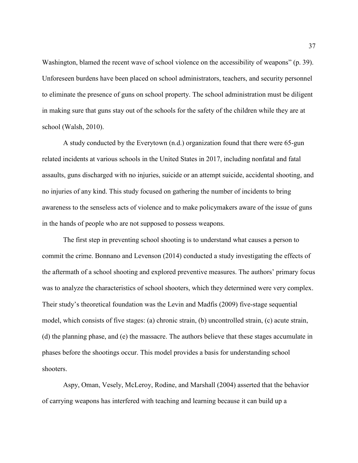Washington, blamed the recent wave of school violence on the accessibility of weapons" (p. 39). Unforeseen burdens have been placed on school administrators, teachers, and security personnel to eliminate the presence of guns on school property. The school administration must be diligent in making sure that guns stay out of the schools for the safety of the children while they are at school (Walsh, 2010).

 A study conducted by the Everytown (n.d.) organization found that there were 65-gun related incidents at various schools in the United States in 2017, including nonfatal and fatal assaults, guns discharged with no injuries, suicide or an attempt suicide, accidental shooting, and no injuries of any kind. This study focused on gathering the number of incidents to bring awareness to the senseless acts of violence and to make policymakers aware of the issue of guns in the hands of people who are not supposed to possess weapons.

The first step in preventing school shooting is to understand what causes a person to commit the crime. Bonnano and Levenson (2014) conducted a study investigating the effects of the aftermath of a school shooting and explored preventive measures. The authors' primary focus was to analyze the characteristics of school shooters, which they determined were very complex. Their study's theoretical foundation was the Levin and Madfis (2009) five-stage sequential model, which consists of five stages: (a) chronic strain, (b) uncontrolled strain, (c) acute strain, (d) the planning phase, and (e) the massacre. The authors believe that these stages accumulate in phases before the shootings occur. This model provides a basis for understanding school shooters.

Aspy, Oman, Vesely, McLeroy, Rodine, and Marshall (2004) asserted that the behavior of carrying weapons has interfered with teaching and learning because it can build up a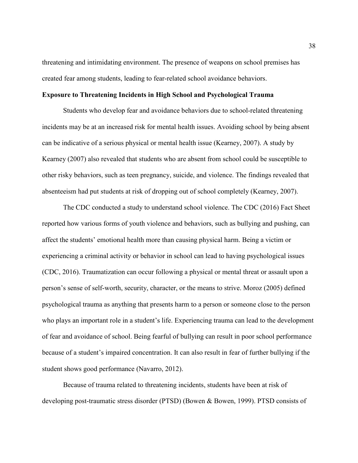threatening and intimidating environment. The presence of weapons on school premises has created fear among students, leading to fear-related school avoidance behaviors.

# **Exposure to Threatening Incidents in High School and Psychological Trauma**

Students who develop fear and avoidance behaviors due to school-related threatening incidents may be at an increased risk for mental health issues. Avoiding school by being absent can be indicative of a serious physical or mental health issue (Kearney, 2007). A study by Kearney (2007) also revealed that students who are absent from school could be susceptible to other risky behaviors, such as teen pregnancy, suicide, and violence. The findings revealed that absenteeism had put students at risk of dropping out of school completely (Kearney, 2007).

The CDC conducted a study to understand school violence. The CDC (2016) Fact Sheet reported how various forms of youth violence and behaviors, such as bullying and pushing, can affect the students' emotional health more than causing physical harm. Being a victim or experiencing a criminal activity or behavior in school can lead to having psychological issues (CDC, 2016). Traumatization can occur following a physical or mental threat or assault upon a person's sense of self-worth, security, character, or the means to strive. Moroz (2005) defined psychological trauma as anything that presents harm to a person or someone close to the person who plays an important role in a student's life. Experiencing trauma can lead to the development of fear and avoidance of school. Being fearful of bullying can result in poor school performance because of a student's impaired concentration. It can also result in fear of further bullying if the student shows good performance (Navarro, 2012).

Because of trauma related to threatening incidents, students have been at risk of developing post-traumatic stress disorder (PTSD) (Bowen & Bowen, 1999). PTSD consists of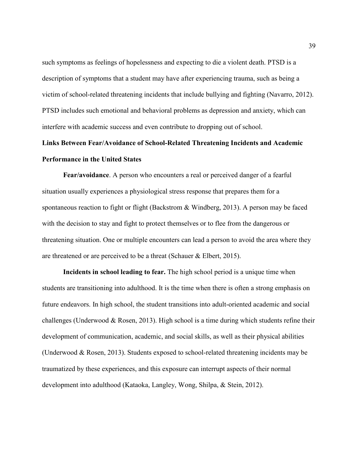such symptoms as feelings of hopelessness and expecting to die a violent death. PTSD is a description of symptoms that a student may have after experiencing trauma, such as being a victim of school-related threatening incidents that include bullying and fighting (Navarro, 2012). PTSD includes such emotional and behavioral problems as depression and anxiety, which can interfere with academic success and even contribute to dropping out of school.

# **Links Between Fear/Avoidance of School-Related Threatening Incidents and Academic Performance in the United States**

**Fear/avoidance**. A person who encounters a real or perceived danger of a fearful situation usually experiences a physiological stress response that prepares them for a spontaneous reaction to fight or flight (Backstrom & Windberg, 2013). A person may be faced with the decision to stay and fight to protect themselves or to flee from the dangerous or threatening situation. One or multiple encounters can lead a person to avoid the area where they are threatened or are perceived to be a threat (Schauer & Elbert, 2015).

**Incidents in school leading to fear.** The high school period is a unique time when students are transitioning into adulthood. It is the time when there is often a strong emphasis on future endeavors. In high school, the student transitions into adult-oriented academic and social challenges (Underwood  $& Rosen, 2013$ ). High school is a time during which students refine their development of communication, academic, and social skills, as well as their physical abilities (Underwood & Rosen, 2013). Students exposed to school-related threatening incidents may be traumatized by these experiences, and this exposure can interrupt aspects of their normal development into adulthood (Kataoka, Langley, Wong, Shilpa, & Stein, 2012).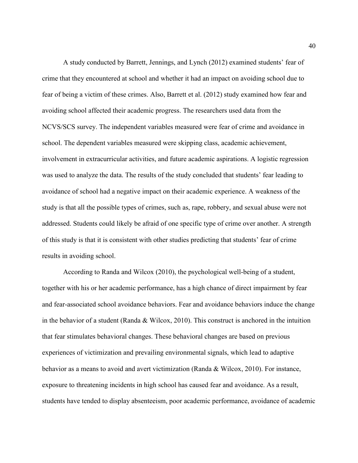A study conducted by Barrett, Jennings, and Lynch (2012) examined students' fear of crime that they encountered at school and whether it had an impact on avoiding school due to fear of being a victim of these crimes. Also, Barrett et al. (2012) study examined how fear and avoiding school affected their academic progress. The researchers used data from the NCVS/SCS survey. The independent variables measured were fear of crime and avoidance in school. The dependent variables measured were skipping class, academic achievement, involvement in extracurricular activities, and future academic aspirations. A logistic regression was used to analyze the data. The results of the study concluded that students' fear leading to avoidance of school had a negative impact on their academic experience. A weakness of the study is that all the possible types of crimes, such as, rape, robbery, and sexual abuse were not addressed. Students could likely be afraid of one specific type of crime over another. A strength of this study is that it is consistent with other studies predicting that students' fear of crime results in avoiding school.

According to Randa and Wilcox (2010), the psychological well-being of a student, together with his or her academic performance, has a high chance of direct impairment by fear and fear-associated school avoidance behaviors. Fear and avoidance behaviors induce the change in the behavior of a student (Randa & Wilcox, 2010). This construct is anchored in the intuition that fear stimulates behavioral changes. These behavioral changes are based on previous experiences of victimization and prevailing environmental signals, which lead to adaptive behavior as a means to avoid and avert victimization (Randa & Wilcox, 2010). For instance, exposure to threatening incidents in high school has caused fear and avoidance. As a result, students have tended to display absenteeism, poor academic performance, avoidance of academic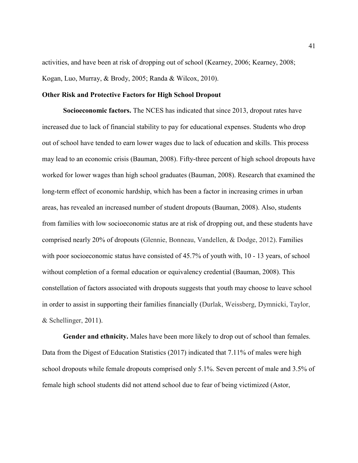activities, and have been at risk of dropping out of school (Kearney, 2006; Kearney, 2008; Kogan, Luo, Murray, & Brody, 2005; Randa & Wilcox, 2010).

# **Other Risk and Protective Factors for High School Dropout**

**Socioeconomic factors.** The NCES has indicated that since 2013, dropout rates have increased due to lack of financial stability to pay for educational expenses. Students who drop out of school have tended to earn lower wages due to lack of education and skills. This process may lead to an economic crisis (Bauman, 2008). Fifty-three percent of high school dropouts have worked for lower wages than high school graduates (Bauman, 2008). Research that examined the long-term effect of economic hardship, which has been a factor in increasing crimes in urban areas, has revealed an increased number of student dropouts (Bauman, 2008). Also, students from families with low socioeconomic status are at risk of dropping out, and these students have comprised nearly 20% of dropouts (Glennie, Bonneau, Vandellen, & Dodge, 2012). Families with poor socioeconomic status have consisted of 45.7% of youth with, 10 - 13 years, of school without completion of a formal education or equivalency credential (Bauman, 2008). This constellation of factors associated with dropouts suggests that youth may choose to leave school in order to assist in supporting their families financially (Durlak, Weissberg, Dymnicki, Taylor, & Schellinger, 2011).

**Gender and ethnicity.** Males have been more likely to drop out of school than females. Data from the Digest of Education Statistics (2017) indicated that 7.11% of males were high school dropouts while female dropouts comprised only 5.1%. Seven percent of male and 3.5% of female high school students did not attend school due to fear of being victimized (Astor,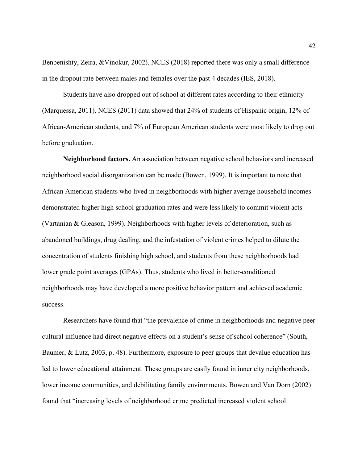Benbenishty, Zeira, &Vinokur, 2002). NCES (2018) reported there was only a small difference in the dropout rate between males and females over the past 4 decades (IES, 2018).

Students have also dropped out of school at different rates according to their ethnicity (Marquessa, 2011). NCES (2011) data showed that 24% of students of Hispanic origin, 12% of African-American students, and 7% of European American students were most likely to drop out before graduation.

**Neighborhood factors.** An association between negative school behaviors and increased neighborhood social disorganization can be made (Bowen, 1999). It is important to note that African American students who lived in neighborhoods with higher average household incomes demonstrated higher high school graduation rates and were less likely to commit violent acts (Vartanian & Gleason, 1999). Neighborhoods with higher levels of deterioration, such as abandoned buildings, drug dealing, and the infestation of violent crimes helped to dilute the concentration of students finishing high school, and students from these neighborhoods had lower grade point averages (GPAs). Thus, students who lived in better-conditioned neighborhoods may have developed a more positive behavior pattern and achieved academic success.

Researchers have found that "the prevalence of crime in neighborhoods and negative peer cultural influence had direct negative effects on a student's sense of school coherence" (South, Baumer, & Lutz, 2003, p. 48). Furthermore, exposure to peer groups that devalue education has led to lower educational attainment. These groups are easily found in inner city neighborhoods, lower income communities, and debilitating family environments. Bowen and Van Dorn (2002) found that "increasing levels of neighborhood crime predicted increased violent school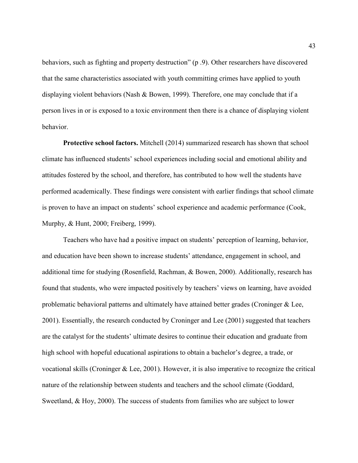behaviors, such as fighting and property destruction" (p .9). Other researchers have discovered that the same characteristics associated with youth committing crimes have applied to youth displaying violent behaviors (Nash & Bowen, 1999). Therefore, one may conclude that if a person lives in or is exposed to a toxic environment then there is a chance of displaying violent behavior.

**Protective school factors.** Mitchell (2014) summarized research has shown that school climate has influenced students' school experiences including social and emotional ability and attitudes fostered by the school, and therefore, has contributed to how well the students have performed academically. These findings were consistent with earlier findings that school climate is proven to have an impact on students' school experience and academic performance (Cook, Murphy, & Hunt, 2000; Freiberg, 1999).

Teachers who have had a positive impact on students' perception of learning, behavior, and education have been shown to increase students' attendance, engagement in school, and additional time for studying (Rosenfield, Rachman, & Bowen, 2000). Additionally, research has found that students, who were impacted positively by teachers' views on learning, have avoided problematic behavioral patterns and ultimately have attained better grades (Croninger & Lee, 2001). Essentially, the research conducted by Croninger and Lee (2001) suggested that teachers are the catalyst for the students' ultimate desires to continue their education and graduate from high school with hopeful educational aspirations to obtain a bachelor's degree, a trade, or vocational skills (Croninger & Lee, 2001). However, it is also imperative to recognize the critical nature of the relationship between students and teachers and the school climate (Goddard, Sweetland, & Hoy, 2000). The success of students from families who are subject to lower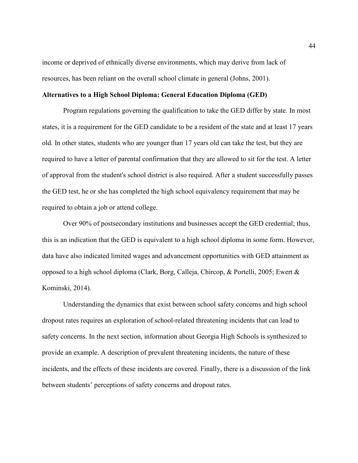income or deprived of ethnically diverse environments, which may derive from lack of resources, has been reliant on the overall school climate in general (Johns, 2001).

# **Alternatives to a High School Diploma: General Education Diploma (GED)**

Program regulations governing the qualification to take the GED differ by state. In most states, it is a requirement for the GED candidate to be a resident of the state and at least 17 years old. In other states, students who are younger than 17 years old can take the test, but they are required to have a letter of parental confirmation that they are allowed to sit for the test. A letter of approval from the student's school district is also required. After a student successfully passes the GED test, he or she has completed the high school equivalency requirement that may be required to obtain a job or attend college.

Over 90% of postsecondary institutions and businesses accept the GED credential; thus, this is an indication that the GED is equivalent to a high school diploma in some form. However, data have also indicated limited wages and advancement opportunities with GED attainment as opposed to a high school diploma (Clark, Borg, Calleja, Chircop, & Portelli, 2005; Ewert & Kominski, 2014).

Understanding the dynamics that exist between school safety concerns and high school dropout rates requires an exploration of school-related threatening incidents that can lead to safety concerns. In the next section, information about Georgia High Schools is synthesized to provide an example. A description of prevalent threatening incidents, the nature of these incidents, and the effects of these incidents are covered. Finally, there is a discussion of the link between students' perceptions of safety concerns and dropout rates.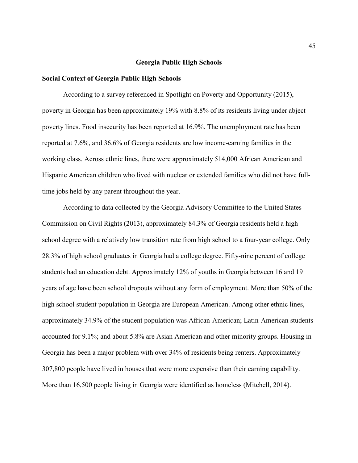## **Georgia Public High Schools**

## **Social Context of Georgia Public High Schools**

According to a survey referenced in Spotlight on Poverty and Opportunity (2015), poverty in Georgia has been approximately 19% with 8.8% of its residents living under abject poverty lines. Food insecurity has been reported at 16.9%. The unemployment rate has been reported at 7.6%, and 36.6% of Georgia residents are low income-earning families in the working class. Across ethnic lines, there were approximately 514,000 African American and Hispanic American children who lived with nuclear or extended families who did not have fulltime jobs held by any parent throughout the year.

According to data collected by the Georgia Advisory Committee to the United States Commission on Civil Rights (2013), approximately 84.3% of Georgia residents held a high school degree with a relatively low transition rate from high school to a four-year college. Only 28.3% of high school graduates in Georgia had a college degree. Fifty-nine percent of college students had an education debt. Approximately 12% of youths in Georgia between 16 and 19 years of age have been school dropouts without any form of employment. More than 50% of the high school student population in Georgia are European American. Among other ethnic lines, approximately 34.9% of the student population was African-American; Latin-American students accounted for 9.1%; and about 5.8% are Asian American and other minority groups. Housing in Georgia has been a major problem with over 34% of residents being renters. Approximately 307,800 people have lived in houses that were more expensive than their earning capability. More than 16,500 people living in Georgia were identified as homeless (Mitchell, 2014).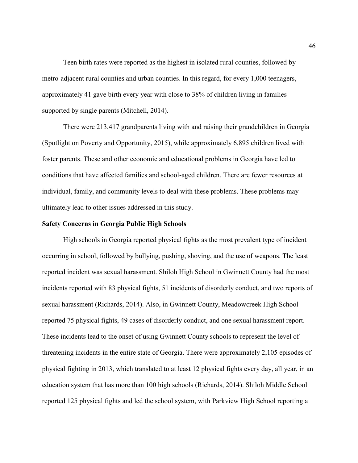Teen birth rates were reported as the highest in isolated rural counties, followed by metro-adjacent rural counties and urban counties. In this regard, for every 1,000 teenagers, approximately 41 gave birth every year with close to 38% of children living in families supported by single parents (Mitchell, 2014).

There were 213,417 grandparents living with and raising their grandchildren in Georgia (Spotlight on Poverty and Opportunity, 2015), while approximately 6,895 children lived with foster parents. These and other economic and educational problems in Georgia have led to conditions that have affected families and school-aged children. There are fewer resources at individual, family, and community levels to deal with these problems. These problems may ultimately lead to other issues addressed in this study.

## **Safety Concerns in Georgia Public High Schools**

High schools in Georgia reported physical fights as the most prevalent type of incident occurring in school, followed by bullying, pushing, shoving, and the use of weapons. The least reported incident was sexual harassment. Shiloh High School in Gwinnett County had the most incidents reported with 83 physical fights, 51 incidents of disorderly conduct, and two reports of sexual harassment (Richards, 2014). Also, in Gwinnett County, Meadowcreek High School reported 75 physical fights, 49 cases of disorderly conduct, and one sexual harassment report. These incidents lead to the onset of using Gwinnett County schools to represent the level of threatening incidents in the entire state of Georgia. There were approximately 2,105 episodes of physical fighting in 2013, which translated to at least 12 physical fights every day, all year, in an education system that has more than 100 high schools (Richards, 2014). Shiloh Middle School reported 125 physical fights and led the school system, with Parkview High School reporting a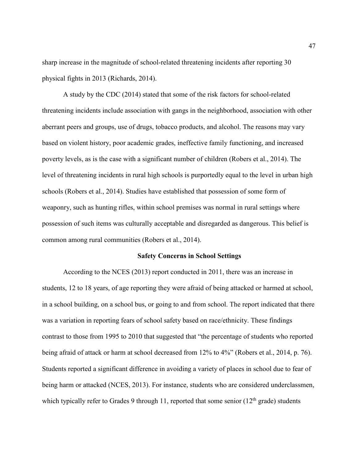sharp increase in the magnitude of school-related threatening incidents after reporting 30 physical fights in 2013 (Richards, 2014).

A study by the CDC (2014) stated that some of the risk factors for school-related threatening incidents include association with gangs in the neighborhood, association with other aberrant peers and groups, use of drugs, tobacco products, and alcohol. The reasons may vary based on violent history, poor academic grades, ineffective family functioning, and increased poverty levels, as is the case with a significant number of children (Robers et al., 2014). The level of threatening incidents in rural high schools is purportedly equal to the level in urban high schools (Robers et al., 2014). Studies have established that possession of some form of weaponry, such as hunting rifles, within school premises was normal in rural settings where possession of such items was culturally acceptable and disregarded as dangerous. This belief is common among rural communities (Robers et al., 2014).

## **Safety Concerns in School Settings**

According to the NCES (2013) report conducted in 2011, there was an increase in students, 12 to 18 years, of age reporting they were afraid of being attacked or harmed at school, in a school building, on a school bus, or going to and from school. The report indicated that there was a variation in reporting fears of school safety based on race/ethnicity. These findings contrast to those from 1995 to 2010 that suggested that "the percentage of students who reported being afraid of attack or harm at school decreased from 12% to 4%" (Robers et al., 2014, p. 76). Students reported a significant difference in avoiding a variety of places in school due to fear of being harm or attacked (NCES, 2013). For instance, students who are considered underclassmen, which typically refer to Grades 9 through 11, reported that some senior  $(12<sup>th</sup>$  grade) students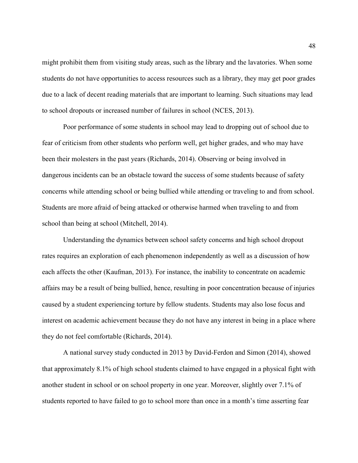might prohibit them from visiting study areas, such as the library and the lavatories. When some students do not have opportunities to access resources such as a library, they may get poor grades due to a lack of decent reading materials that are important to learning. Such situations may lead to school dropouts or increased number of failures in school (NCES, 2013).

Poor performance of some students in school may lead to dropping out of school due to fear of criticism from other students who perform well, get higher grades, and who may have been their molesters in the past years (Richards, 2014). Observing or being involved in dangerous incidents can be an obstacle toward the success of some students because of safety concerns while attending school or being bullied while attending or traveling to and from school. Students are more afraid of being attacked or otherwise harmed when traveling to and from school than being at school (Mitchell, 2014).

Understanding the dynamics between school safety concerns and high school dropout rates requires an exploration of each phenomenon independently as well as a discussion of how each affects the other (Kaufman, 2013). For instance, the inability to concentrate on academic affairs may be a result of being bullied, hence, resulting in poor concentration because of injuries caused by a student experiencing torture by fellow students. Students may also lose focus and interest on academic achievement because they do not have any interest in being in a place where they do not feel comfortable (Richards, 2014).

A national survey study conducted in 2013 by David-Ferdon and Simon (2014), showed that approximately 8.1% of high school students claimed to have engaged in a physical fight with another student in school or on school property in one year. Moreover, slightly over 7.1% of students reported to have failed to go to school more than once in a month's time asserting fear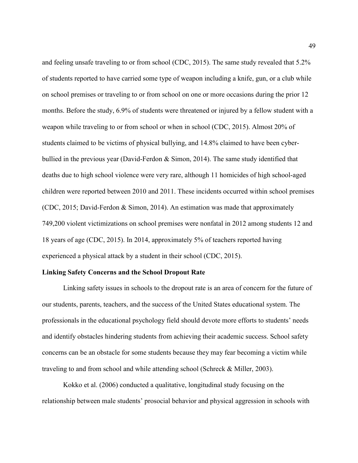and feeling unsafe traveling to or from school (CDC, 2015). The same study revealed that 5.2% of students reported to have carried some type of weapon including a knife, gun, or a club while on school premises or traveling to or from school on one or more occasions during the prior 12 months. Before the study, 6.9% of students were threatened or injured by a fellow student with a weapon while traveling to or from school or when in school (CDC, 2015). Almost 20% of students claimed to be victims of physical bullying, and 14.8% claimed to have been cyberbullied in the previous year (David-Ferdon & Simon, 2014). The same study identified that deaths due to high school violence were very rare, although 11 homicides of high school-aged children were reported between 2010 and 2011. These incidents occurred within school premises (CDC, 2015; David-Ferdon & Simon, 2014). An estimation was made that approximately 749,200 violent victimizations on school premises were nonfatal in 2012 among students 12 and 18 years of age (CDC, 2015). In 2014, approximately 5% of teachers reported having experienced a physical attack by a student in their school (CDC, 2015).

## **Linking Safety Concerns and the School Dropout Rate**

Linking safety issues in schools to the dropout rate is an area of concern for the future of our students, parents, teachers, and the success of the United States educational system. The professionals in the educational psychology field should devote more efforts to students' needs and identify obstacles hindering students from achieving their academic success. School safety concerns can be an obstacle for some students because they may fear becoming a victim while traveling to and from school and while attending school (Schreck & Miller, 2003).

Kokko et al. (2006) conducted a qualitative, longitudinal study focusing on the relationship between male students' prosocial behavior and physical aggression in schools with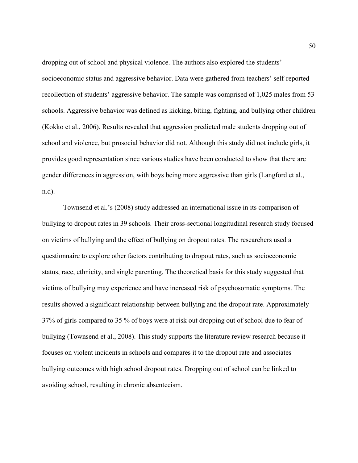dropping out of school and physical violence. The authors also explored the students' socioeconomic status and aggressive behavior. Data were gathered from teachers' self-reported recollection of students' aggressive behavior. The sample was comprised of 1,025 males from 53 schools. Aggressive behavior was defined as kicking, biting, fighting, and bullying other children (Kokko et al., 2006). Results revealed that aggression predicted male students dropping out of school and violence, but prosocial behavior did not. Although this study did not include girls, it provides good representation since various studies have been conducted to show that there are gender differences in aggression, with boys being more aggressive than girls (Langford et al., n.d).

Townsend et al.'s (2008) study addressed an international issue in its comparison of bullying to dropout rates in 39 schools. Their cross-sectional longitudinal research study focused on victims of bullying and the effect of bullying on dropout rates. The researchers used a questionnaire to explore other factors contributing to dropout rates, such as socioeconomic status, race, ethnicity, and single parenting. The theoretical basis for this study suggested that victims of bullying may experience and have increased risk of psychosomatic symptoms. The results showed a significant relationship between bullying and the dropout rate. Approximately 37% of girls compared to 35 % of boys were at risk out dropping out of school due to fear of bullying (Townsend et al., 2008). This study supports the literature review research because it focuses on violent incidents in schools and compares it to the dropout rate and associates bullying outcomes with high school dropout rates. Dropping out of school can be linked to avoiding school, resulting in chronic absenteeism.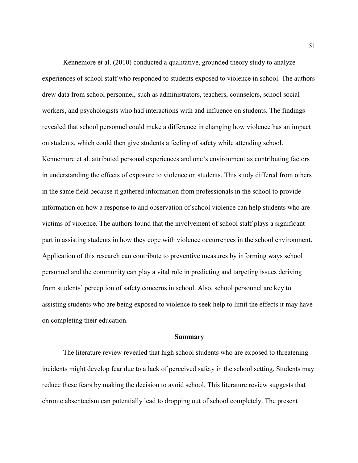Kennemore et al. (2010) conducted a qualitative, grounded theory study to analyze experiences of school staff who responded to students exposed to violence in school. The authors drew data from school personnel, such as administrators, teachers, counselors, school social workers, and psychologists who had interactions with and influence on students. The findings revealed that school personnel could make a difference in changing how violence has an impact on students, which could then give students a feeling of safety while attending school. Kennemore et al. attributed personal experiences and one's environment as contributing factors in understanding the effects of exposure to violence on students. This study differed from others in the same field because it gathered information from professionals in the school to provide information on how a response to and observation of school violence can help students who are victims of violence. The authors found that the involvement of school staff plays a significant part in assisting students in how they cope with violence occurrences in the school environment. Application of this research can contribute to preventive measures by informing ways school personnel and the community can play a vital role in predicting and targeting issues deriving from students' perception of safety concerns in school. Also, school personnel are key to assisting students who are being exposed to violence to seek help to limit the effects it may have on completing their education.

#### **Summary**

The literature review revealed that high school students who are exposed to threatening incidents might develop fear due to a lack of perceived safety in the school setting. Students may reduce these fears by making the decision to avoid school. This literature review suggests that chronic absenteeism can potentially lead to dropping out of school completely. The present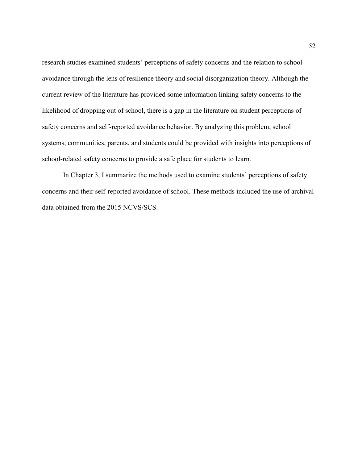research studies examined students' perceptions of safety concerns and the relation to school avoidance through the lens of resilience theory and social disorganization theory. Although the current review of the literature has provided some information linking safety concerns to the likelihood of dropping out of school, there is a gap in the literature on student perceptions of safety concerns and self-reported avoidance behavior. By analyzing this problem, school systems, communities, parents, and students could be provided with insights into perceptions of school-related safety concerns to provide a safe place for students to learn.

In Chapter 3, I summarize the methods used to examine students' perceptions of safety concerns and their self-reported avoidance of school. These methods included the use of archival data obtained from the 2015 NCVS/SCS.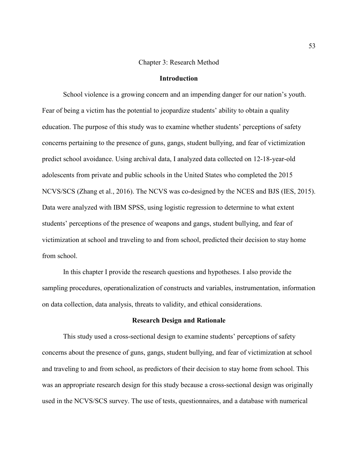## Chapter 3: Research Method

# **Introduction**

School violence is a growing concern and an impending danger for our nation's youth. Fear of being a victim has the potential to jeopardize students' ability to obtain a quality education. The purpose of this study was to examine whether students' perceptions of safety concerns pertaining to the presence of guns, gangs, student bullying, and fear of victimization predict school avoidance. Using archival data, I analyzed data collected on 12-18-year-old adolescents from private and public schools in the United States who completed the 2015 NCVS/SCS (Zhang et al., 2016). The NCVS was co-designed by the NCES and BJS (IES, 2015). Data were analyzed with IBM SPSS, using logistic regression to determine to what extent students' perceptions of the presence of weapons and gangs, student bullying, and fear of victimization at school and traveling to and from school, predicted their decision to stay home from school.

In this chapter I provide the research questions and hypotheses. I also provide the sampling procedures, operationalization of constructs and variables, instrumentation, information on data collection, data analysis, threats to validity, and ethical considerations.

## **Research Design and Rationale**

 This study used a cross-sectional design to examine students' perceptions of safety concerns about the presence of guns, gangs, student bullying, and fear of victimization at school and traveling to and from school, as predictors of their decision to stay home from school. This was an appropriate research design for this study because a cross-sectional design was originally used in the NCVS/SCS survey. The use of tests, questionnaires, and a database with numerical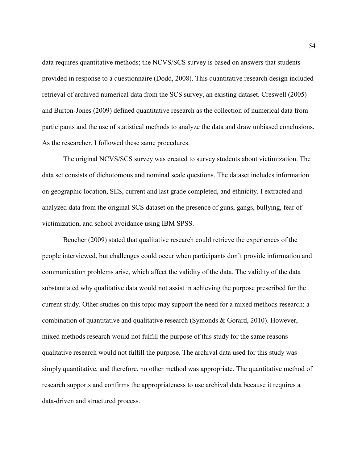data requires quantitative methods; the NCVS/SCS survey is based on answers that students provided in response to a questionnaire (Dodd, 2008). This quantitative research design included retrieval of archived numerical data from the SCS survey, an existing dataset. Creswell (2005) and Burton-Jones (2009) defined quantitative research as the collection of numerical data from participants and the use of statistical methods to analyze the data and draw unbiased conclusions. As the researcher, I followed these same procedures.

The original NCVS/SCS survey was created to survey students about victimization. The data set consists of dichotomous and nominal scale questions. The dataset includes information on geographic location, SES, current and last grade completed, and ethnicity. I extracted and analyzed data from the original SCS dataset on the presence of guns, gangs, bullying, fear of victimization, and school avoidance using IBM SPSS.

Beucher (2009) stated that qualitative research could retrieve the experiences of the people interviewed, but challenges could occur when participants don't provide information and communication problems arise, which affect the validity of the data. The validity of the data substantiated why qualitative data would not assist in achieving the purpose prescribed for the current study. Other studies on this topic may support the need for a mixed methods research: a combination of quantitative and qualitative research (Symonds & Gorard, 2010). However, mixed methods research would not fulfill the purpose of this study for the same reasons qualitative research would not fulfill the purpose. The archival data used for this study was simply quantitative, and therefore, no other method was appropriate. The quantitative method of research supports and confirms the appropriateness to use archival data because it requires a data-driven and structured process.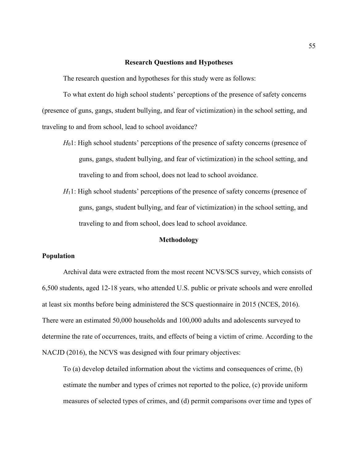## **Research Questions and Hypotheses**

The research question and hypotheses for this study were as follows:

To what extent do high school students' perceptions of the presence of safety concerns (presence of guns, gangs, student bullying, and fear of victimization) in the school setting, and traveling to and from school, lead to school avoidance?

- *H*<sub>0</sub>1: High school students' perceptions of the presence of safety concerns (presence of guns, gangs, student bullying, and fear of victimization) in the school setting, and traveling to and from school, does not lead to school avoidance.
- *H*<sub>1</sub>1: High school students' perceptions of the presence of safety concerns (presence of guns, gangs, student bullying, and fear of victimization) in the school setting, and traveling to and from school, does lead to school avoidance.

# **Methodology**

# **Population**

 Archival data were extracted from the most recent NCVS/SCS survey, which consists of 6,500 students, aged 12-18 years, who attended U.S. public or private schools and were enrolled at least six months before being administered the SCS questionnaire in 2015 (NCES, 2016). There were an estimated 50,000 households and 100,000 adults and adolescents surveyed to determine the rate of occurrences, traits, and effects of being a victim of crime. According to the NACJD (2016), the NCVS was designed with four primary objectives:

To (a) develop detailed information about the victims and consequences of crime, (b) estimate the number and types of crimes not reported to the police, (c) provide uniform measures of selected types of crimes, and (d) permit comparisons over time and types of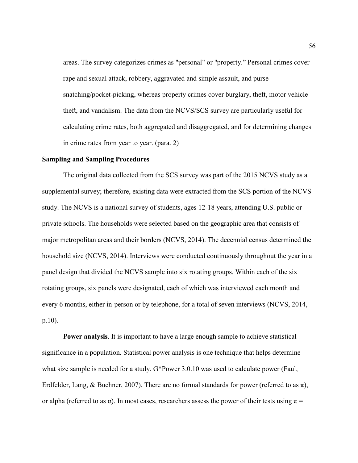areas. The survey categorizes crimes as "personal" or "property." Personal crimes cover rape and sexual attack, robbery, aggravated and simple assault, and pursesnatching/pocket-picking, whereas property crimes cover burglary, theft, motor vehicle theft, and vandalism. The data from the NCVS/SCS survey are particularly useful for calculating crime rates, both aggregated and disaggregated, and for determining changes in crime rates from year to year. (para. 2)

## **Sampling and Sampling Procedures**

The original data collected from the SCS survey was part of the 2015 NCVS study as a supplemental survey; therefore, existing data were extracted from the SCS portion of the NCVS study. The NCVS is a national survey of students, ages 12-18 years, attending U.S. public or private schools. The households were selected based on the geographic area that consists of major metropolitan areas and their borders (NCVS, 2014). The decennial census determined the household size (NCVS, 2014). Interviews were conducted continuously throughout the year in a panel design that divided the NCVS sample into six rotating groups. Within each of the six rotating groups, six panels were designated, each of which was interviewed each month and every 6 months, either in-person or by telephone, for a total of seven interviews (NCVS, 2014, p.10).

**Power analysis**. It is important to have a large enough sample to achieve statistical significance in a population. Statistical power analysis is one technique that helps determine what size sample is needed for a study. G\*Power 3.0.10 was used to calculate power (Faul, Erdfelder, Lang, & Buchner, 2007). There are no formal standards for power (referred to as  $\pi$ ), or alpha (referred to as  $\alpha$ ). In most cases, researchers assess the power of their tests using  $\pi$  =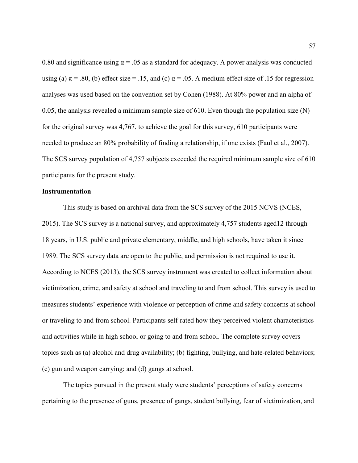0.80 and significance using  $\alpha = 0.05$  as a standard for adequacy. A power analysis was conducted using (a)  $\pi$  = .80, (b) effect size = .15, and (c)  $\alpha$  = .05. A medium effect size of .15 for regression analyses was used based on the convention set by Cohen (1988). At 80% power and an alpha of 0.05, the analysis revealed a minimum sample size of 610. Even though the population size (N) for the original survey was 4,767, to achieve the goal for this survey, 610 participants were needed to produce an 80% probability of finding a relationship, if one exists (Faul et al., 2007). The SCS survey population of 4,757 subjects exceeded the required minimum sample size of 610 participants for the present study.

## **Instrumentation**

This study is based on archival data from the SCS survey of the 2015 NCVS (NCES, 2015). The SCS survey is a national survey, and approximately 4,757 students aged12 through 18 years, in U.S. public and private elementary, middle, and high schools, have taken it since 1989. The SCS survey data are open to the public, and permission is not required to use it. According to NCES (2013), the SCS survey instrument was created to collect information about victimization, crime, and safety at school and traveling to and from school. This survey is used to measures students' experience with violence or perception of crime and safety concerns at school or traveling to and from school. Participants self-rated how they perceived violent characteristics and activities while in high school or going to and from school. The complete survey covers topics such as (a) alcohol and drug availability; (b) fighting, bullying, and hate-related behaviors; (c) gun and weapon carrying; and (d) gangs at school.

The topics pursued in the present study were students' perceptions of safety concerns pertaining to the presence of guns, presence of gangs, student bullying, fear of victimization, and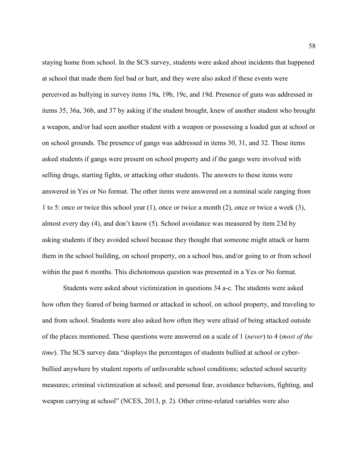staying home from school. In the SCS survey, students were asked about incidents that happened at school that made them feel bad or hurt, and they were also asked if these events were perceived as bullying in survey items 19a, 19b, 19c, and 19d. Presence of guns was addressed in items 35, 36a, 36b, and 37 by asking if the student brought, knew of another student who brought a weapon, and/or had seen another student with a weapon or possessing a loaded gun at school or on school grounds. The presence of gangs was addressed in items 30, 31, and 32. These items asked students if gangs were present on school property and if the gangs were involved with selling drugs, starting fights, or attacking other students. The answers to these items were answered in Yes or No format. The other items were answered on a nominal scale ranging from 1 to 5: once or twice this school year (1), once or twice a month (2), once or twice a week (3), almost every day (4), and don't know (5). School avoidance was measured by item 23d by asking students if they avoided school because they thought that someone might attack or harm them in the school building, on school property, on a school bus, and/or going to or from school within the past 6 months. This dichotomous question was presented in a Yes or No format.

Students were asked about victimization in questions 34 a-c. The students were asked how often they feared of being harmed or attacked in school, on school property, and traveling to and from school. Students were also asked how often they were afraid of being attacked outside of the places mentioned. These questions were answered on a scale of 1 (*never*) to 4 (*most of the time*). The SCS survey data "displays the percentages of students bullied at school or cyberbullied anywhere by student reports of unfavorable school conditions; selected school security measures; criminal victimization at school; and personal fear, avoidance behaviors, fighting, and weapon carrying at school" (NCES, 2013, p. 2). Other crime-related variables were also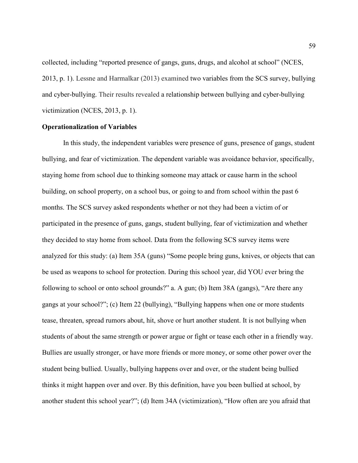collected, including "reported presence of gangs, guns, drugs, and alcohol at school" (NCES, 2013, p. 1). Lessne and Harmalkar (2013) examined two variables from the SCS survey, bullying and cyber-bullying. Their results revealed a relationship between bullying and cyber-bullying victimization (NCES, 2013, p. 1).

# **Operationalization of Variables**

In this study, the independent variables were presence of guns, presence of gangs, student bullying, and fear of victimization. The dependent variable was avoidance behavior, specifically, staying home from school due to thinking someone may attack or cause harm in the school building, on school property, on a school bus, or going to and from school within the past 6 months. The SCS survey asked respondents whether or not they had been a victim of or participated in the presence of guns, gangs, student bullying, fear of victimization and whether they decided to stay home from school. Data from the following SCS survey items were analyzed for this study: (a) Item 35A (guns) "Some people bring guns, knives, or objects that can be used as weapons to school for protection. During this school year, did YOU ever bring the following to school or onto school grounds?" a. A gun; (b) Item 38A (gangs), "Are there any gangs at your school?"; (c) Item 22 (bullying), "Bullying happens when one or more students tease, threaten, spread rumors about, hit, shove or hurt another student. It is not bullying when students of about the same strength or power argue or fight or tease each other in a friendly way. Bullies are usually stronger, or have more friends or more money, or some other power over the student being bullied. Usually, bullying happens over and over, or the student being bullied thinks it might happen over and over. By this definition, have you been bullied at school, by another student this school year?"; (d) Item 34A (victimization), "How often are you afraid that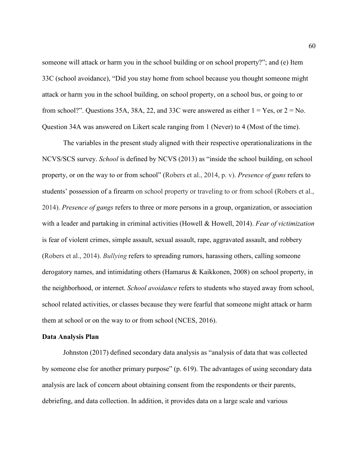someone will attack or harm you in the school building or on school property?"; and (e) Item 33C (school avoidance), "Did you stay home from school because you thought someone might attack or harm you in the school building, on school property, on a school bus, or going to or from school?". Questions 35A, 38A, 22, and 33C were answered as either  $1 = Yes$ , or  $2 = No$ . Question 34A was answered on Likert scale ranging from 1 (Never) to 4 (Most of the time).

 The variables in the present study aligned with their respective operationalizations in the NCVS/SCS survey. *School* is defined by NCVS (2013) as "inside the school building, on school property, or on the way to or from school" (Robers et al., 2014, p. v). *Presence of guns* refers to students' possession of a firearm on school property or traveling to or from school (Robers et al., 2014). *Presence of gangs* refers to three or more persons in a group, organization, or association with a leader and partaking in criminal activities (Howell & Howell, 2014). *Fear of victimization* is fear of violent crimes, simple assault, sexual assault, rape, aggravated assault, and robbery (Robers et al., 2014). *Bullying* refers to spreading rumors, harassing others, calling someone derogatory names, and intimidating others (Hamarus & Kaikkonen, 2008) on school property, in the neighborhood, or internet. *School avoidance* refers to students who stayed away from school, school related activities, or classes because they were fearful that someone might attack or harm them at school or on the way to or from school (NCES, 2016).

## **Data Analysis Plan**

Johnston (2017) defined secondary data analysis as "analysis of data that was collected by someone else for another primary purpose" (p. 619). The advantages of using secondary data analysis are lack of concern about obtaining consent from the respondents or their parents, debriefing, and data collection. In addition, it provides data on a large scale and various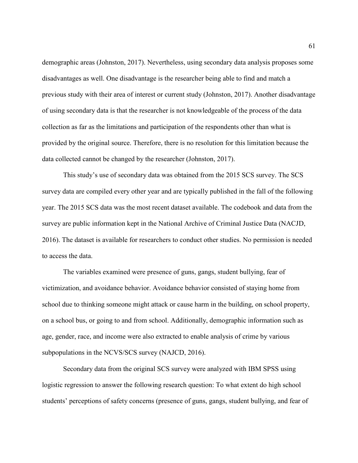demographic areas (Johnston, 2017). Nevertheless, using secondary data analysis proposes some disadvantages as well. One disadvantage is the researcher being able to find and match a previous study with their area of interest or current study (Johnston, 2017). Another disadvantage of using secondary data is that the researcher is not knowledgeable of the process of the data collection as far as the limitations and participation of the respondents other than what is provided by the original source. Therefore, there is no resolution for this limitation because the data collected cannot be changed by the researcher (Johnston, 2017).

This study's use of secondary data was obtained from the 2015 SCS survey. The SCS survey data are compiled every other year and are typically published in the fall of the following year. The 2015 SCS data was the most recent dataset available. The codebook and data from the survey are public information kept in the National Archive of Criminal Justice Data (NACJD, 2016). The dataset is available for researchers to conduct other studies. No permission is needed to access the data.

The variables examined were presence of guns, gangs, student bullying, fear of victimization, and avoidance behavior. Avoidance behavior consisted of staying home from school due to thinking someone might attack or cause harm in the building, on school property, on a school bus, or going to and from school. Additionally, demographic information such as age, gender, race, and income were also extracted to enable analysis of crime by various subpopulations in the NCVS/SCS survey (NAJCD, 2016).

Secondary data from the original SCS survey were analyzed with IBM SPSS using logistic regression to answer the following research question: To what extent do high school students' perceptions of safety concerns (presence of guns, gangs, student bullying, and fear of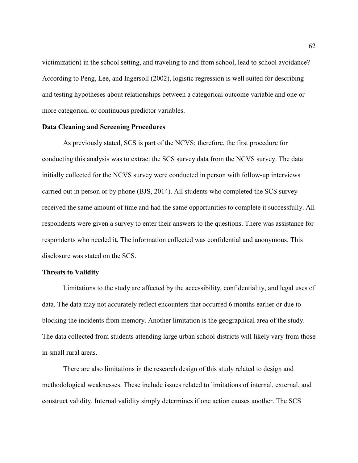victimization) in the school setting, and traveling to and from school, lead to school avoidance? According to Peng, Lee, and Ingersoll (2002), logistic regression is well suited for describing and testing hypotheses about relationships between a categorical outcome variable and one or more categorical or continuous predictor variables.

### **Data Cleaning and Screening Procedures**

As previously stated, SCS is part of the NCVS; therefore, the first procedure for conducting this analysis was to extract the SCS survey data from the NCVS survey. The data initially collected for the NCVS survey were conducted in person with follow-up interviews carried out in person or by phone (BJS, 2014). All students who completed the SCS survey received the same amount of time and had the same opportunities to complete it successfully. All respondents were given a survey to enter their answers to the questions. There was assistance for respondents who needed it. The information collected was confidential and anonymous. This disclosure was stated on the SCS.

### **Threats to Validity**

Limitations to the study are affected by the accessibility, confidentiality, and legal uses of data. The data may not accurately reflect encounters that occurred 6 months earlier or due to blocking the incidents from memory. Another limitation is the geographical area of the study. The data collected from students attending large urban school districts will likely vary from those in small rural areas.

There are also limitations in the research design of this study related to design and methodological weaknesses. These include issues related to limitations of internal, external, and construct validity. Internal validity simply determines if one action causes another. The SCS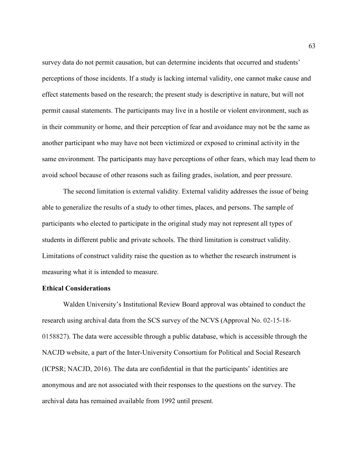survey data do not permit causation, but can determine incidents that occurred and students' perceptions of those incidents. If a study is lacking internal validity, one cannot make cause and effect statements based on the research; the present study is descriptive in nature, but will not permit causal statements. The participants may live in a hostile or violent environment, such as in their community or home, and their perception of fear and avoidance may not be the same as another participant who may have not been victimized or exposed to criminal activity in the same environment. The participants may have perceptions of other fears, which may lead them to avoid school because of other reasons such as failing grades, isolation, and peer pressure.

The second limitation is external validity. External validity addresses the issue of being able to generalize the results of a study to other times, places, and persons. The sample of participants who elected to participate in the original study may not represent all types of students in different public and private schools. The third limitation is construct validity. Limitations of construct validity raise the question as to whether the research instrument is measuring what it is intended to measure.

# **Ethical Considerations**

 Walden University's Institutional Review Board approval was obtained to conduct the research using archival data from the SCS survey of the NCVS (Approval No. 02-15-18- 0158827). The data were accessible through a public database, which is accessible through the NACJD website, a part of the Inter-University Consortium for Political and Social Research (ICPSR; NACJD, 2016). The data are confidential in that the participants' identities are anonymous and are not associated with their responses to the questions on the survey. The archival data has remained available from 1992 until present.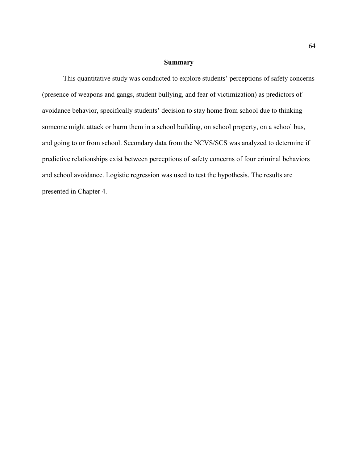# **Summary**

This quantitative study was conducted to explore students' perceptions of safety concerns (presence of weapons and gangs, student bullying, and fear of victimization) as predictors of avoidance behavior, specifically students' decision to stay home from school due to thinking someone might attack or harm them in a school building, on school property, on a school bus, and going to or from school. Secondary data from the NCVS/SCS was analyzed to determine if predictive relationships exist between perceptions of safety concerns of four criminal behaviors and school avoidance. Logistic regression was used to test the hypothesis. The results are presented in Chapter 4.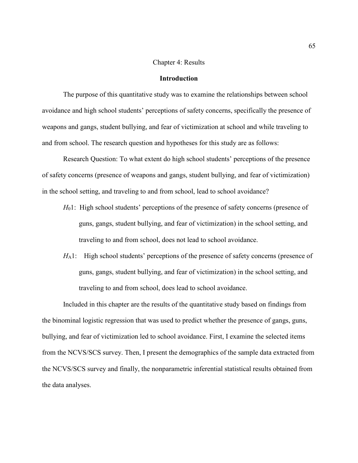## Chapter 4: Results

# **Introduction**

The purpose of this quantitative study was to examine the relationships between school avoidance and high school students' perceptions of safety concerns, specifically the presence of weapons and gangs, student bullying, and fear of victimization at school and while traveling to and from school. The research question and hypotheses for this study are as follows:

Research Question: To what extent do high school students' perceptions of the presence of safety concerns (presence of weapons and gangs, student bullying, and fear of victimization) in the school setting, and traveling to and from school, lead to school avoidance?

- *H*<sub>0</sub>1: High school students' perceptions of the presence of safety concerns (presence of guns, gangs, student bullying, and fear of victimization) in the school setting, and traveling to and from school, does not lead to school avoidance.
- *H*<sub>A</sub>1: High school students' perceptions of the presence of safety concerns (presence of guns, gangs, student bullying, and fear of victimization) in the school setting, and traveling to and from school, does lead to school avoidance.

Included in this chapter are the results of the quantitative study based on findings from the binominal logistic regression that was used to predict whether the presence of gangs, guns, bullying, and fear of victimization led to school avoidance. First, I examine the selected items from the NCVS/SCS survey. Then, I present the demographics of the sample data extracted from the NCVS/SCS survey and finally, the nonparametric inferential statistical results obtained from the data analyses.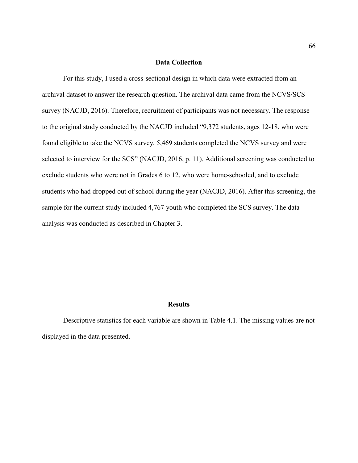# **Data Collection**

For this study, I used a cross-sectional design in which data were extracted from an archival dataset to answer the research question. The archival data came from the NCVS/SCS survey (NACJD, 2016). Therefore, recruitment of participants was not necessary. The response to the original study conducted by the NACJD included "9,372 students, ages 12-18, who were found eligible to take the NCVS survey, 5,469 students completed the NCVS survey and were selected to interview for the SCS" (NACJD, 2016, p. 11). Additional screening was conducted to exclude students who were not in Grades 6 to 12, who were home-schooled, and to exclude students who had dropped out of school during the year (NACJD, 2016). After this screening, the sample for the current study included 4,767 youth who completed the SCS survey. The data analysis was conducted as described in Chapter 3.

#### **Results**

Descriptive statistics for each variable are shown in Table 4.1. The missing values are not displayed in the data presented.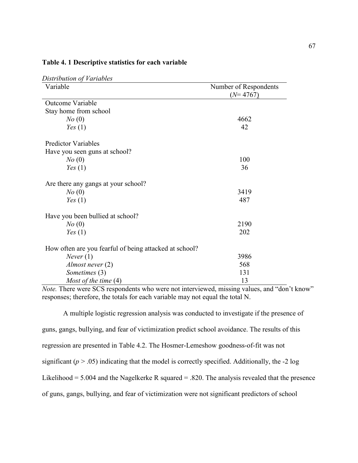| Distribution of Variables                              |                                     |
|--------------------------------------------------------|-------------------------------------|
| Variable                                               | Number of Respondents<br>$(N=4767)$ |
| <b>Outcome Variable</b>                                |                                     |
| Stay home from school                                  |                                     |
| $N\sigma(0)$                                           | 4662                                |
| Yes(1)                                                 | 42                                  |
| <b>Predictor Variables</b>                             |                                     |
| Have you seen guns at school?                          |                                     |
| No(0)                                                  | 100                                 |
| Yes(1)                                                 | 36                                  |
| Are there any gangs at your school?                    |                                     |
| No(0)                                                  | 3419                                |
| Yes(1)                                                 | 487                                 |
| Have you been bullied at school?                       |                                     |
| No(0)                                                  | 2190                                |
| Yes(1)                                                 | 202                                 |
| How often are you fearful of being attacked at school? |                                     |
| Never(1)                                               | 3986                                |
| Almost never $(2)$                                     | 568                                 |
| Sometimes (3)                                          | 131                                 |
| Most of the time $(4)$                                 | 13                                  |

### **Table 4. 1 Descriptive statistics for each variable**

*Note.* There were SCS respondents who were not interviewed, missing values, and "don't know" responses; therefore, the totals for each variable may not equal the total N.

A multiple logistic regression analysis was conducted to investigate if the presence of guns, gangs, bullying, and fear of victimization predict school avoidance. The results of this regression are presented in Table 4.2. The Hosmer-Lemeshow goodness-of-fit was not significant  $(p > .05)$  indicating that the model is correctly specified. Additionally, the  $-2 \log$ Likelihood =  $5.004$  and the Nagelkerke R squared = .820. The analysis revealed that the presence of guns, gangs, bullying, and fear of victimization were not significant predictors of school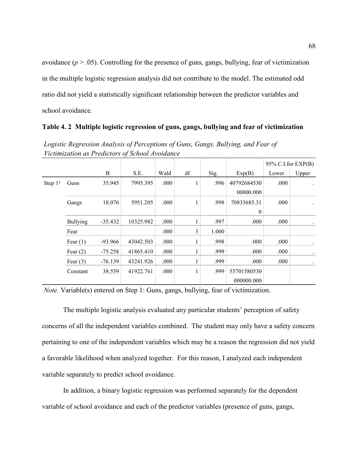avoidance  $(p > .05)$ . Controlling for the presence of guns, gangs, bullying, fear of victimization in the multiple logistic regression analysis did not contribute to the model. The estimated odd ratio did not yield a statistically significant relationship between the predictor variables and school avoidance.

### **Table 4. 2 Multiple logistic regression of guns, gangs, bullying and fear of victimization**

|                     |                 |           |           |      |    |       |             |       |       | $95\%$ C.I.for EXP(B) |  |  |
|---------------------|-----------------|-----------|-----------|------|----|-------|-------------|-------|-------|-----------------------|--|--|
|                     |                 | B         | S.E.      | Wald | df | Sig.  | Exp(B)      | Lower | Upper |                       |  |  |
| Step 1 <sup>a</sup> | Guns            | 35.945    | 7995.395  | .000 | T  | .996  | 40792684530 | .000  |       |                       |  |  |
|                     |                 |           |           |      |    |       | 00000.000   |       |       |                       |  |  |
|                     | Gangs           | 18.076    | 5951.205  | .000 | 1  | .998  | 70833685.31 | .000  |       |                       |  |  |
|                     |                 |           |           |      |    |       | $\theta$    |       |       |                       |  |  |
|                     | <b>Bullying</b> | $-35.432$ | 10325.982 | .000 | 1  | .997  | .000        | .000  |       |                       |  |  |
|                     | Fear            |           |           | .000 | 3  | 1.000 |             |       |       |                       |  |  |
|                     | Fear $(1)$      | $-93.966$ | 43042.503 | .000 | 1  | .998  | .000        | .000  |       |                       |  |  |
|                     | Fear $(2)$      | $-75.258$ | 41865.410 | .000 | 1  | .999  | .000        | .000  |       |                       |  |  |
|                     | Fear $(3)$      | $-76.139$ | 43241.926 | .000 | 1  | .999  | .000        | .000  |       |                       |  |  |
|                     | Constant        | 38.559    | 41922.761 | .000 | 1  | .999  | 55701580530 |       |       |                       |  |  |
|                     |                 |           |           |      |    |       | 000000.000  |       |       |                       |  |  |

*Logistic Regression Analysis of Perceptions of Guns, Gangs, Bullying, and Fear of Victimization as Predictors of School Avoidance* 

*Note.* Variable(s) entered on Step 1: Guns, gangs, bullying, fear of victimization.

The multiple logistic analysis evaluated any particular students' perception of safety concerns of all the independent variables combined. The student may only have a safety concern pertaining to one of the independent variables which may be a reason the regression did not yield a favorable likelihood when analyzed together. For this reason, I analyzed each independent variable separately to predict school avoidance.

In addition, a binary logistic regression was performed separately for the dependent variable of school avoidance and each of the predictor variables (presence of guns, gangs,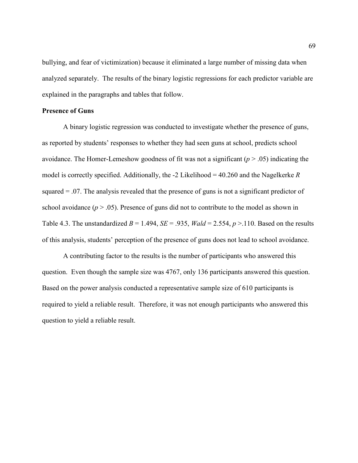bullying, and fear of victimization) because it eliminated a large number of missing data when analyzed separately. The results of the binary logistic regressions for each predictor variable are explained in the paragraphs and tables that follow.

# **Presence of Guns**

A binary logistic regression was conducted to investigate whether the presence of guns, as reported by students' responses to whether they had seen guns at school, predicts school avoidance. The Homer-Lemeshow goodness of fit was not a significant (*p* > .05) indicating the model is correctly specified. Additionally, the -2 Likelihood = 40.260 and the Nagelkerke *R* squared = .07. The analysis revealed that the presence of guns is not a significant predictor of school avoidance  $(p > .05)$ . Presence of guns did not to contribute to the model as shown in Table 4.3. The unstandardized  $B = 1.494$ ,  $SE = .935$ ,  $Wald = 2.554$ ,  $p > .110$ . Based on the results of this analysis, students' perception of the presence of guns does not lead to school avoidance.

A contributing factor to the results is the number of participants who answered this question. Even though the sample size was 4767, only 136 participants answered this question. Based on the power analysis conducted a representative sample size of 610 participants is required to yield a reliable result. Therefore, it was not enough participants who answered this question to yield a reliable result.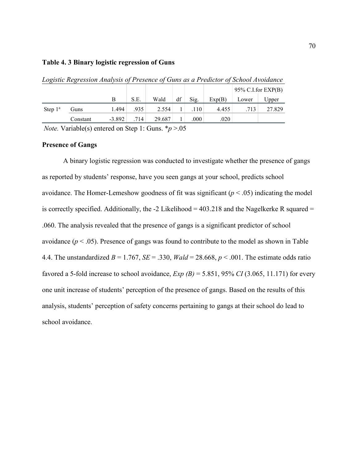# **Table 4. 3 Binary logistic regression of Guns**

|            |          |          |      |        |    |                   |        | $95\%$ C.I.for EXP(B) |        |
|------------|----------|----------|------|--------|----|-------------------|--------|-----------------------|--------|
|            |          | Β        | S.E. | Wald   | df | Sig.              | Exp(B) | Lower                 | Upper  |
| Step $1^a$ | Guns     | 1.494    | .935 | 2.554  |    | .110 <sup>1</sup> | 4.455  | .713                  | 27.829 |
|            | Constant | $-3.892$ | .714 | 29.687 |    | .000              | .020   |                       |        |

*Logistic Regression Analysis of Presence of Guns as a Predictor of School Avoidance* 

*Note.* Variable(s) entered on Step 1: Guns. \**p* >.05

# **Presence of Gangs**

A binary logistic regression was conducted to investigate whether the presence of gangs as reported by students' response, have you seen gangs at your school, predicts school avoidance. The Homer-Lemeshow goodness of fit was significant  $(p < .05)$  indicating the model is correctly specified. Additionally, the  $-2$  Likelihood = 403.218 and the Nagelkerke R squared = .060. The analysis revealed that the presence of gangs is a significant predictor of school avoidance  $(p < .05)$ . Presence of gangs was found to contribute to the model as shown in Table 4.4. The unstandardized  $B = 1.767$ ,  $SE = .330$ ,  $Wald = 28.668$ ,  $p < .001$ . The estimate odds ratio favored a 5-fold increase to school avoidance,  $Exp(B) = 5.851$ , 95% *CI* (3.065, 11.171) for every one unit increase of students' perception of the presence of gangs. Based on the results of this analysis, students' perception of safety concerns pertaining to gangs at their school do lead to school avoidance.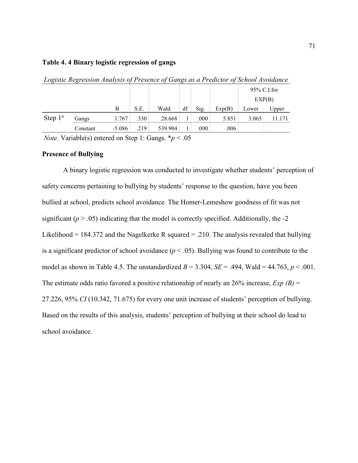## **Table 4. 4 Binary logistic regression of gangs**

| $\cdot$    | . .      |          |      |         | $\cdot$ |      |        |             |        |
|------------|----------|----------|------|---------|---------|------|--------|-------------|--------|
|            |          |          |      |         |         |      |        | 95% C.I.for |        |
|            |          |          |      |         |         |      |        |             | EXP(B) |
|            |          | B        | S.E. | Wald    | df      | Sig. | Exp(B) | Lower       | Upper  |
| Step $1^a$ | Gangs    | 1.767    | .330 | 28.668  |         | .000 | 5.851  | 3.065       | 11.171 |
|            | Constant | $-5.086$ | .219 | 539.904 |         | .000 | .006   |             |        |

*Logistic Regression Analysis of Presence of Gangs as a Predictor of School Avoidance* 

*Note.* Variable(s) entered on Step 1: Gangs. \**p* < .05

# **Presence of Bullying**

A binary logistic regression was conducted to investigate whether students' perception of safety concerns pertaining to bullying by students' response to the question, have you been bullied at school, predicts school avoidance. The Homer-Lemeshow goodness of fit was not significant  $(p > .05)$  indicating that the model is correctly specified. Additionally, the  $-2$ Likelihood = 184.372 and the Nagelkerke R squared = .210. The analysis revealed that bullying is a significant predictor of school avoidance  $(p < .05)$ . Bullying was found to contribute to the model as shown in Table 4.5. The unstandardized  $B = 3.304$ ,  $SE = .494$ , Wald = 44.763,  $p < .001$ . The estimate odds ratio favored a positive relationship of nearly an 26% increase, *Exp (B)* = 27.226, 95% *CI* (10.342, 71.675) for every one unit increase of students' perception of bullying. Based on the results of this analysis, students' perception of bullying at their school do lead to school avoidance.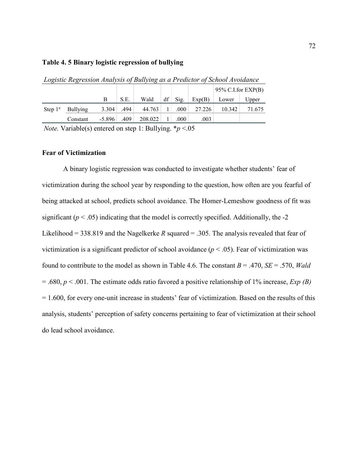## **Table 4. 5 Binary logistic regression of bullying**

| $208.000$ $108.0000$ $11.000$ $1000$ $000$<br>$-$ - $-$ - $-$ - $-$ - $-$ - $-$ - $-$ - $-$ - $-$ - $-$ - $-$ - $-$ - $-$ - $-$ - $-$ - $-$ - $-$ |                 |          |      |         |    |      |        |                       |        |  |
|---------------------------------------------------------------------------------------------------------------------------------------------------|-----------------|----------|------|---------|----|------|--------|-----------------------|--------|--|
|                                                                                                                                                   |                 |          |      |         |    |      |        | $95\%$ C.I.for EXP(B) |        |  |
|                                                                                                                                                   |                 | В        | S.E. | Wald    | df | Sig. | Exp(B) | Lower                 | Upper  |  |
| Step $1^a$                                                                                                                                        | <b>Bullying</b> | 3.304    | .494 | 44.763  |    | .000 | 27.226 | 10.342                | 71.675 |  |
|                                                                                                                                                   | Constant        | $-5.896$ | .409 | 208.022 |    | .000 | .003   |                       |        |  |

*Logistic Regression Analysis of Bullying as a Predictor of School Avoidance* 

*Note.* Variable(s) entered on step 1: Bullying. \**p* <.05

### **Fear of Victimization**

A binary logistic regression was conducted to investigate whether students' fear of victimization during the school year by responding to the question, how often are you fearful of being attacked at school, predicts school avoidance. The Homer-Lemeshow goodness of fit was significant  $(p < .05)$  indicating that the model is correctly specified. Additionally, the  $-2$ Likelihood = 338.819 and the Nagelkerke *R* squared = .305. The analysis revealed that fear of victimization is a significant predictor of school avoidance  $(p < .05)$ . Fear of victimization was found to contribute to the model as shown in Table 4.6. The constant  $B = .470$ ,  $SE = .570$ , *Wald* = .680, *p* < .001. The estimate odds ratio favored a positive relationship of 1% increase, *Exp (B)* = 1.600, for every one-unit increase in students' fear of victimization. Based on the results of this analysis, students' perception of safety concerns pertaining to fear of victimization at their school do lead school avoidance.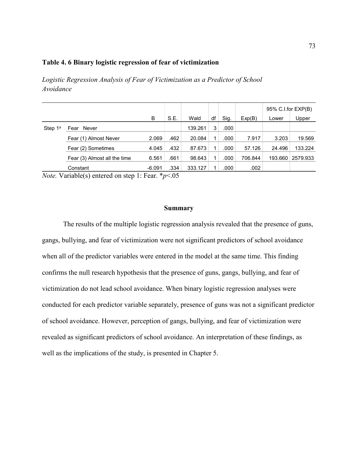# **Table 4. 6 Binary logistic regression of fear of victimization**

*Logistic Regression Analysis of Fear of Victimization as a Predictor of School Avoidance* 

|            |                              |          |      |         |    |      |         | 95% C.I.for EXP(B) |          |
|------------|------------------------------|----------|------|---------|----|------|---------|--------------------|----------|
|            |                              | B        | S.E. | Wald    | df | Sig. | Exp(B)  | Lower              | Upper    |
| Step $1^a$ | Never<br>Fear                |          |      | 139.261 | 3  | .000 |         |                    |          |
|            | Fear (1) Almost Never        | 2.069    | .462 | 20.084  |    | .000 | 7.917   | 3.203              | 19.569   |
|            | Fear (2) Sometimes           | 4.045    | .432 | 87.673  |    | .000 | 57.126  | 24.496             | 133.224  |
|            | Fear (3) Almost all the time | 6.561    | .661 | 98.643  |    | .000 | 706.844 | 193.660            | 2579.933 |
|            | Constant                     | $-6.091$ | .334 | 333.127 |    | .000 | .002    |                    |          |

*Note.* Variable(s) entered on step 1: Fear. \**p*<.05

#### **Summary**

The results of the multiple logistic regression analysis revealed that the presence of guns, gangs, bullying, and fear of victimization were not significant predictors of school avoidance when all of the predictor variables were entered in the model at the same time. This finding confirms the null research hypothesis that the presence of guns, gangs, bullying, and fear of victimization do not lead school avoidance. When binary logistic regression analyses were conducted for each predictor variable separately, presence of guns was not a significant predictor of school avoidance. However, perception of gangs, bullying, and fear of victimization were revealed as significant predictors of school avoidance. An interpretation of these findings, as well as the implications of the study, is presented in Chapter 5.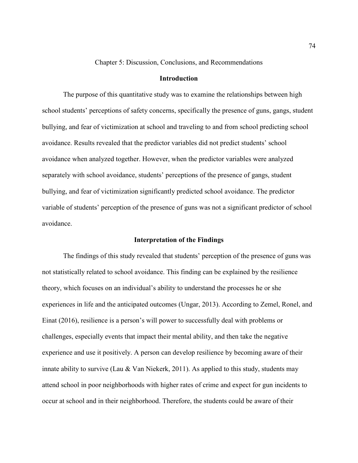Chapter 5: Discussion, Conclusions, and Recommendations

# **Introduction**

The purpose of this quantitative study was to examine the relationships between high school students' perceptions of safety concerns, specifically the presence of guns, gangs, student bullying, and fear of victimization at school and traveling to and from school predicting school avoidance. Results revealed that the predictor variables did not predict students' school avoidance when analyzed together. However, when the predictor variables were analyzed separately with school avoidance, students' perceptions of the presence of gangs, student bullying, and fear of victimization significantly predicted school avoidance. The predictor variable of students' perception of the presence of guns was not a significant predictor of school avoidance.

## **Interpretation of the Findings**

The findings of this study revealed that students' perception of the presence of guns was not statistically related to school avoidance. This finding can be explained by the resilience theory, which focuses on an individual's ability to understand the processes he or she experiences in life and the anticipated outcomes (Ungar, 2013). According to Zemel, Ronel, and Einat (2016), resilience is a person's will power to successfully deal with problems or challenges, especially events that impact their mental ability, and then take the negative experience and use it positively. A person can develop resilience by becoming aware of their innate ability to survive (Lau & Van Niekerk, 2011). As applied to this study, students may attend school in poor neighborhoods with higher rates of crime and expect for gun incidents to occur at school and in their neighborhood. Therefore, the students could be aware of their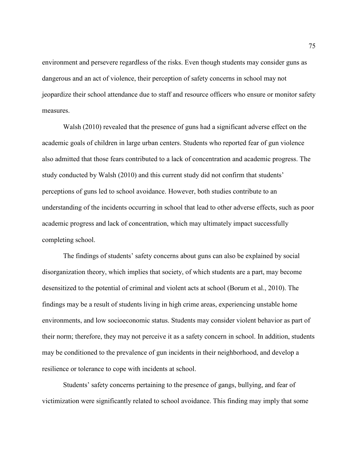environment and persevere regardless of the risks. Even though students may consider guns as dangerous and an act of violence, their perception of safety concerns in school may not jeopardize their school attendance due to staff and resource officers who ensure or monitor safety measures.

Walsh (2010) revealed that the presence of guns had a significant adverse effect on the academic goals of children in large urban centers. Students who reported fear of gun violence also admitted that those fears contributed to a lack of concentration and academic progress. The study conducted by Walsh (2010) and this current study did not confirm that students' perceptions of guns led to school avoidance. However, both studies contribute to an understanding of the incidents occurring in school that lead to other adverse effects, such as poor academic progress and lack of concentration, which may ultimately impact successfully completing school.

The findings of students' safety concerns about guns can also be explained by social disorganization theory, which implies that society, of which students are a part, may become desensitized to the potential of criminal and violent acts at school (Borum et al., 2010). The findings may be a result of students living in high crime areas, experiencing unstable home environments, and low socioeconomic status. Students may consider violent behavior as part of their norm; therefore, they may not perceive it as a safety concern in school. In addition, students may be conditioned to the prevalence of gun incidents in their neighborhood, and develop a resilience or tolerance to cope with incidents at school.

Students' safety concerns pertaining to the presence of gangs, bullying, and fear of victimization were significantly related to school avoidance. This finding may imply that some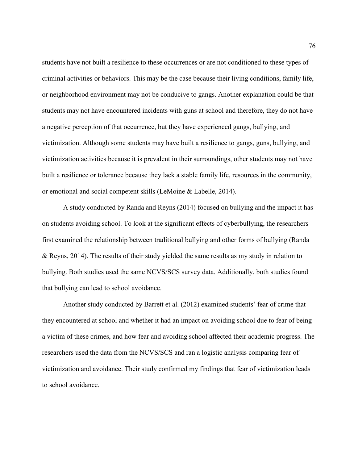students have not built a resilience to these occurrences or are not conditioned to these types of criminal activities or behaviors. This may be the case because their living conditions, family life, or neighborhood environment may not be conducive to gangs. Another explanation could be that students may not have encountered incidents with guns at school and therefore, they do not have a negative perception of that occurrence, but they have experienced gangs, bullying, and victimization. Although some students may have built a resilience to gangs, guns, bullying, and victimization activities because it is prevalent in their surroundings, other students may not have built a resilience or tolerance because they lack a stable family life, resources in the community, or emotional and social competent skills (LeMoine & Labelle, 2014).

A study conducted by Randa and Reyns (2014) focused on bullying and the impact it has on students avoiding school. To look at the significant effects of cyberbullying, the researchers first examined the relationship between traditional bullying and other forms of bullying (Randa & Reyns, 2014). The results of their study yielded the same results as my study in relation to bullying. Both studies used the same NCVS/SCS survey data. Additionally, both studies found that bullying can lead to school avoidance.

Another study conducted by Barrett et al. (2012) examined students' fear of crime that they encountered at school and whether it had an impact on avoiding school due to fear of being a victim of these crimes, and how fear and avoiding school affected their academic progress. The researchers used the data from the NCVS/SCS and ran a logistic analysis comparing fear of victimization and avoidance. Their study confirmed my findings that fear of victimization leads to school avoidance.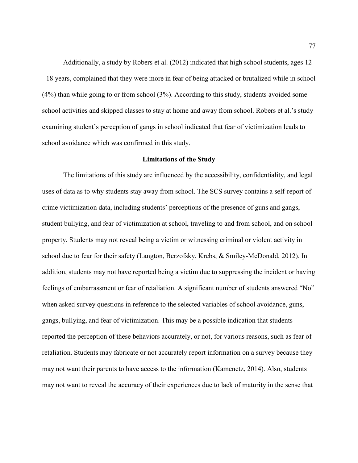Additionally, a study by Robers et al. (2012) indicated that high school students, ages 12 - 18 years, complained that they were more in fear of being attacked or brutalized while in school (4%) than while going to or from school (3%). According to this study, students avoided some school activities and skipped classes to stay at home and away from school. Robers et al.'s study examining student's perception of gangs in school indicated that fear of victimization leads to school avoidance which was confirmed in this study.

### **Limitations of the Study**

The limitations of this study are influenced by the accessibility, confidentiality, and legal uses of data as to why students stay away from school. The SCS survey contains a self-report of crime victimization data, including students' perceptions of the presence of guns and gangs, student bullying, and fear of victimization at school, traveling to and from school, and on school property. Students may not reveal being a victim or witnessing criminal or violent activity in school due to fear for their safety (Langton, Berzofsky, Krebs, & Smiley-McDonald, 2012). In addition, students may not have reported being a victim due to suppressing the incident or having feelings of embarrassment or fear of retaliation. A significant number of students answered "No" when asked survey questions in reference to the selected variables of school avoidance, guns, gangs, bullying, and fear of victimization. This may be a possible indication that students reported the perception of these behaviors accurately, or not, for various reasons, such as fear of retaliation. Students may fabricate or not accurately report information on a survey because they may not want their parents to have access to the information (Kamenetz, 2014). Also, students may not want to reveal the accuracy of their experiences due to lack of maturity in the sense that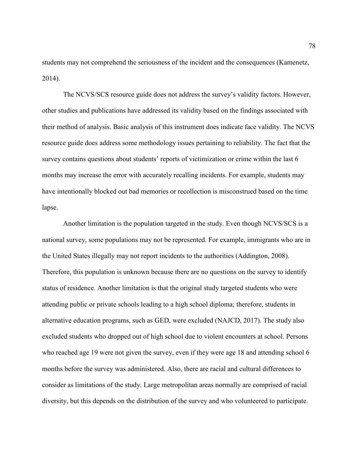students may not comprehend the seriousness of the incident and the consequences (Kamenetz, 2014).

The NCVS/SCS resource guide does not address the survey's validity factors. However, other studies and publications have addressed its validity based on the findings associated with their method of analysis. Basic analysis of this instrument does indicate face validity. The NCVS resource guide does address some methodology issues pertaining to reliability. The fact that the survey contains questions about students' reports of victimization or crime within the last 6 months may increase the error with accurately recalling incidents. For example, students may have intentionally blocked out bad memories or recollection is misconstrued based on the time lapse.

Another limitation is the population targeted in the study. Even though NCVS/SCS is a national survey, some populations may not be represented. For example, immigrants who are in the United States illegally may not report incidents to the authorities (Addington, 2008). Therefore, this population is unknown because there are no questions on the survey to identify status of residence. Another limitation is that the original study targeted students who were attending public or private schools leading to a high school diploma; therefore, students in alternative education programs, such as GED, were excluded (NAJCD, 2017). The study also excluded students who dropped out of high school due to violent encounters at school. Persons who reached age 19 were not given the survey, even if they were age 18 and attending school 6 months before the survey was administered. Also, there are racial and cultural differences to consider as limitations of the study. Large metropolitan areas normally are comprised of racial diversity, but this depends on the distribution of the survey and who volunteered to participate.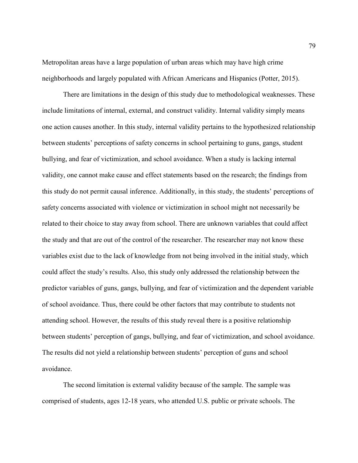Metropolitan areas have a large population of urban areas which may have high crime neighborhoods and largely populated with African Americans and Hispanics (Potter, 2015).

There are limitations in the design of this study due to methodological weaknesses. These include limitations of internal, external, and construct validity. Internal validity simply means one action causes another. In this study, internal validity pertains to the hypothesized relationship between students' perceptions of safety concerns in school pertaining to guns, gangs, student bullying, and fear of victimization, and school avoidance. When a study is lacking internal validity, one cannot make cause and effect statements based on the research; the findings from this study do not permit causal inference. Additionally, in this study, the students' perceptions of safety concerns associated with violence or victimization in school might not necessarily be related to their choice to stay away from school. There are unknown variables that could affect the study and that are out of the control of the researcher. The researcher may not know these variables exist due to the lack of knowledge from not being involved in the initial study, which could affect the study's results. Also, this study only addressed the relationship between the predictor variables of guns, gangs, bullying, and fear of victimization and the dependent variable of school avoidance. Thus, there could be other factors that may contribute to students not attending school. However, the results of this study reveal there is a positive relationship between students' perception of gangs, bullying, and fear of victimization, and school avoidance. The results did not yield a relationship between students' perception of guns and school avoidance.

The second limitation is external validity because of the sample. The sample was comprised of students, ages 12-18 years, who attended U.S. public or private schools. The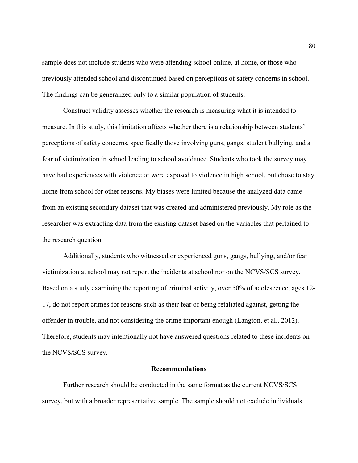sample does not include students who were attending school online, at home, or those who previously attended school and discontinued based on perceptions of safety concerns in school. The findings can be generalized only to a similar population of students.

Construct validity assesses whether the research is measuring what it is intended to measure. In this study, this limitation affects whether there is a relationship between students' perceptions of safety concerns, specifically those involving guns, gangs, student bullying, and a fear of victimization in school leading to school avoidance. Students who took the survey may have had experiences with violence or were exposed to violence in high school, but chose to stay home from school for other reasons. My biases were limited because the analyzed data came from an existing secondary dataset that was created and administered previously. My role as the researcher was extracting data from the existing dataset based on the variables that pertained to the research question.

Additionally, students who witnessed or experienced guns, gangs, bullying, and/or fear victimization at school may not report the incidents at school nor on the NCVS/SCS survey. Based on a study examining the reporting of criminal activity, over 50% of adolescence, ages 12- 17, do not report crimes for reasons such as their fear of being retaliated against, getting the offender in trouble, and not considering the crime important enough (Langton, et al., 2012). Therefore, students may intentionally not have answered questions related to these incidents on the NCVS/SCS survey.

### **Recommendations**

Further research should be conducted in the same format as the current NCVS/SCS survey, but with a broader representative sample. The sample should not exclude individuals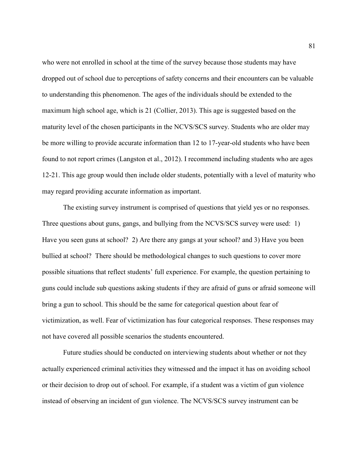who were not enrolled in school at the time of the survey because those students may have dropped out of school due to perceptions of safety concerns and their encounters can be valuable to understanding this phenomenon. The ages of the individuals should be extended to the maximum high school age, which is 21 (Collier, 2013). This age is suggested based on the maturity level of the chosen participants in the NCVS/SCS survey. Students who are older may be more willing to provide accurate information than 12 to 17-year-old students who have been found to not report crimes (Langston et al., 2012). I recommend including students who are ages 12-21. This age group would then include older students, potentially with a level of maturity who may regard providing accurate information as important.

The existing survey instrument is comprised of questions that yield yes or no responses. Three questions about guns, gangs, and bullying from the NCVS/SCS survey were used: 1) Have you seen guns at school? 2) Are there any gangs at your school? and 3) Have you been bullied at school? There should be methodological changes to such questions to cover more possible situations that reflect students' full experience. For example, the question pertaining to guns could include sub questions asking students if they are afraid of guns or afraid someone will bring a gun to school. This should be the same for categorical question about fear of victimization, as well. Fear of victimization has four categorical responses. These responses may not have covered all possible scenarios the students encountered.

Future studies should be conducted on interviewing students about whether or not they actually experienced criminal activities they witnessed and the impact it has on avoiding school or their decision to drop out of school. For example, if a student was a victim of gun violence instead of observing an incident of gun violence. The NCVS/SCS survey instrument can be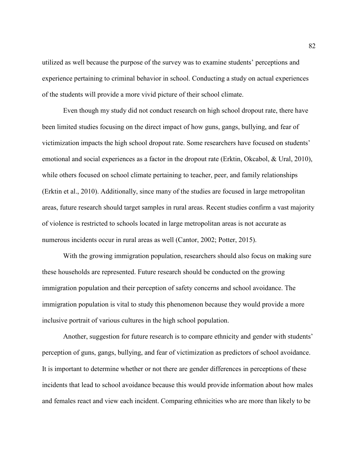utilized as well because the purpose of the survey was to examine students' perceptions and experience pertaining to criminal behavior in school. Conducting a study on actual experiences of the students will provide a more vivid picture of their school climate.

 Even though my study did not conduct research on high school dropout rate, there have been limited studies focusing on the direct impact of how guns, gangs, bullying, and fear of victimization impacts the high school dropout rate. Some researchers have focused on students' emotional and social experiences as a factor in the dropout rate (Erktin, Okcabol, & Ural, 2010), while others focused on school climate pertaining to teacher, peer, and family relationships (Erktin et al., 2010). Additionally, since many of the studies are focused in large metropolitan areas, future research should target samples in rural areas. Recent studies confirm a vast majority of violence is restricted to schools located in large metropolitan areas is not accurate as numerous incidents occur in rural areas as well (Cantor, 2002; Potter, 2015).

 With the growing immigration population, researchers should also focus on making sure these households are represented. Future research should be conducted on the growing immigration population and their perception of safety concerns and school avoidance. The immigration population is vital to study this phenomenon because they would provide a more inclusive portrait of various cultures in the high school population.

 Another, suggestion for future research is to compare ethnicity and gender with students' perception of guns, gangs, bullying, and fear of victimization as predictors of school avoidance. It is important to determine whether or not there are gender differences in perceptions of these incidents that lead to school avoidance because this would provide information about how males and females react and view each incident. Comparing ethnicities who are more than likely to be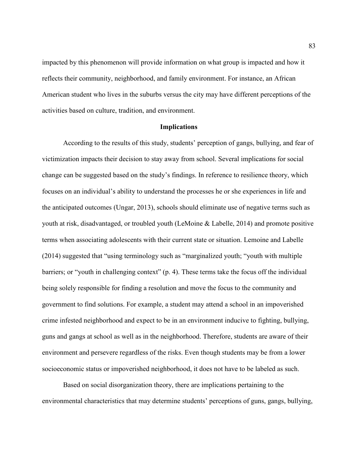impacted by this phenomenon will provide information on what group is impacted and how it reflects their community, neighborhood, and family environment. For instance, an African American student who lives in the suburbs versus the city may have different perceptions of the activities based on culture, tradition, and environment.

#### **Implications**

According to the results of this study, students' perception of gangs, bullying, and fear of victimization impacts their decision to stay away from school. Several implications for social change can be suggested based on the study's findings. In reference to resilience theory, which focuses on an individual's ability to understand the processes he or she experiences in life and the anticipated outcomes (Ungar, 2013), schools should eliminate use of negative terms such as youth at risk, disadvantaged, or troubled youth (LeMoine & Labelle, 2014) and promote positive terms when associating adolescents with their current state or situation. Lemoine and Labelle (2014) suggested that "using terminology such as "marginalized youth; "youth with multiple barriers; or "youth in challenging context" (p. 4). These terms take the focus off the individual being solely responsible for finding a resolution and move the focus to the community and government to find solutions. For example, a student may attend a school in an impoverished crime infested neighborhood and expect to be in an environment inducive to fighting, bullying, guns and gangs at school as well as in the neighborhood. Therefore, students are aware of their environment and persevere regardless of the risks. Even though students may be from a lower socioeconomic status or impoverished neighborhood, it does not have to be labeled as such.

Based on social disorganization theory, there are implications pertaining to the environmental characteristics that may determine students' perceptions of guns, gangs, bullying,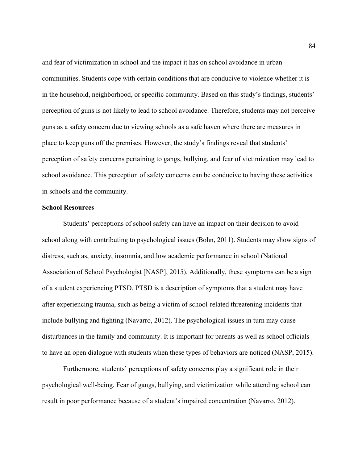and fear of victimization in school and the impact it has on school avoidance in urban communities. Students cope with certain conditions that are conducive to violence whether it is in the household, neighborhood, or specific community. Based on this study's findings, students' perception of guns is not likely to lead to school avoidance. Therefore, students may not perceive guns as a safety concern due to viewing schools as a safe haven where there are measures in place to keep guns off the premises. However, the study's findings reveal that students' perception of safety concerns pertaining to gangs, bullying, and fear of victimization may lead to school avoidance. This perception of safety concerns can be conducive to having these activities in schools and the community.

### **School Resources**

Students' perceptions of school safety can have an impact on their decision to avoid school along with contributing to psychological issues (Bohn, 2011). Students may show signs of distress, such as, anxiety, insomnia, and low academic performance in school (National Association of School Psychologist [NASP], 2015). Additionally, these symptoms can be a sign of a student experiencing PTSD. PTSD is a description of symptoms that a student may have after experiencing trauma, such as being a victim of school-related threatening incidents that include bullying and fighting (Navarro, 2012). The psychological issues in turn may cause disturbances in the family and community. It is important for parents as well as school officials to have an open dialogue with students when these types of behaviors are noticed (NASP, 2015).

Furthermore, students' perceptions of safety concerns play a significant role in their psychological well-being. Fear of gangs, bullying, and victimization while attending school can result in poor performance because of a student's impaired concentration (Navarro, 2012).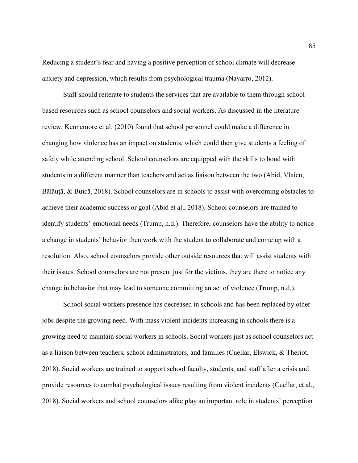Reducing a student's fear and having a positive perception of school climate will decrease anxiety and depression, which results from psychological trauma (Navarro, 2012).

Staff should reiterate to students the services that are available to them through schoolbased resources such as school counselors and social workers. As discussed in the literature review, Kennemore et al. (2010) found that school personnel could make a difference in changing how violence has an impact on students, which could then give students a feeling of safety while attending school. School counselors are equipped with the skills to bond with students in a different manner than teachers and act as liaison between the two (Abid, Vlaicu, Bălăuță, & Buică, 2018). School counselors are in schools to assist with overcoming obstacles to achieve their academic success or goal (Abid et al., 2018). School counselors are trained to identify students' emotional needs (Trump, n.d.). Therefore, counselors have the ability to notice a change in students' behavior then work with the student to collaborate and come up with a resolution. Also, school counselors provide other outside resources that will assist students with their issues. School counselors are not present just for the victims, they are there to notice any change in behavior that may lead to someone committing an act of violence (Trump, n.d.).

School social workers presence has decreased in schools and has been replaced by other jobs despite the growing need. With mass violent incidents increasing in schools there is a growing need to maintain social workers in schools. Social workers just as school counselors act as a liaison between teachers, school administrators, and families (Cuellar, Elswick, & Theriot, 2018). Social workers are trained to support school faculty, students, and staff after a crisis and provide resources to combat psychological issues resulting from violent incidents (Cuellar, et al., 2018). Social workers and school counselors alike play an important role in students' perception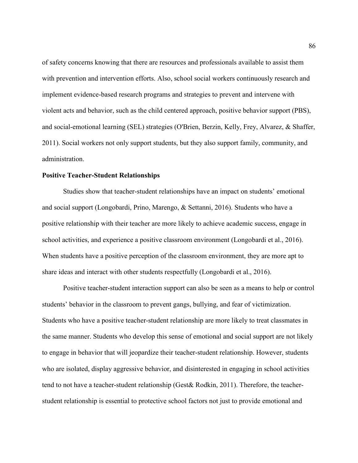of safety concerns knowing that there are resources and professionals available to assist them with prevention and intervention efforts. Also, school social workers continuously research and implement evidence-based research programs and strategies to prevent and intervene with violent acts and behavior, such as the child centered approach, positive behavior support (PBS), and social-emotional learning (SEL) strategies (O'Brien, Berzin, Kelly, Frey, Alvarez, & Shaffer, 2011). Social workers not only support students, but they also support family, community, and administration.

## **Positive Teacher-Student Relationships**

Studies show that teacher-student relationships have an impact on students' emotional and social support (Longobardi, Prino, Marengo, & Settanni, 2016). Students who have a positive relationship with their teacher are more likely to achieve academic success, engage in school activities, and experience a positive classroom environment (Longobardi et al., 2016). When students have a positive perception of the classroom environment, they are more apt to share ideas and interact with other students respectfully (Longobardi et al., 2016).

Positive teacher-student interaction support can also be seen as a means to help or control students' behavior in the classroom to prevent gangs, bullying, and fear of victimization. Students who have a positive teacher-student relationship are more likely to treat classmates in the same manner. Students who develop this sense of emotional and social support are not likely to engage in behavior that will jeopardize their teacher-student relationship. However, students who are isolated, display aggressive behavior, and disinterested in engaging in school activities tend to not have a teacher-student relationship (Gest& Rodkin, 2011). Therefore, the teacherstudent relationship is essential to protective school factors not just to provide emotional and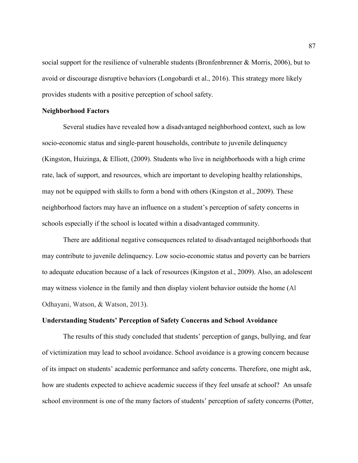social support for the resilience of vulnerable students (Bronfenbrenner & Morris, 2006), but to avoid or discourage disruptive behaviors (Longobardi et al., 2016). This strategy more likely provides students with a positive perception of school safety.

## **Neighborhood Factors**

Several studies have revealed how a disadvantaged neighborhood context, such as low socio-economic status and single-parent households, contribute to juvenile delinquency (Kingston, Huizinga, & Elliott, (2009). Students who live in neighborhoods with a high crime rate, lack of support, and resources, which are important to developing healthy relationships, may not be equipped with skills to form a bond with others (Kingston et al., 2009). These neighborhood factors may have an influence on a student's perception of safety concerns in schools especially if the school is located within a disadvantaged community.

There are additional negative consequences related to disadvantaged neighborhoods that may contribute to juvenile delinquency. Low socio-economic status and poverty can be barriers to adequate education because of a lack of resources (Kingston et al., 2009). Also, an adolescent may witness violence in the family and then display violent behavior outside the home (Al Odhayani, Watson, & Watson, 2013).

## **Understanding Students' Perception of Safety Concerns and School Avoidance**

The results of this study concluded that students' perception of gangs, bullying, and fear of victimization may lead to school avoidance. School avoidance is a growing concern because of its impact on students' academic performance and safety concerns. Therefore, one might ask, how are students expected to achieve academic success if they feel unsafe at school? An unsafe school environment is one of the many factors of students' perception of safety concerns (Potter,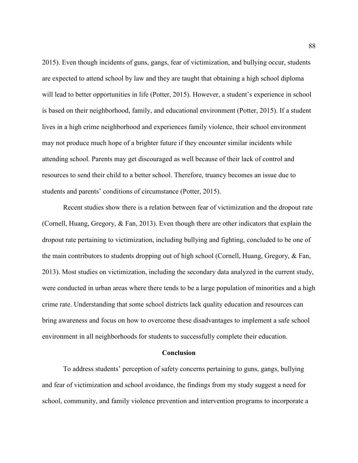2015). Even though incidents of guns, gangs, fear of victimization, and bullying occur, students are expected to attend school by law and they are taught that obtaining a high school diploma will lead to better opportunities in life (Potter, 2015). However, a student's experience in school is based on their neighborhood, family, and educational environment (Potter, 2015). If a student lives in a high crime neighborhood and experiences family violence, their school environment may not produce much hope of a brighter future if they encounter similar incidents while attending school. Parents may get discouraged as well because of their lack of control and resources to send their child to a better school. Therefore, truancy becomes an issue due to students and parents' conditions of circumstance (Potter, 2015).

Recent studies show there is a relation between fear of victimization and the dropout rate (Cornell, Huang, Gregory, & Fan, 2013). Even though there are other indicators that explain the dropout rate pertaining to victimization, including bullying and fighting, concluded to be one of the main contributors to students dropping out of high school (Cornell, Huang, Gregory, & Fan, 2013). Most studies on victimization, including the secondary data analyzed in the current study, were conducted in urban areas where there tends to be a large population of minorities and a high crime rate. Understanding that some school districts lack quality education and resources can bring awareness and focus on how to overcome these disadvantages to implement a safe school environment in all neighborhoods for students to successfully complete their education.

#### **Conclusion**

To address students' perception of safety concerns pertaining to guns, gangs, bullying and fear of victimization and school avoidance, the findings from my study suggest a need for school, community, and family violence prevention and intervention programs to incorporate a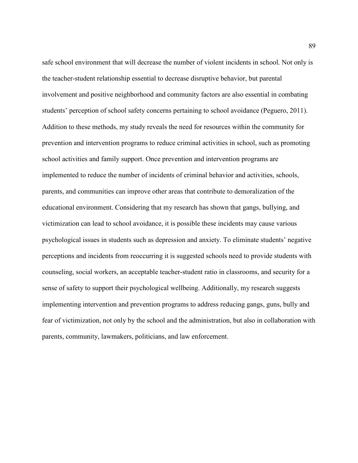safe school environment that will decrease the number of violent incidents in school. Not only is the teacher-student relationship essential to decrease disruptive behavior, but parental involvement and positive neighborhood and community factors are also essential in combating students' perception of school safety concerns pertaining to school avoidance (Peguero, 2011). Addition to these methods, my study reveals the need for resources within the community for prevention and intervention programs to reduce criminal activities in school, such as promoting school activities and family support. Once prevention and intervention programs are implemented to reduce the number of incidents of criminal behavior and activities, schools, parents, and communities can improve other areas that contribute to demoralization of the educational environment. Considering that my research has shown that gangs, bullying, and victimization can lead to school avoidance, it is possible these incidents may cause various psychological issues in students such as depression and anxiety. To eliminate students' negative perceptions and incidents from reoccurring it is suggested schools need to provide students with counseling, social workers, an acceptable teacher-student ratio in classrooms, and security for a sense of safety to support their psychological wellbeing. Additionally, my research suggests implementing intervention and prevention programs to address reducing gangs, guns, bully and fear of victimization, not only by the school and the administration, but also in collaboration with parents, community, lawmakers, politicians, and law enforcement.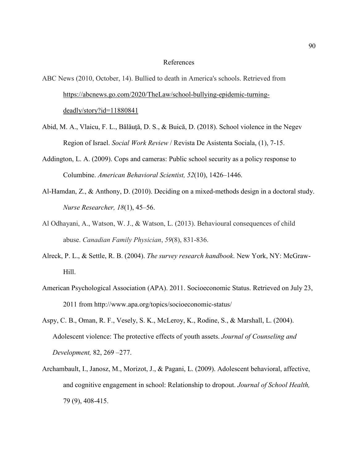### References

ABC News (2010, October, 14). Bullied to death in America's schools. Retrieved from https://abcnews.go.com/2020/TheLaw/school-bullying-epidemic-turningdeadly/story?id=11880841

- Abid, M. A., Vlaicu, F. L., Bălăuţă, D. S., & Buică, D. (2018). School violence in the Negev Region of Israel. *Social Work Review* / Revista De Asistenta Sociala, (1), 7-15.
- Addington, L. A. (2009). Cops and cameras: Public school security as a policy response to Columbine. *American Behavioral Scientist, 52*(10), 1426–1446.
- Al-Hamdan, Z., & Anthony, D. (2010). Deciding on a mixed-methods design in a doctoral study. *Nurse Researcher, 18*(1), 45–56.
- Al Odhayani, A., Watson, W. J., & Watson, L. (2013). Behavioural consequences of child abuse. *Canadian Family Physician*, *59*(8), 831-836.
- Alreck, P. L., & Settle, R. B. (2004). *The survey research handbook*. New York, NY: McGraw-Hill.
- American Psychological Association (APA). 2011. Socioeconomic Status. Retrieved on July 23, 2011 from http://www.apa.org/topics/socioeconomic-status/
- Aspy, C. B., Oman, R. F., Vesely, S. K., McLeroy, K., Rodine, S., & Marshall, L. (2004). Adolescent violence: The protective effects of youth assets. *Journal of Counseling and Development,* 82, 269 –277.
- Archambault, I., Janosz, M., Morizot, J., & Pagani, L. (2009). Adolescent behavioral, affective, and cognitive engagement in school: Relationship to dropout. *Journal of School Health,* 79 (9), 408-415.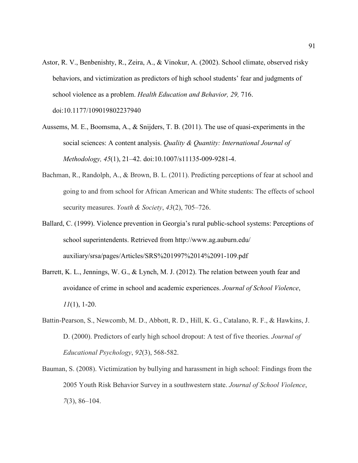- Astor, R. V., Benbenishty, R., Zeira, A., & Vinokur, A. (2002). School climate, observed risky behaviors, and victimization as predictors of high school students' fear and judgments of school violence as a problem. *Health Education and Behavior, 29,* 716. doi:10.1177/109019802237940
- Aussems, M. E., Boomsma, A., & Snijders, T. B. (2011). The use of quasi-experiments in the social sciences: A content analysis. *Quality & Quantity: International Journal of Methodology, 45*(1), 21‒42. doi:10.1007/s11135-009-9281-4.
- Bachman, R., Randolph, A., & Brown, B. L. (2011). Predicting perceptions of fear at school and going to and from school for African American and White students: The effects of school security measures. *Youth & Society*, 43(2), 705–726.
- Ballard, C. (1999). Violence prevention in Georgia's rural public-school systems: Perceptions of school superintendents. Retrieved from http://www.ag.auburn.edu/ auxiliary/srsa/pages/Articles/SRS%201997%2014%2091-109.pdf
- Barrett, K. L., Jennings, W. G., & Lynch, M. J. (2012). The relation between youth fear and avoidance of crime in school and academic experiences. *Journal of School Violence*, *11*(1), 1-20.
- Battin-Pearson, S., Newcomb, M. D., Abbott, R. D., Hill, K. G., Catalano, R. F., & Hawkins, J. D. (2000). Predictors of early high school dropout: A test of five theories. *Journal of Educational Psychology*, *92*(3), 568-582.
- Bauman, S. (2008). Victimization by bullying and harassment in high school: Findings from the 2005 Youth Risk Behavior Survey in a southwestern state. *Journal of School Violence*, *7*(3), 86‒104.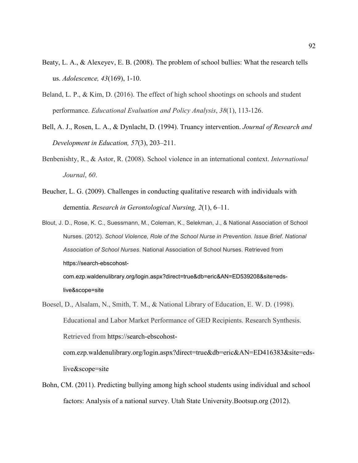- Beaty, L. A., & Alexeyev, E. B. (2008). The problem of school bullies: What the research tells us. *Adolescence, 43*(169), 1-10.
- Beland, L. P., & Kim, D. (2016). The effect of high school shootings on schools and student performance. *Educational Evaluation and Policy Analysis*, *38*(1), 113-126.
- Bell, A. J., Rosen, L. A., & Dynlacht, D. (1994). Truancy intervention. *Journal of Research and Development in Education, 57(3), 203–211.*
- Benbenishty, R., & Astor, R. (2008). School violence in an international context. *International Journal*, *60*.
- Beucher, L. G. (2009). Challenges in conducting qualitative research with individuals with dementia. *Research in Gerontological Nursing, 2*(1), 6–11.
- Blout, J. D., Rose, K. C., Suessmann, M., Coleman, K., Selekman, J., & National Association of School Nurses. (2012). *School Violence, Role of the School Nurse in Prevention. Issue Brief*. *National Association of School Nurses*. National Association of School Nurses. Retrieved from https://search-ebscohostcom.ezp.waldenulibrary.org/login.aspx?direct=true&db=eric&AN=ED539208&site=eds-
- Boesel, D., Alsalam, N., Smith, T. M., & National Library of Education, E. W. D. (1998). Educational and Labor Market Performance of GED Recipients. Research Synthesis. Retrieved from https://search-ebscohostcom.ezp.waldenulibrary.org/login.aspx?direct=true&db=eric&AN=ED416383&site=eds-

live&scope=site

live&scope=site

Bohn, CM. (2011). Predicting bullying among high school students using individual and school factors: Analysis of a national survey. Utah State University.Bootsup.org (2012).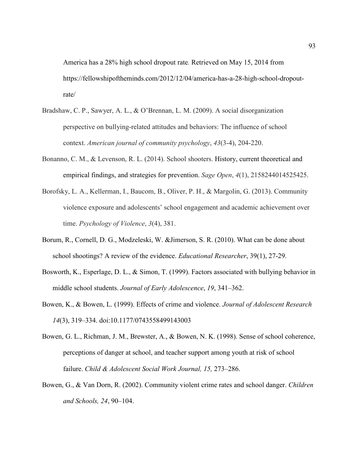America has a 28% high school dropout rate*.* Retrieved on May 15, 2014 from https://fellowshipoftheminds.com/2012/12/04/america-has-a-28-high-school-dropoutrate/

- Bradshaw, C. P., Sawyer, A. L., & O'Brennan, L. M. (2009). A social disorganization perspective on bullying-related attitudes and behaviors: The influence of school context. *American journal of community psychology*, *43*(3-4), 204-220.
- Bonanno, C. M., & Levenson, R. L. (2014). School shooters. History, current theoretical and empirical findings, and strategies for prevention. *Sage Open*, *4*(1), 2158244014525425.
- Borofsky, L. A., Kellerman, I., Baucom, B., Oliver, P. H., & Margolin, G. (2013). Community violence exposure and adolescents' school engagement and academic achievement over time. *Psychology of Violence*, *3*(4), 381.
- Borum, R., Cornell, D. G., Modzeleski, W. &Jimerson, S. R. (2010). What can be done about school shootings? A review of the evidence. *Educational Researcher*, 39(1), 27-29.
- Bosworth, K., Esperlage, D. L., & Simon, T. (1999). Factors associated with bullying behavior in middle school students. *Journal of Early Adolescence*, 19, 341–362.
- Bowen, K., & Bowen, L. (1999). Effects of crime and violence. *Journal of Adolescent Research 14*(3), 319‒334. doi:10.1177/0743558499143003
- Bowen, G. L., Richman, J. M., Brewster, A., & Bowen, N. K. (1998). Sense of school coherence, perceptions of danger at school, and teacher support among youth at risk of school failure. *Child & Adolescent Social Work Journal, 15, 273–286.*
- Bowen, G., & Van Dorn, R. (2002). Community violent crime rates and school danger. *Children and Schools, 24*, 90‒104.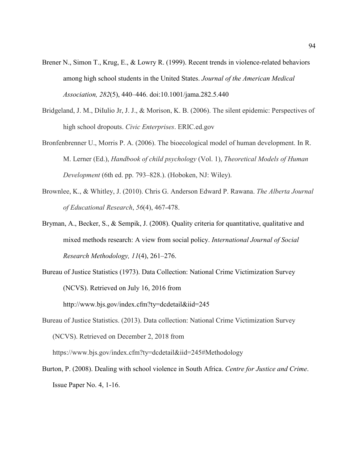- Brener N., Simon T., Krug, E., & Lowry R. (1999). Recent trends in violence-related behaviors among high school students in the United States. *Journal of the American Medical Association, 282*(5), 440‒446. doi:10.1001/jama.282.5.440
- Bridgeland, J. M., DiIulio Jr, J. J., & Morison, K. B. (2006). The silent epidemic: Perspectives of high school dropouts. *Civic Enterprises*. ERIC.ed.gov
- Bronfenbrenner U., Morris P. A. (2006). The bioecological model of human development. In R. M. Lerner (Ed.), *Handbook of child psychology* (Vol. 1), *Theoretical Models of Human Development* (6th ed. pp. 793–828.). (Hoboken, NJ: Wiley).
- Brownlee, K., & Whitley, J. (2010). Chris G. Anderson Edward P. Rawana. *The Alberta Journal of Educational Research*, *56*(4), 467-478.
- Bryman, A., Becker, S., & Sempik, J. (2008). Quality criteria for quantitative, qualitative and mixed methods research: A view from social policy. *International Journal of Social Research Methodology, 11*(4), 261–276.
- Bureau of Justice Statistics (1973). Data Collection: National Crime Victimization Survey (NCVS). Retrieved on July 16, 2016 from

http://www.bjs.gov/index.cfm?ty=dcdetail&iid=245

Bureau of Justice Statistics. (2013). Data collection: National Crime Victimization Survey (NCVS). Retrieved on December 2, 2018 from

https://www.bjs.gov/index.cfm?ty=dcdetail&iid=245#Methodology

Burton, P. (2008). Dealing with school violence in South Africa. *Centre for Justice and Crime*. Issue Paper No. 4, 1-16.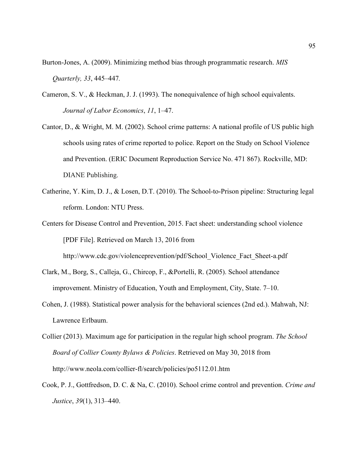Burton-Jones, A. (2009). Minimizing method bias through programmatic research. *MIS Quarterly, 33*, 445–447*.*

- Cameron, S. V., & Heckman, J. J. (1993). The nonequivalence of high school equivalents. *Journal of Labor Economics*, 11, 1–47.
- Cantor, D., & Wright, M. M. (2002). School crime patterns: A national profile of US public high schools using rates of crime reported to police. Report on the Study on School Violence and Prevention. (ERIC Document Reproduction Service No. 471 867). Rockville, MD: DIANE Publishing.
- Catherine, Y. Kim, D. J., & Losen, D.T. (2010). The School-to-Prison pipeline: Structuring legal reform. London: NTU Press.

Centers for Disease Control and Prevention, 2015. Fact sheet: understanding school violence [PDF File]. Retrieved on March 13, 2016 from http://www.cdc.gov/violenceprevention/pdf/School\_Violence\_Fact\_Sheet-a.pdf

- Clark, M., Borg, S., Calleja, G., Chircop, F., &Portelli, R. (2005). School attendance improvement. Ministry of Education, Youth and Employment, City, State. 7–10.
- Cohen, J. (1988). Statistical power analysis for the behavioral sciences (2nd ed.). Mahwah, NJ: Lawrence Erlbaum.
- Collier (2013). Maximum age for participation in the regular high school program. *The School Board of Collier County Bylaws & Policies*. Retrieved on May 30, 2018 from http://www.neola.com/collier-fl/search/policies/po5112.01.htm
- Cook, P. J., Gottfredson, D. C. & Na, C. (2010). School crime control and prevention. *Crime and Justice*, *39*(1), 313‒440.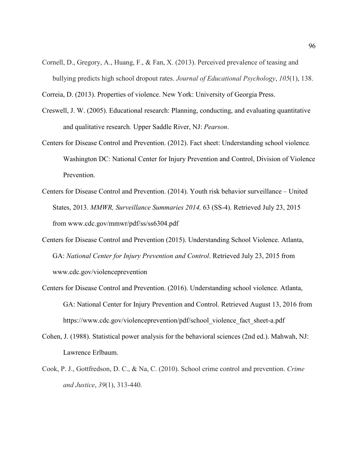Cornell, D., Gregory, A., Huang, F., & Fan, X. (2013). Perceived prevalence of teasing and bullying predicts high school dropout rates. *Journal of Educational Psychology*, *105*(1), 138.

Correia, D. (2013). Properties of violence. New York: University of Georgia Press.

- Creswell, J. W. (2005). Educational research: Planning, conducting, and evaluating quantitative and qualitative research*.* Upper Saddle River, NJ: *Pearson*.
- Centers for Disease Control and Prevention. (2012). Fact sheet: Understanding school violence*.* Washington DC: National Center for Injury Prevention and Control, Division of Violence Prevention.
- Centers for Disease Control and Prevention. (2014). Youth risk behavior surveillance United States, 2013. *MMWR, Surveillance Summaries 2014,* 63 (SS-4). Retrieved July 23, 2015 from www.cdc.gov/mmwr/pdf/ss/ss6304.pdf
- Centers for Disease Control and Prevention (2015). Understanding School Violence. Atlanta, GA: *National Center for Injury Prevention and Control*. Retrieved July 23, 2015 from www.cdc.gov/violenceprevention
- Centers for Disease Control and Prevention. (2016). Understanding school violence*.* Atlanta, GA: National Center for Injury Prevention and Control. Retrieved August 13, 2016 from https://www.cdc.gov/violenceprevention/pdf/school\_violence\_fact\_sheet-a.pdf
- Cohen, J. (1988). Statistical power analysis for the behavioral sciences (2nd ed.). Mahwah, NJ: Lawrence Erlbaum.
- Cook, P. J., Gottfredson, D. C., & Na, C. (2010). School crime control and prevention. *Crime and Justice*, *39*(1), 313-440.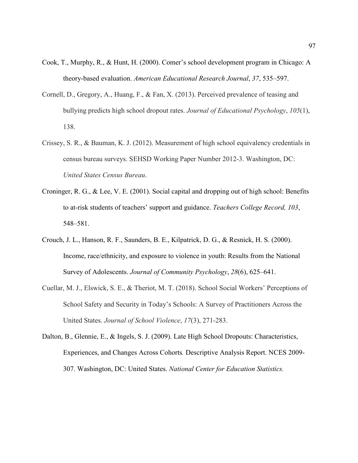- Cook, T., Murphy, R., & Hunt, H. (2000). Comer's school development program in Chicago: A theory-based evaluation. *American Educational Research Journal*, *37*, 535‒597.
- Cornell, D., Gregory, A., Huang, F., & Fan, X. (2013). Perceived prevalence of teasing and bullying predicts high school dropout rates. *Journal of Educational Psychology*, *105*(1), 138.
- Crissey, S. R., & Bauman, K. J. (2012). Measurement of high school equivalency credentials in census bureau surveys. SEHSD Working Paper Number 2012-3. Washington, DC: *United States Census Bureau*.
- Croninger, R. G., & Lee, V. E. (2001). Social capital and dropping out of high school: Benefits to at-risk students of teachers' support and guidance. *Teachers College Record, 103*, 548‒581.
- Crouch, J. L., Hanson, R. F., Saunders, B. E., Kilpatrick, D. G., & Resnick, H. S. (2000). Income, race/ethnicity, and exposure to violence in youth: Results from the National Survey of Adolescents. *Journal of Community Psychology*, 28(6), 625–641.
- Cuellar, M. J., Elswick, S. E., & Theriot, M. T. (2018). School Social Workers' Perceptions of School Safety and Security in Today's Schools: A Survey of Practitioners Across the United States. *Journal of School Violence*, *17*(3), 271-283.
- Dalton, B., Glennie, E., & Ingels, S. J. (2009). Late High School Dropouts: Characteristics, Experiences, and Changes Across Cohorts*.* Descriptive Analysis Report. NCES 2009- 307. Washington, DC: United States. *National Center for Education Statistics.*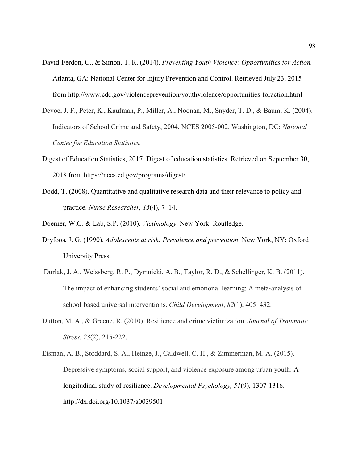- David-Ferdon, C., & Simon, T. R. (2014). *Preventing Youth Violence: Opportunities for Action.*  Atlanta, GA: National Center for Injury Prevention and Control. Retrieved July 23, 2015 from http://www.cdc.gov/violenceprevention/youthviolence/opportunities-foraction.html
- Devoe, J. F., Peter, K., Kaufman, P., Miller, A., Noonan, M., Snyder, T. D., & Baum, K. (2004). Indicators of School Crime and Safety, 2004. NCES 2005-002. Washington, DC: *National Center for Education Statistics.*
- Digest of Education Statistics, 2017. Digest of education statistics. Retrieved on September 30, 2018 from https://nces.ed.gov/programs/digest/
- Dodd, T. (2008). Quantitative and qualitative research data and their relevance to policy and practice. *Nurse Researcher, 15*(4), 7–14.
- Doerner, W.G. & Lab, S.P. (2010). *Victimology*. New York: Routledge.
- Dryfoos, J. G. (1990). *Adolescents at risk: Prevalence and prevention*. New York, NY: Oxford University Press.
- Durlak, J. A., Weissberg, R. P., Dymnicki, A. B., Taylor, R. D., & Schellinger, K. B. (2011). The impact of enhancing students' social and emotional learning: A meta-analysis of school-based universal interventions. *Child Development*,  $82(1)$ , 405–432.
- Dutton, M. A., & Greene, R. (2010). Resilience and crime victimization. *Journal of Traumatic Stress*, *23*(2), 215-222.
- Eisman, A. B., Stoddard, S. A., Heinze, J., Caldwell, C. H., & Zimmerman, M. A. (2015). Depressive symptoms, social support, and violence exposure among urban youth: A longitudinal study of resilience. *Developmental Psychology, 51*(9), 1307-1316. http://dx.doi.org/10.1037/a0039501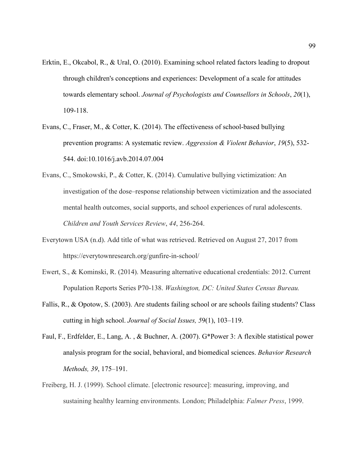- Erktin, E., Okcabol, R., & Ural, O. (2010). Examining school related factors leading to dropout through children's conceptions and experiences: Development of a scale for attitudes towards elementary school. *Journal of Psychologists and Counsellors in Schools*, *20*(1), 109-118.
- Evans, C., Fraser, M., & Cotter, K. (2014). The effectiveness of school-based bullying prevention programs: A systematic review. *Aggression & Violent Behavior*, *19*(5), 532- 544. doi:10.1016/j.avb.2014.07.004
- Evans, C., Smokowski, P., & Cotter, K. (2014). Cumulative bullying victimization: An investigation of the dose–response relationship between victimization and the associated mental health outcomes, social supports, and school experiences of rural adolescents. *Children and Youth Services Review*, *44*, 256-264.
- Everytown USA (n.d). Add title of what was retrieved. Retrieved on August 27, 2017 from https://everytownresearch.org/gunfire-in-school/
- Ewert, S., & Kominski, R. (2014). Measuring alternative educational credentials: 2012. Current Population Reports Series P70-138. *Washington, DC: United States Census Bureau.*
- Fallis, R., & Opotow, S. (2003). Are students failing school or are schools failing students? Class cutting in high school. *Journal of Social Issues, 5*9(1), 103–119.
- Faul, F., Erdfelder, E., Lang, A. , & Buchner, A. (2007). G\*Power 3: A flexible statistical power analysis program for the social, behavioral, and biomedical sciences. *Behavior Research Methods, 39, 175-191.*
- Freiberg, H. J. (1999). School climate. [electronic resource]: measuring, improving, and sustaining healthy learning environments. London; Philadelphia: *Falmer Press*, 1999.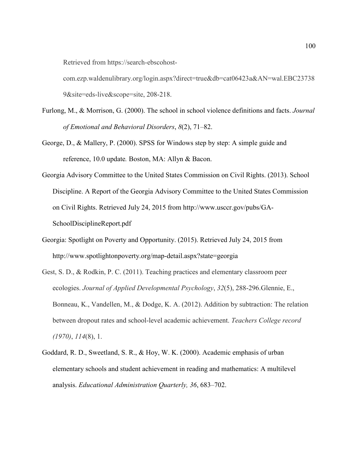Retrieved from https://search-ebscohost-

com.ezp.waldenulibrary.org/login.aspx?direct=true&db=cat06423a&AN=wal.EBC23738 9&site=eds-live&scope=site, 208-218.

- Furlong, M., & Morrison, G. (2000). The school in school violence definitions and facts. *Journal of Emotional and Behavioral Disorders*, *8*(2), 71‒82.
- George, D., & Mallery, P. (2000). SPSS for Windows step by step: A simple guide and reference, 10.0 update*.* Boston, MA: Allyn & Bacon.
- Georgia Advisory Committee to the United States Commission on Civil Rights. (2013). School Discipline. A Report of the Georgia Advisory Committee to the United States Commission on Civil Rights. Retrieved July 24, 2015 from http://www.usccr.gov/pubs/GA-SchoolDisciplineReport.pdf
- Georgia: Spotlight on Poverty and Opportunity. (2015). Retrieved July 24, 2015 from http://www.spotlightonpoverty.org/map-detail.aspx?state=georgia
- Gest, S. D., & Rodkin, P. C. (2011). Teaching practices and elementary classroom peer ecologies. *Journal of Applied Developmental Psychology*, *32*(5), 288-296.Glennie, E., Bonneau, K., Vandellen, M., & Dodge, K. A. (2012). Addition by subtraction: The relation between dropout rates and school-level academic achievement. *Teachers College record (1970)*, *114*(8), 1.
- Goddard, R. D., Sweetland, S. R., & Hoy, W. K. (2000). Academic emphasis of urban elementary schools and student achievement in reading and mathematics: A multilevel analysis. *Educational Administration Quarterly, 36, 683–702.*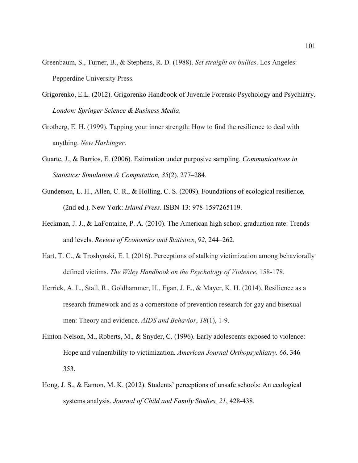- Greenbaum, S., Turner, B., & Stephens, R. D. (1988). *Set straight on bullies*. Los Angeles: Pepperdine University Press.
- Grigorenko, E.L. (2012). Grigorenko Handbook of Juvenile Forensic Psychology and Psychiatry. *London: Springer Science & Business Media*.
- Grotberg, E. H. (1999). Tapping your inner strength: How to find the resilience to deal with anything. *New Harbinger*.
- Guarte, J., & Barrios, E. (2006). Estimation under purposive sampling. *Communications in Statistics: Simulation & Computation, 35*(2), 277‒284.
- Gunderson, L. H., Allen, C. R., & Holling, C. S. (2009). Foundations of ecological resilience*,* (2nd ed.). New York: *Island Press*. ISBN-13: 978-1597265119.
- Heckman, J. J., & LaFontaine, P. A. (2010). The American high school graduation rate: Trends and levels. *Review of Economics and Statistics*, *92*, 244‒262.
- Hart, T. C., & Troshynski, E. I. (2016). Perceptions of stalking victimization among behaviorally defined victims. *The Wiley Handbook on the Psychology of Violence*, 158-178.
- Herrick, A. L., Stall, R., Goldhammer, H., Egan, J. E., & Mayer, K. H. (2014). Resilience as a research framework and as a cornerstone of prevention research for gay and bisexual men: Theory and evidence. *AIDS and Behavior*, *18*(1), 1-9.
- Hinton-Nelson, M., Roberts, M., & Snyder, C. (1996). Early adolescents exposed to violence: Hope and vulnerability to victimization. *American Journal Orthopsychiatry, 66, 346*— 353.
- Hong, J. S., & Eamon, M. K. (2012). Students' perceptions of unsafe schools: An ecological systems analysis. *Journal of Child and Family Studies, 21*, 428-438.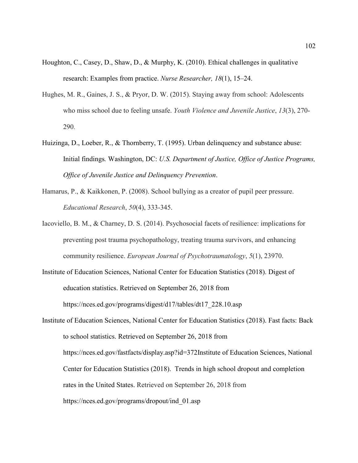- Houghton, C., Casey, D., Shaw, D., & Murphy, K. (2010). Ethical challenges in qualitative research: Examples from practice. *Nurse Researcher, 18*(1), 15–24.
- Hughes, M. R., Gaines, J. S., & Pryor, D. W. (2015). Staying away from school: Adolescents who miss school due to feeling unsafe. *Youth Violence and Juvenile Justice*, *13*(3), 270- 290.
- Huizinga, D., Loeber, R., & Thornberry, T. (1995). Urban delinquency and substance abuse: Initial findings*.* Washington, DC: *U.S. Department of Justice, Office of Justice Programs, Office of Juvenile Justice and Delinquency Prevention*.
- Hamarus, P., & Kaikkonen, P. (2008). School bullying as a creator of pupil peer pressure. *Educational Research*, *50*(4), 333-345.
- Iacoviello, B. M., & Charney, D. S. (2014). Psychosocial facets of resilience: implications for preventing post trauma psychopathology, treating trauma survivors, and enhancing community resilience. *European Journal of Psychotraumatology*, *5*(1), 23970.
- Institute of Education Sciences, National Center for Education Statistics (2018). Digest of education statistics. Retrieved on September 26, 2018 from https://nces.ed.gov/programs/digest/d17/tables/dt17\_228.10.asp

Institute of Education Sciences, National Center for Education Statistics (2018). Fast facts: Back to school statistics. Retrieved on September 26, 2018 from https://nces.ed.gov/fastfacts/display.asp?id=372Institute of Education Sciences, National Center for Education Statistics (2018). Trends in high school dropout and completion rates in the United States. Retrieved on September 26, 2018 from https://nces.ed.gov/programs/dropout/ind\_01.asp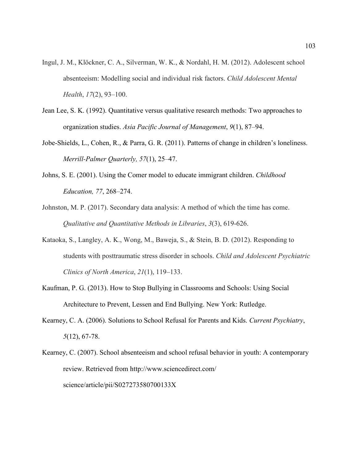- Ingul, J. M., Klöckner, C. A., Silverman, W. K., & Nordahl, H. M. (2012). Adolescent school absenteeism: Modelling social and individual risk factors. *Child Adolescent Mental Health*, *17*(2), 93–100.
- Jean Lee, S. K. (1992). Quantitative versus qualitative research methods: Two approaches to organization studies. *Asia Pacific Journal of Management*, 9(1), 87–94.
- Jobe-Shields, L., Cohen, R., & Parra, G. R. (2011). Patterns of change in children's loneliness. *Merrill-Palmer Quarterly, 57*(1), 25‒47.
- Johns, S. E. (2001). Using the Comer model to educate immigrant children. *Childhood Education, 77*, 268‒274.
- Johnston, M. P. (2017). Secondary data analysis: A method of which the time has come. *Qualitative and Quantitative Methods in Libraries*, *3*(3), 619-626.
- Kataoka, S., Langley, A. K., Wong, M., Baweja, S., & Stein, B. D. (2012). Responding to students with posttraumatic stress disorder in schools. *Child and Adolescent Psychiatric Clinics of North America*, *21*(1), 119‒133.
- Kaufman, P. G. (2013). How to Stop Bullying in Classrooms and Schools: Using Social Architecture to Prevent, Lessen and End Bullying. New York: Rutledge.
- Kearney, C. A. (2006). Solutions to School Refusal for Parents and Kids. *Current Psychiatry*, *5*(12), 67-78.
- Kearney, C. (2007). School absenteeism and school refusal behavior in youth: A contemporary review. Retrieved from http://www.sciencedirect.com/ science/article/pii/S027273580700133X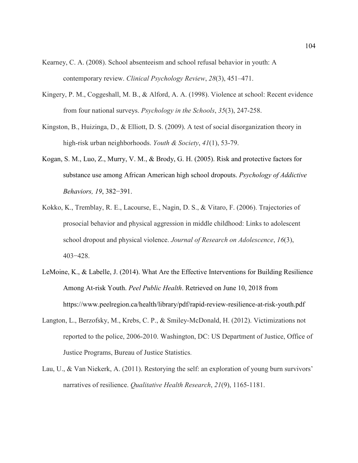- Kearney, C. A. (2008). School absenteeism and school refusal behavior in youth: A contemporary review. *Clinical Psychology Review*, 28(3), 451–471.
- Kingery, P. M., Coggeshall, M. B., & Alford, A. A. (1998). Violence at school: Recent evidence from four national surveys. *Psychology in the Schools*, *35*(3), 247-258.
- Kingston, B., Huizinga, D., & Elliott, D. S. (2009). A test of social disorganization theory in high-risk urban neighborhoods. *Youth & Society*, *41*(1), 53-79.
- Kogan, S. M., Luo, Z., Murry, V. M., & Brody, G. H. (2005). Risk and protective factors for substance use among African American high school dropouts. *Psychology of Addictive Behaviors, 19*, 382−391.
- Kokko, K., Tremblay, R. E., Lacourse, E., Nagin, D. S., & Vitaro, F. (2006). Trajectories of prosocial behavior and physical aggression in middle childhood: Links to adolescent school dropout and physical violence. *Journal of Research on Adolescence*, *16*(3), 403−428.
- LeMoine, K., & Labelle, J. (2014). What Are the Effective Interventions for Building Resilience Among At-risk Youth. *Peel Public Health*. Retrieved on June 10, 2018 from https://www.peelregion.ca/health/library/pdf/rapid-review-resilience-at-risk-youth.pdf
- Langton, L., Berzofsky, M., Krebs, C. P., & Smiley-McDonald, H. (2012). Victimizations not reported to the police, 2006-2010. Washington, DC: US Department of Justice, Office of Justice Programs, Bureau of Justice Statistics.
- Lau, U., & Van Niekerk, A. (2011). Restorying the self: an exploration of young burn survivors' narratives of resilience. *Qualitative Health Research*, *21*(9), 1165-1181.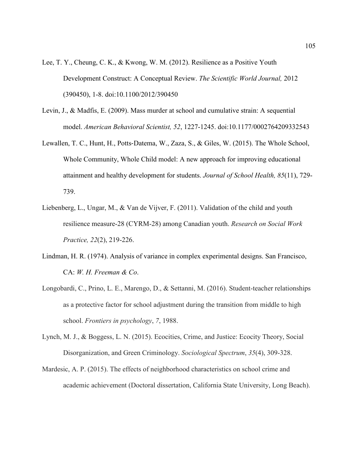- Lee, T. Y., Cheung, C. K., & Kwong, W. M. (2012). Resilience as a Positive Youth Development Construct: A Conceptual Review. *The Scientific World Journal,* 2012 (390450), 1-8. doi:10.1100/2012/390450
- Levin, J., & Madfis, E. (2009). Mass murder at school and cumulative strain: A sequential model. *American Behavioral Scientist, 52*, 1227-1245. doi:10.1177/0002764209332543
- Lewallen, T. C., Hunt, H., Potts-Datema, W., Zaza, S., & Giles, W. (2015). The Whole School, Whole Community, Whole Child model: A new approach for improving educational attainment and healthy development for students. *Journal of School Health, 85*(11), 729- 739.
- Liebenberg, L., Ungar, M., & Van de Vijver, F. (2011). Validation of the child and youth resilience measure-28 (CYRM-28) among Canadian youth. *Research on Social Work Practice, 22*(2), 219-226.
- Lindman, H. R. (1974). Analysis of variance in complex experimental designs. San Francisco, CA: *W. H. Freeman & Co*.
- Longobardi, C., Prino, L. E., Marengo, D., & Settanni, M. (2016). Student-teacher relationships as a protective factor for school adjustment during the transition from middle to high school. *Frontiers in psychology*, *7*, 1988.
- Lynch, M. J., & Boggess, L. N. (2015). Ecocities, Crime, and Justice: Ecocity Theory, Social Disorganization, and Green Criminology. *Sociological Spectrum*, *35*(4), 309-328.
- Mardesic, A. P. (2015). The effects of neighborhood characteristics on school crime and academic achievement (Doctoral dissertation, California State University, Long Beach).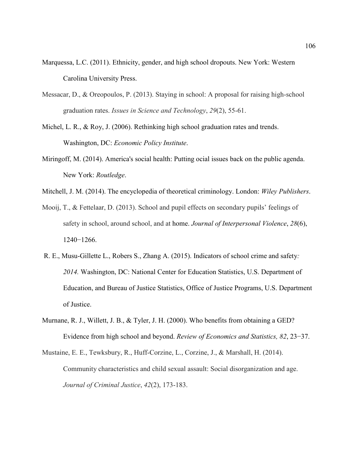- Marquessa, L.C. (2011). Ethnicity, gender, and high school dropouts. New York: Western Carolina University Press.
- Messacar, D., & Oreopoulos, P. (2013). Staying in school: A proposal for raising high-school graduation rates. *Issues in Science and Technology*, *29*(2), 55-61.
- Michel, L. R., & Roy, J. (2006). Rethinking high school graduation rates and trends. Washington, DC: *Economic Policy Institute*.
- Miringoff, M. (2014). America's social health: Putting ocial issues back on the public agenda. New York: *Routledge*.
- Mitchell, J. M. (2014). The encyclopedia of theoretical criminology. London: *Wiley Publishers*.
- Mooij, T., & Fettelaar, D. (2013). School and pupil effects on secondary pupils' feelings of safety in school, around school, and at home. *Journal of Interpersonal Violence*, *28*(6), 1240−1266.
- R. E., Musu-Gillette L., Robers S., Zhang A. (2015). Indicators of school crime and safety*: 2014.* Washington, DC: National Center for Education Statistics, U.S. Department of Education, and Bureau of Justice Statistics, Office of Justice Programs, U.S. Department of Justice.
- Murnane, R. J., Willett, J. B., & Tyler, J. H. (2000). Who benefits from obtaining a GED? Evidence from high school and beyond. *Review of Economics and Statistics, 82*, 23−37.
- Mustaine, E. E., Tewksbury, R., Huff-Corzine, L., Corzine, J., & Marshall, H. (2014). Community characteristics and child sexual assault: Social disorganization and age. *Journal of Criminal Justice*, *42*(2), 173-183.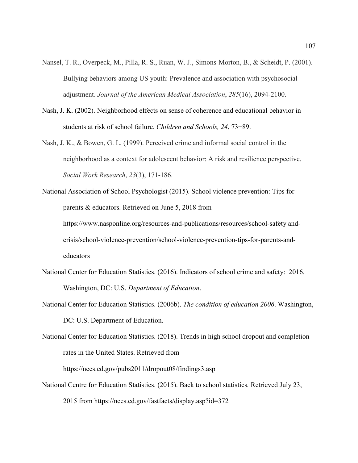- Nansel, T. R., Overpeck, M., Pilla, R. S., Ruan, W. J., Simons-Morton, B., & Scheidt, P. (2001). Bullying behaviors among US youth: Prevalence and association with psychosocial adjustment. *Journal of the American Medical Association*, *285*(16), 2094-2100.
- Nash, J. K. (2002). Neighborhood effects on sense of coherence and educational behavior in students at risk of school failure. *Children and Schools, 24*, 73−89.
- Nash, J. K., & Bowen, G. L. (1999). Perceived crime and informal social control in the neighborhood as a context for adolescent behavior: A risk and resilience perspective. *Social Work Research*, *23*(3), 171-186.
- National Association of School Psychologist (2015). School violence prevention: Tips for parents & educators. Retrieved on June 5, 2018 from https://www.nasponline.org/resources-and-publications/resources/school-safety andcrisis/school-violence-prevention/school-violence-prevention-tips-for-parents-andeducators
- National Center for Education Statistics. (2016). Indicators of school crime and safety: 2016. Washington, DC: U.S. *Department of Education*.
- National Center for Education Statistics. (2006b). *The condition of education 2006*. Washington, DC: U.S. Department of Education.

National Center for Education Statistics. (2018). Trends in high school dropout and completion rates in the United States. Retrieved from

https://nces.ed.gov/pubs2011/dropout08/findings3.asp

National Centre for Education Statistics. (2015). Back to school statistics*.* Retrieved July 23, 2015 from https://nces.ed.gov/fastfacts/display.asp?id=372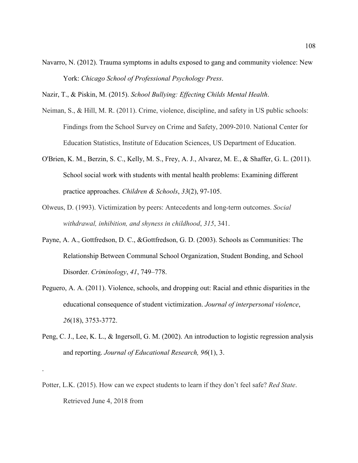Navarro, N. (2012). Trauma symptoms in adults exposed to gang and community violence: New York: *Chicago School of Professional Psychology Press*.

Nazir, T., & Piskin, M. (2015). *School Bullying: Effecting Childs Mental Health*.

- Neiman, S., & Hill, M. R. (2011). Crime, violence, discipline, and safety in US public schools: Findings from the School Survey on Crime and Safety, 2009-2010. National Center for Education Statistics, Institute of Education Sciences, US Department of Education.
- O'Brien, K. M., Berzin, S. C., Kelly, M. S., Frey, A. J., Alvarez, M. E., & Shaffer, G. L. (2011). School social work with students with mental health problems: Examining different practice approaches. *Children & Schools*, *33*(2), 97-105.
- Olweus, D. (1993). Victimization by peers: Antecedents and long-term outcomes. *Social withdrawal, inhibition, and shyness in childhood*, *315*, 341.
- Payne, A. A., Gottfredson, D. C., &Gottfredson, G. D. (2003). Schools as Communities: The Relationship Between Communal School Organization, Student Bonding, and School Disorder. *Criminology*, *41*, 749–778.
- Peguero, A. A. (2011). Violence, schools, and dropping out: Racial and ethnic disparities in the educational consequence of student victimization. *Journal of interpersonal violence*, *26*(18), 3753-3772.
- Peng, C. J., Lee, K. L., & Ingersoll, G. M. (2002). An introduction to logistic regression analysis and reporting. *Journal of Educational Research, 96*(1), 3.
- Potter, L.K. (2015). How can we expect students to learn if they don't feel safe? *Red State*. Retrieved June 4, 2018 from

.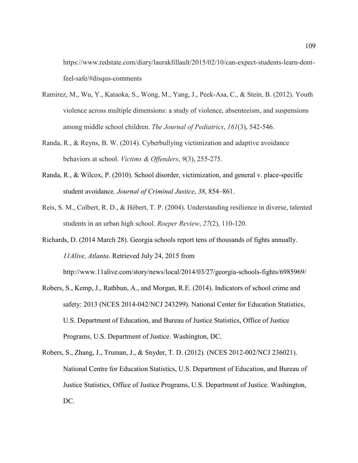https://www.redstate.com/diary/laurakfillault/2015/02/10/can-expect-students-learn-dontfeel-safe/#disqus-comments

- Ramirez, M., Wu, Y., Kataoka, S., Wong, M., Yang, J., Peek-Asa, C., & Stein, B. (2012). Youth violence across multiple dimensions: a study of violence, absenteeism, and suspensions among middle school children. *The Journal of Pediatrics*, *161*(3), 542-546.
- Randa, R., & Reyns, B. W. (2014). Cyberbullying victimization and adaptive avoidance behaviors at school. *Victims & Offenders*, *9*(3), 255-275.
- Randa, R., & Wilcox, P. (2010). School disorder, victimization, and general v. place-specific student avoidance. *Journal of Criminal Justice*, *38*, 854–861.
- Reis, S. M., Colbert, R. D., & Hébert, T. P. (2004). Understanding resilience in diverse, talented students in an urban high school. *Roeper Review*, *27*(2), 110-120.
- Richards, D. (2014 March 28). Georgia schools report tens of thousands of fights annually. *11Alive, Atlanta*. Retrieved July 24, 2015 from

http://www.11alive.com/story/news/local/2014/03/27/georgia-schools-fights/6985969/

- Robers, S., Kemp, J., Rathbun, A., and Morgan, R.E. (2014). Indicators of school crime and safety: 2013 (NCES 2014-042/NCJ 243299). National Center for Education Statistics, U.S. Department of Education, and Bureau of Justice Statistics, Office of Justice Programs, U.S. Department of Justice. Washington, DC.
- Robers, S., Zhang, J., Truman, J., & Snyder, T. D. (2012)*.* (NCES 2012-002/NCJ 236021). National Centre for Education Statistics, U.S. Department of Education, and Bureau of Justice Statistics, Office of Justice Programs, U.S. Department of Justice. Washington, DC.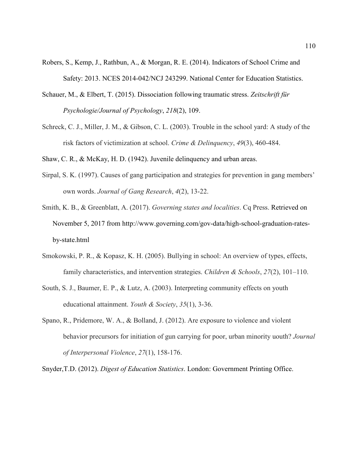- Robers, S., Kemp, J., Rathbun, A., & Morgan, R. E. (2014). Indicators of School Crime and Safety: 2013. NCES 2014-042/NCJ 243299. National Center for Education Statistics.
- Schauer, M., & Elbert, T. (2015). Dissociation following traumatic stress. *Zeitschrift für Psychologie/Journal of Psychology*, *218*(2), 109.
- Schreck, C. J., Miller, J. M., & Gibson, C. L. (2003). Trouble in the school yard: A study of the risk factors of victimization at school. *Crime & Delinquency*, *49*(3), 460-484.

Shaw, C. R., & McKay, H. D. (1942). Juvenile delinquency and urban areas.

Sirpal, S. K. (1997). Causes of gang participation and strategies for prevention in gang members' own words. *Journal of Gang Research*, *4*(2), 13-22.

Smith, K. B., & Greenblatt, A. (2017). *Governing states and localities*. Cq Press. Retrieved on November 5, 2017 from http://www.governing.com/gov-data/high-school-graduation-ratesby-state.html

- Smokowski, P. R., & Kopasz, K. H. (2005). Bullying in school: An overview of types, effects, family characteristics, and intervention strategies. *Children & Schools*, 27(2), 101–110.
- South, S. J., Baumer, E. P., & Lutz, A. (2003). Interpreting community effects on youth educational attainment. *Youth & Society*, *35*(1), 3-36.
- Spano, R., Pridemore, W. A., & Bolland, J. (2012). Are exposure to violence and violent behavior precursors for initiation of gun carrying for poor, urban minority uouth? *Journal of Interpersonal Violence*, *27*(1), 158-176.

Snyder,T.D. (2012). *Digest of Education Statistics*. London: Government Printing Office.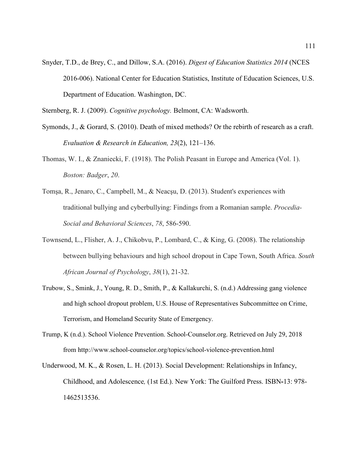Snyder, T.D., de Brey, C., and Dillow, S.A. (2016). *Digest of Education Statistics 2014* (NCES 2016-006). National Center for Education Statistics, Institute of Education Sciences, U.S. Department of Education. Washington, DC.

Sternberg, R. J. (2009). *Cognitive psychology.* Belmont, CA: Wadsworth.

- Symonds, J., & Gorard, S. (2010). Death of mixed methods? Or the rebirth of research as a craft. *Evaluation & Research in Education, 23*(2), 121–136.
- Thomas, W. I., & Znaniecki, F. (1918). The Polish Peasant in Europe and America (Vol. 1). *Boston: Badger*, *20*.
- Tomşa, R., Jenaro, C., Campbell, M., & Neacşu, D. (2013). Student's experiences with traditional bullying and cyberbullying: Findings from a Romanian sample. *Procedia-Social and Behavioral Sciences*, *78*, 586-590.
- Townsend, L., Flisher, A. J., Chikobvu, P., Lombard, C., & King, G. (2008). The relationship between bullying behaviours and high school dropout in Cape Town, South Africa. *South African Journal of Psychology*, *38*(1), 21-32.
- Trubow, S., Smink, J., Young, R. D., Smith, P., & Kallakurchi, S. (n.d.) Addressing gang violence and high school dropout problem, U.S. House of Representatives Subcommittee on Crime, Terrorism, and Homeland Security State of Emergency.
- Trump, K (n.d.). School Violence Prevention. School-Counselor.org. Retrieved on July 29, 2018 from http://www.school-counselor.org/topics/school-violence-prevention.html
- Underwood, M. K., & Rosen, L. H. (2013). Social Development: Relationships in Infancy, Childhood, and Adolescence*,* (1st Ed.). New York: The Guilford Press. ISBN**-**13: 978- 1462513536.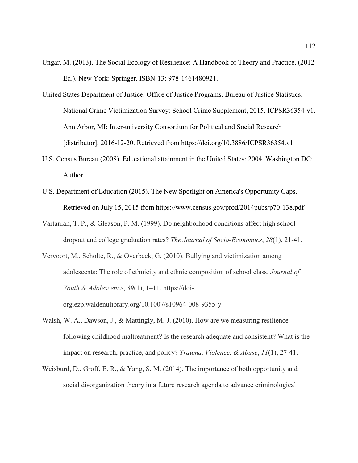- Ungar, M. (2013). The Social Ecology of Resilience: A Handbook of Theory and Practice, (2012 Ed.). New York: Springer. ISBN-13: 978-1461480921.
- United States Department of Justice. Office of Justice Programs. Bureau of Justice Statistics. National Crime Victimization Survey: School Crime Supplement, 2015. ICPSR36354-v1. Ann Arbor, MI: Inter-university Consortium for Political and Social Research [distributor], 2016-12-20. Retrieved from https://doi.org/10.3886/ICPSR36354.v1
- U.S. Census Bureau (2008). Educational attainment in the United States: 2004. Washington DC: Author.
- U.S. Department of Education (2015). The New Spotlight on America's Opportunity Gaps. Retrieved on July 15, 2015 from https://www.census.gov/prod/2014pubs/p70-138.pdf
- Vartanian, T. P., & Gleason, P. M. (1999). Do neighborhood conditions affect high school dropout and college graduation rates? *The Journal of Socio-Economics*, *28*(1), 21-41.
- Vervoort, M., Scholte, R., & Overbeek, G. (2010). Bullying and victimization among adolescents: The role of ethnicity and ethnic composition of school class. *Journal of Youth & Adolescence*, *39*(1), 1–11. https://doiorg.ezp.waldenulibrary.org/10.1007/s10964-008-9355-y
- Walsh, W. A., Dawson, J., & Mattingly, M. J. (2010). How are we measuring resilience following childhood maltreatment? Is the research adequate and consistent? What is the impact on research, practice, and policy? *Trauma, Violence, & Abuse*, *11*(1), 27-41.
- Weisburd, D., Groff, E. R., & Yang, S. M. (2014). The importance of both opportunity and social disorganization theory in a future research agenda to advance criminological